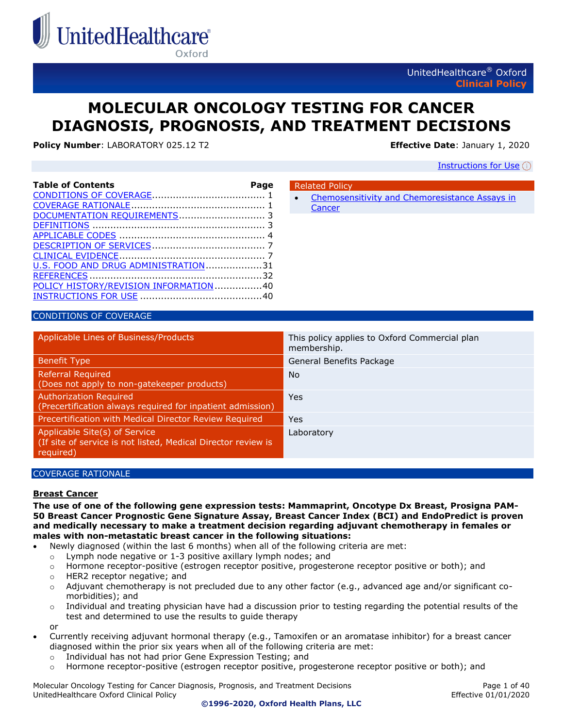

Oxford

# **MOLECULAR ONCOLOGY TESTING FOR CANCER DIAGNOSIS, PROGNOSIS, AND TREATMENT DECISIONS**

Related Policy

**[Cancer](https://www.uhcprovider.com/content/dam/provider/docs/public/policies/oxford/chemosensitivity-chemoresistance-assays-cancer-ohp.pdf)** 

**Policy Number**: LABORATORY 025.12 T2 **Effective Date**: January 1, 2020

[Chemosensitivity and Chemoresistance Assays in](https://www.uhcprovider.com/content/dam/provider/docs/public/policies/oxford/chemosensitivity-chemoresistance-assays-cancer-ohp.pdf) 

[Instructions for Use](#page-39-1) (i)

| <b>Table of Contents</b>              | Page |
|---------------------------------------|------|
|                                       |      |
|                                       |      |
|                                       |      |
|                                       |      |
|                                       |      |
|                                       |      |
|                                       |      |
| U.S. FOOD AND DRUG ADMINISTRATION31   |      |
|                                       |      |
| POLICY HISTORY/REVISION INFORMATION40 |      |
|                                       |      |

# <span id="page-0-0"></span>CONDITIONS OF COVERAGE

| Applicable Lines of Business/Products                                                                       | This policy applies to Oxford Commercial plan<br>membership. |
|-------------------------------------------------------------------------------------------------------------|--------------------------------------------------------------|
| <b>Benefit Type</b>                                                                                         | General Benefits Package                                     |
| <b>Referral Required</b><br>(Does not apply to non-gatekeeper products)                                     | <b>No</b>                                                    |
| Authorization Required<br>(Precertification always required for inpatient admission)                        | <b>Yes</b>                                                   |
| Precertification with Medical Director Review Required                                                      | Yes                                                          |
| Applicable Site(s) of Service<br>(If site of service is not listed, Medical Director review is<br>required) | Laboratory                                                   |

## <span id="page-0-1"></span>COVERAGE RATIONALE

#### **Breast Cancer**

**The use of one of the following gene expression tests: Mammaprint, Oncotype Dx Breast, Prosigna PAM-50 Breast Cancer Prognostic Gene Signature Assay, Breast Cancer Index (BCI) and EndoPredict is proven and medically necessary to make a treatment decision regarding adjuvant chemotherapy in females or males with non-metastatic breast cancer in the following situations:**

- Newly diagnosed (within the last 6 months) when all of the following criteria are met:
- o Lymph node negative or 1-3 positive axillary lymph nodes; and
- o Hormone receptor-positive (estrogen receptor positive, progesterone receptor positive or both); and
- o HER2 receptor negative; and
- o Adjuvant chemotherapy is not precluded due to any other factor (e.g., advanced age and/or significant comorbidities); and
- $\circ$  Individual and treating physician have had a discussion prior to testing regarding the potential results of the test and determined to use the results to guide therapy
- or
- Currently receiving adjuvant hormonal therapy (e.g., Tamoxifen or an aromatase inhibitor) for a breast cancer diagnosed within the prior six years when all of the following criteria are met:
	- o Individual has not had prior Gene Expression Testing; and
	- o Hormone receptor-positive (estrogen receptor positive, progesterone receptor positive or both); and

Molecular Oncology Testing for Cancer Diagnosis, Prognosis, and Treatment Decisions Page 1 of 40 UnitedHealthcare Oxford Clinical Policy Effective 01/01/2020

**©1996-2020, Oxford Health Plans, LLC**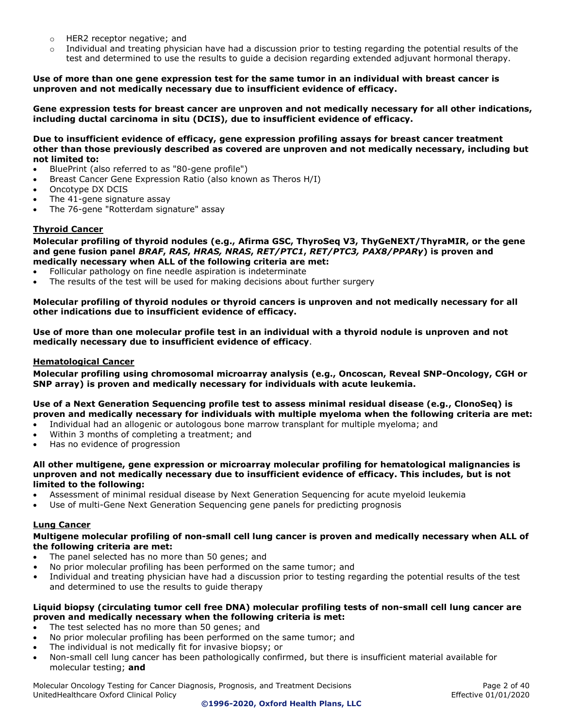- o HER2 receptor negative; and
- $\circ$  Individual and treating physician have had a discussion prior to testing regarding the potential results of the test and determined to use the results to guide a decision regarding extended adjuvant hormonal therapy.

**Use of more than one gene expression test for the same tumor in an individual with breast cancer is unproven and not medically necessary due to insufficient evidence of efficacy.**

**Gene expression tests for breast cancer are unproven and not medically necessary for all other indications, including ductal carcinoma in situ (DCIS), due to insufficient evidence of efficacy.**

**Due to insufficient evidence of efficacy, gene expression profiling assays for breast cancer treatment other than those previously described as covered are unproven and not medically necessary, including but not limited to:**

- BluePrint (also referred to as "80-gene profile")
- Breast Cancer Gene Expression Ratio (also known as Theros H/I)
- Oncotype DX DCIS
- The 41-gene signature assay
- The 76-gene "Rotterdam signature" assay

#### **Thyroid Cancer**

**Molecular profiling of thyroid nodules (e.g., Afirma GSC, ThyroSeq V3, ThyGeNEXT/ThyraMIR, or the gene and gene fusion panel** *BRAF***,** *RAS***,** *HRAS, NRAS***,** *RET/PTC1***,** *RET/PTC3, PAX8/PPARγ***) is proven and medically necessary when ALL of the following criteria are met:**

- Follicular pathology on fine needle aspiration is indeterminate
- The results of the test will be used for making decisions about further surgery

**Molecular profiling of thyroid nodules or thyroid cancers is unproven and not medically necessary for all other indications due to insufficient evidence of efficacy.**

**Use of more than one molecular profile test in an individual with a thyroid nodule is unproven and not medically necessary due to insufficient evidence of efficacy**.

#### **Hematological Cancer**

**Molecular profiling using chromosomal microarray analysis (e.g., Oncoscan, Reveal SNP-Oncology, CGH or SNP array) is proven and medically necessary for individuals with acute leukemia.**

**Use of a Next Generation Sequencing profile test to assess minimal residual disease (e.g., ClonoSeq) is proven and medically necessary for individuals with multiple myeloma when the following criteria are met:**

- Individual had an allogenic or autologous bone marrow transplant for multiple myeloma; and
- Within 3 months of completing a treatment; and
- Has no evidence of progression

**All other multigene, gene expression or microarray molecular profiling for hematological malignancies is unproven and not medically necessary due to insufficient evidence of efficacy. This includes, but is not limited to the following:**

- Assessment of minimal residual disease by Next Generation Sequencing for acute myeloid leukemia
- Use of multi-Gene Next Generation Sequencing gene panels for predicting prognosis

#### **Lung Cancer**

**Multigene molecular profiling of non-small cell lung cancer is proven and medically necessary when ALL of the following criteria are met:**

- The panel selected has no more than 50 genes; and
- No prior molecular profiling has been performed on the same tumor; and
- Individual and treating physician have had a discussion prior to testing regarding the potential results of the test and determined to use the results to guide therapy

## **Liquid biopsy (circulating tumor cell free DNA) molecular profiling tests of non-small cell lung cancer are proven and medically necessary when the following criteria is met:**

- The test selected has no more than 50 genes; and
- No prior molecular profiling has been performed on the same tumor; and
- The individual is not medically fit for invasive biopsy; or
- Non-small cell lung cancer has been pathologically confirmed, but there is insufficient material available for molecular testing; **and**

Molecular Oncology Testing for Cancer Diagnosis, Prognosis, and Treatment Decisions Page 2 of 40 UnitedHealthcare Oxford Clinical Policy Effective 01/01/2020

**©1996-2020, Oxford Health Plans, LLC**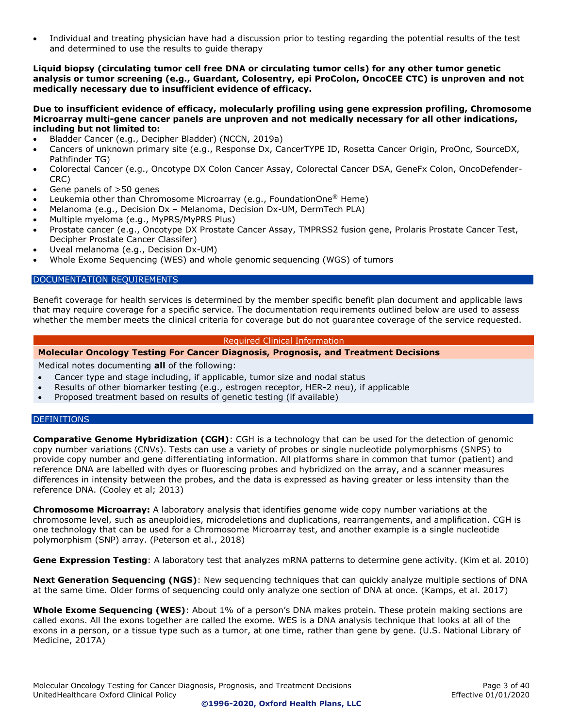Individual and treating physician have had a discussion prior to testing regarding the potential results of the test and determined to use the results to guide therapy

#### **Liquid biopsy (circulating tumor cell free DNA or circulating tumor cells) for any other tumor genetic analysis or tumor screening (e.g., Guardant, Colosentry, epi ProColon, OncoCEE CTC) is unproven and not medically necessary due to insufficient evidence of efficacy.**

#### **Due to insufficient evidence of efficacy, molecularly profiling using gene expression profiling, Chromosome Microarray multi-gene cancer panels are unproven and not medically necessary for all other indications, including but not limited to:**

- Bladder Cancer (e.g., Decipher Bladder) (NCCN, 2019a)
- Cancers of unknown primary site (e.g., Response Dx, CancerTYPE ID, Rosetta Cancer Origin, ProOnc, SourceDX, Pathfinder TG)
- Colorectal Cancer (e.g., Oncotype DX Colon Cancer Assay, Colorectal Cancer DSA, GeneFx Colon, OncoDefender-CRC)
- Gene panels of >50 genes
- Leukemia other than Chromosome Microarray (e.g., FoundationOne<sup>®</sup> Heme)
- Melanoma (e.g., Decision Dx Melanoma, Decision Dx-UM, DermTech PLA)
- Multiple myeloma (e.g., MyPRS/MyPRS Plus)
- Prostate cancer (e.g., Oncotype DX Prostate Cancer Assay, TMPRSS2 fusion gene, Prolaris Prostate Cancer Test, Decipher Prostate Cancer Classifer)
- Uveal melanoma (e.g., Decision Dx-UM)
- Whole Exome Sequencing (WES) and whole genomic sequencing (WGS) of tumors

#### <span id="page-2-0"></span>DOCUMENTATION REQUIREMENTS

Benefit coverage for health services is determined by the member specific benefit plan document and applicable laws that may require coverage for a specific service. The documentation requirements outlined below are used to assess whether the member meets the clinical criteria for coverage but do not guarantee coverage of the service requested.

## Required Clinical Information

## **Molecular Oncology Testing For Cancer Diagnosis, Prognosis, and Treatment Decisions**

Medical notes documenting **all** of the following:

- Cancer type and stage including, if applicable, tumor size and nodal status
- Results of other biomarker testing (e.g., estrogen receptor, HER-2 neu), if applicable
- Proposed treatment based on results of genetic testing (if available)

#### <span id="page-2-1"></span>**DEFINITIONS**

**Comparative Genome Hybridization (CGH)**: CGH is a technology that can be used for the detection of genomic copy number variations (CNVs). Tests can use a variety of probes or single nucleotide polymorphisms (SNPS) to provide copy number and gene differentiating information. All platforms share in common that tumor (patient) and reference DNA are labelled with dyes or fluorescing probes and hybridized on the array, and a scanner measures differences in intensity between the probes, and the data is expressed as having greater or less intensity than the reference DNA. (Cooley et al; 2013)

**Chromosome Microarray:** A laboratory analysis that identifies genome wide copy number variations at the chromosome level, such as aneuploidies, microdeletions and duplications, rearrangements, and amplification. CGH is one technology that can be used for a Chromosome Microarray test, and another example is a single nucleotide polymorphism (SNP) array. (Peterson et al., 2018)

**Gene Expression Testing**: A laboratory test that analyzes mRNA patterns to determine gene activity. (Kim et al. 2010)

**Next Generation Sequencing (NGS)**: New sequencing techniques that can quickly analyze multiple sections of DNA at the same time. Older forms of sequencing could only analyze one section of DNA at once. (Kamps, et al. 2017)

**Whole Exome Sequencing (WES)**: About 1% of a person's DNA makes protein. These protein making sections are called exons. All the exons together are called the exome. WES is a DNA analysis technique that looks at all of the exons in a person, or a tissue type such as a tumor, at one time, rather than gene by gene. (U.S. National Library of Medicine, 2017A)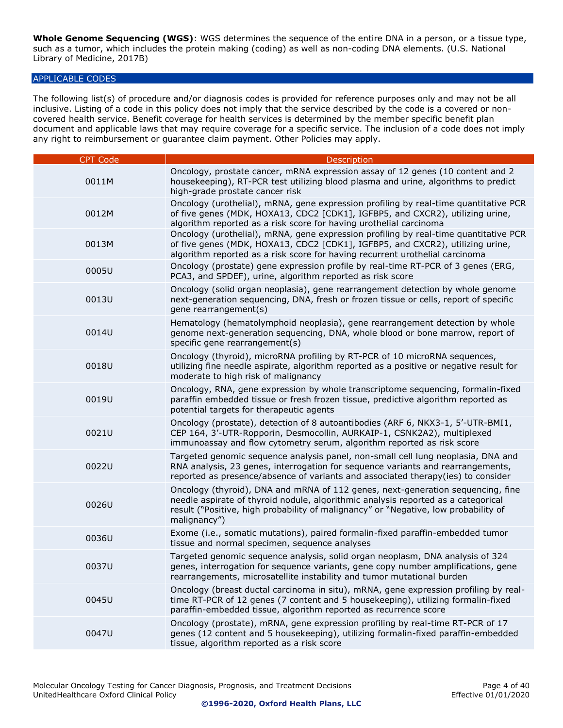**Whole Genome Sequencing (WGS)**: WGS determines the sequence of the entire DNA in a person, or a tissue type, such as a tumor, which includes the protein making (coding) as well as non-coding DNA elements. (U.S. National Library of Medicine, 2017B)

## <span id="page-3-0"></span>APPLICABLE CODES

The following list(s) of procedure and/or diagnosis codes is provided for reference purposes only and may not be all inclusive. Listing of a code in this policy does not imply that the service described by the code is a covered or noncovered health service. Benefit coverage for health services is determined by the member specific benefit plan document and applicable laws that may require coverage for a specific service. The inclusion of a code does not imply any right to reimbursement or guarantee claim payment. Other Policies may apply.

| <b>CPT Code</b> | Description                                                                                                                                                                                                                                                                 |
|-----------------|-----------------------------------------------------------------------------------------------------------------------------------------------------------------------------------------------------------------------------------------------------------------------------|
| 0011M           | Oncology, prostate cancer, mRNA expression assay of 12 genes (10 content and 2<br>housekeeping), RT-PCR test utilizing blood plasma and urine, algorithms to predict<br>high-grade prostate cancer risk                                                                     |
| 0012M           | Oncology (urothelial), mRNA, gene expression profiling by real-time quantitative PCR<br>of five genes (MDK, HOXA13, CDC2 [CDK1], IGFBP5, and CXCR2), utilizing urine,<br>algorithm reported as a risk score for having urothelial carcinoma                                 |
| 0013M           | Oncology (urothelial), mRNA, gene expression profiling by real-time quantitative PCR<br>of five genes (MDK, HOXA13, CDC2 [CDK1], IGFBP5, and CXCR2), utilizing urine,<br>algorithm reported as a risk score for having recurrent urothelial carcinoma                       |
| 0005U           | Oncology (prostate) gene expression profile by real-time RT-PCR of 3 genes (ERG,<br>PCA3, and SPDEF), urine, algorithm reported as risk score                                                                                                                               |
| 0013U           | Oncology (solid organ neoplasia), gene rearrangement detection by whole genome<br>next-generation sequencing, DNA, fresh or frozen tissue or cells, report of specific<br>gene rearrangement(s)                                                                             |
| 0014U           | Hematology (hematolymphoid neoplasia), gene rearrangement detection by whole<br>genome next-generation sequencing, DNA, whole blood or bone marrow, report of<br>specific gene rearrangement(s)                                                                             |
| 0018U           | Oncology (thyroid), microRNA profiling by RT-PCR of 10 microRNA sequences,<br>utilizing fine needle aspirate, algorithm reported as a positive or negative result for<br>moderate to high risk of malignancy                                                                |
| 0019U           | Oncology, RNA, gene expression by whole transcriptome sequencing, formalin-fixed<br>paraffin embedded tissue or fresh frozen tissue, predictive algorithm reported as<br>potential targets for therapeutic agents                                                           |
| 0021U           | Oncology (prostate), detection of 8 autoantibodies (ARF 6, NKX3-1, 5'-UTR-BMI1,<br>CEP 164, 3'-UTR-Ropporin, Desmocollin, AURKAIP-1, CSNK2A2), multiplexed<br>immunoassay and flow cytometry serum, algorithm reported as risk score                                        |
| 0022U           | Targeted genomic sequence analysis panel, non-small cell lung neoplasia, DNA and<br>RNA analysis, 23 genes, interrogation for sequence variants and rearrangements,<br>reported as presence/absence of variants and associated therapy(ies) to consider                     |
| 0026U           | Oncology (thyroid), DNA and mRNA of 112 genes, next-generation sequencing, fine<br>needle aspirate of thyroid nodule, algorithmic analysis reported as a categorical<br>result ("Positive, high probability of malignancy" or "Negative, low probability of<br>malignancy") |
| 0036U           | Exome (i.e., somatic mutations), paired formalin-fixed paraffin-embedded tumor<br>tissue and normal specimen, sequence analyses                                                                                                                                             |
| 0037U           | Targeted genomic sequence analysis, solid organ neoplasm, DNA analysis of 324<br>genes, interrogation for sequence variants, gene copy number amplifications, gene<br>rearrangements, microsatellite instability and tumor mutational burden                                |
| 0045U           | Oncology (breast ductal carcinoma in situ), mRNA, gene expression profiling by real-<br>time RT-PCR of 12 genes (7 content and 5 housekeeping), utilizing formalin-fixed<br>paraffin-embedded tissue, algorithm reported as recurrence score                                |
| 0047U           | Oncology (prostate), mRNA, gene expression profiling by real-time RT-PCR of 17<br>genes (12 content and 5 housekeeping), utilizing formalin-fixed paraffin-embedded<br>tissue, algorithm reported as a risk score                                                           |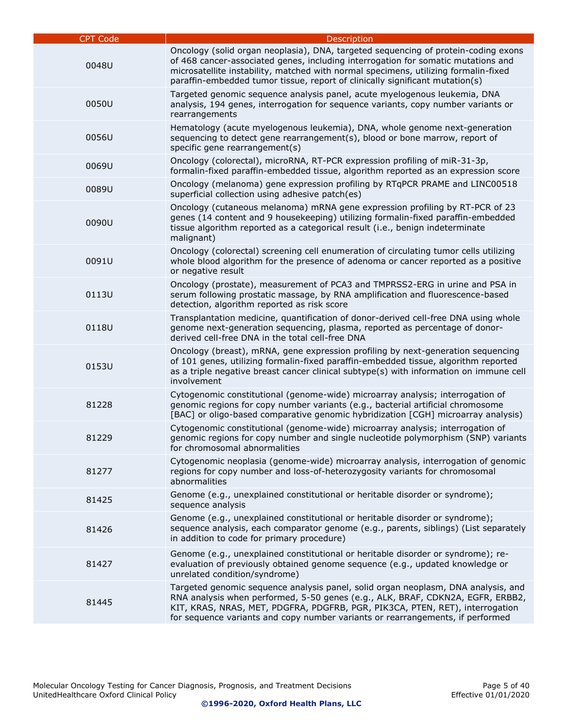| <b>CPT Code</b> | Description                                                                                                                                                                                                                                                                                                                                    |
|-----------------|------------------------------------------------------------------------------------------------------------------------------------------------------------------------------------------------------------------------------------------------------------------------------------------------------------------------------------------------|
| 0048U           | Oncology (solid organ neoplasia), DNA, targeted sequencing of protein-coding exons<br>of 468 cancer-associated genes, including interrogation for somatic mutations and<br>microsatellite instability, matched with normal specimens, utilizing formalin-fixed<br>paraffin-embedded tumor tissue, report of clinically significant mutation(s) |
| 0050U           | Targeted genomic sequence analysis panel, acute myelogenous leukemia, DNA<br>analysis, 194 genes, interrogation for sequence variants, copy number variants or<br>rearrangements                                                                                                                                                               |
| 0056U           | Hematology (acute myelogenous leukemia), DNA, whole genome next-generation<br>sequencing to detect gene rearrangement(s), blood or bone marrow, report of<br>specific gene rearrangement(s)                                                                                                                                                    |
| 0069U           | Oncology (colorectal), microRNA, RT-PCR expression profiling of miR-31-3p,<br>formalin-fixed paraffin-embedded tissue, algorithm reported as an expression score                                                                                                                                                                               |
| 0089U           | Oncology (melanoma) gene expression profiling by RTqPCR PRAME and LINC00518<br>superficial collection using adhesive patch(es)                                                                                                                                                                                                                 |
| 0090U           | Oncology (cutaneous melanoma) mRNA gene expression profiling by RT-PCR of 23<br>genes (14 content and 9 housekeeping) utilizing formalin-fixed paraffin-embedded<br>tissue algorithm reported as a categorical result (i.e., benign indeterminate<br>malignant)                                                                                |
| 0091U           | Oncology (colorectal) screening cell enumeration of circulating tumor cells utilizing<br>whole blood algorithm for the presence of adenoma or cancer reported as a positive<br>or negative result                                                                                                                                              |
| 0113U           | Oncology (prostate), measurement of PCA3 and TMPRSS2-ERG in urine and PSA in<br>serum following prostatic massage, by RNA amplification and fluorescence-based<br>detection, algorithm reported as risk score                                                                                                                                  |
| 0118U           | Transplantation medicine, quantification of donor-derived cell-free DNA using whole<br>genome next-generation sequencing, plasma, reported as percentage of donor-<br>derived cell-free DNA in the total cell-free DNA                                                                                                                         |
| 0153U           | Oncology (breast), mRNA, gene expression profiling by next-generation sequencing<br>of 101 genes, utilizing formalin-fixed paraffin-embedded tissue, algorithm reported<br>as a triple negative breast cancer clinical subtype(s) with information on immune cell<br>involvement                                                               |
| 81228           | Cytogenomic constitutional (genome-wide) microarray analysis; interrogation of<br>genomic regions for copy number variants (e.g., bacterial artificial chromosome<br>[BAC] or oligo-based comparative genomic hybridization [CGH] microarray analysis)                                                                                         |
| 81229           | Cytogenomic constitutional (genome-wide) microarray analysis; interrogation of<br>genomic regions for copy number and single nucleotide polymorphism (SNP) variants<br>for chromosomal abnormalities                                                                                                                                           |
| 81277           | Cytogenomic neoplasia (genome-wide) microarray analysis, interrogation of genomic<br>regions for copy number and loss-of-heterozygosity variants for chromosomal<br>abnormalities                                                                                                                                                              |
| 81425           | Genome (e.g., unexplained constitutional or heritable disorder or syndrome);<br>sequence analysis                                                                                                                                                                                                                                              |
| 81426           | Genome (e.g., unexplained constitutional or heritable disorder or syndrome);<br>sequence analysis, each comparator genome (e.g., parents, siblings) (List separately<br>in addition to code for primary procedure)                                                                                                                             |
| 81427           | Genome (e.g., unexplained constitutional or heritable disorder or syndrome); re-<br>evaluation of previously obtained genome sequence (e.g., updated knowledge or<br>unrelated condition/syndrome)                                                                                                                                             |
| 81445           | Targeted genomic sequence analysis panel, solid organ neoplasm, DNA analysis, and<br>RNA analysis when performed, 5-50 genes (e.g., ALK, BRAF, CDKN2A, EGFR, ERBB2,<br>KIT, KRAS, NRAS, MET, PDGFRA, PDGFRB, PGR, PIK3CA, PTEN, RET), interrogation<br>for sequence variants and copy number variants or rearrangements, if performed          |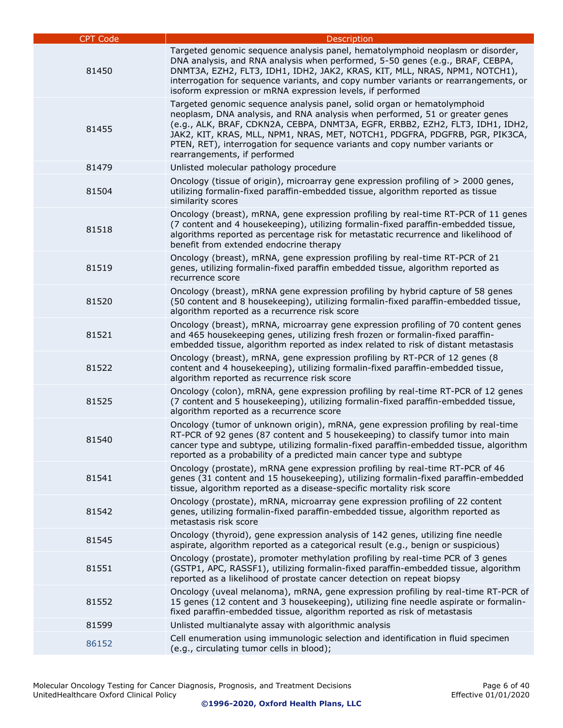| <b>CPT Code</b> | <b>Description</b>                                                                                                                                                                                                                                                                                                                                                                                                                     |
|-----------------|----------------------------------------------------------------------------------------------------------------------------------------------------------------------------------------------------------------------------------------------------------------------------------------------------------------------------------------------------------------------------------------------------------------------------------------|
| 81450           | Targeted genomic sequence analysis panel, hematolymphoid neoplasm or disorder,<br>DNA analysis, and RNA analysis when performed, 5-50 genes (e.g., BRAF, CEBPA,<br>DNMT3A, EZH2, FLT3, IDH1, IDH2, JAK2, KRAS, KIT, MLL, NRAS, NPM1, NOTCH1),<br>interrogation for sequence variants, and copy number variants or rearrangements, or<br>isoform expression or mRNA expression levels, if performed                                     |
| 81455           | Targeted genomic sequence analysis panel, solid organ or hematolymphoid<br>neoplasm, DNA analysis, and RNA analysis when performed, 51 or greater genes<br>(e.g., ALK, BRAF, CDKN2A, CEBPA, DNMT3A, EGFR, ERBB2, EZH2, FLT3, IDH1, IDH2,<br>JAK2, KIT, KRAS, MLL, NPM1, NRAS, MET, NOTCH1, PDGFRA, PDGFRB, PGR, PIK3CA,<br>PTEN, RET), interrogation for sequence variants and copy number variants or<br>rearrangements, if performed |
| 81479           | Unlisted molecular pathology procedure                                                                                                                                                                                                                                                                                                                                                                                                 |
| 81504           | Oncology (tissue of origin), microarray gene expression profiling of > 2000 genes,<br>utilizing formalin-fixed paraffin-embedded tissue, algorithm reported as tissue<br>similarity scores                                                                                                                                                                                                                                             |
| 81518           | Oncology (breast), mRNA, gene expression profiling by real-time RT-PCR of 11 genes<br>(7 content and 4 housekeeping), utilizing formalin-fixed paraffin-embedded tissue,<br>algorithms reported as percentage risk for metastatic recurrence and likelihood of<br>benefit from extended endocrine therapy                                                                                                                              |
| 81519           | Oncology (breast), mRNA, gene expression profiling by real-time RT-PCR of 21<br>genes, utilizing formalin-fixed paraffin embedded tissue, algorithm reported as<br>recurrence score                                                                                                                                                                                                                                                    |
| 81520           | Oncology (breast), mRNA gene expression profiling by hybrid capture of 58 genes<br>(50 content and 8 housekeeping), utilizing formalin-fixed paraffin-embedded tissue,<br>algorithm reported as a recurrence risk score                                                                                                                                                                                                                |
| 81521           | Oncology (breast), mRNA, microarray gene expression profiling of 70 content genes<br>and 465 housekeeping genes, utilizing fresh frozen or formalin-fixed paraffin-<br>embedded tissue, algorithm reported as index related to risk of distant metastasis                                                                                                                                                                              |
| 81522           | Oncology (breast), mRNA, gene expression profiling by RT-PCR of 12 genes (8<br>content and 4 housekeeping), utilizing formalin-fixed paraffin-embedded tissue,<br>algorithm reported as recurrence risk score                                                                                                                                                                                                                          |
| 81525           | Oncology (colon), mRNA, gene expression profiling by real-time RT-PCR of 12 genes<br>(7 content and 5 housekeeping), utilizing formalin-fixed paraffin-embedded tissue,<br>algorithm reported as a recurrence score                                                                                                                                                                                                                    |
| 81540           | Oncology (tumor of unknown origin), mRNA, gene expression profiling by real-time<br>RT-PCR of 92 genes (87 content and 5 housekeeping) to classify tumor into main<br>cancer type and subtype, utilizing formalin-fixed paraffin-embedded tissue, algorithm<br>reported as a probability of a predicted main cancer type and subtype                                                                                                   |
| 81541           | Oncology (prostate), mRNA gene expression profiling by real-time RT-PCR of 46<br>genes (31 content and 15 housekeeping), utilizing formalin-fixed paraffin-embedded<br>tissue, algorithm reported as a disease-specific mortality risk score                                                                                                                                                                                           |
| 81542           | Oncology (prostate), mRNA, microarray gene expression profiling of 22 content<br>genes, utilizing formalin-fixed paraffin-embedded tissue, algorithm reported as<br>metastasis risk score                                                                                                                                                                                                                                              |
| 81545           | Oncology (thyroid), gene expression analysis of 142 genes, utilizing fine needle<br>aspirate, algorithm reported as a categorical result (e.g., benign or suspicious)                                                                                                                                                                                                                                                                  |
| 81551           | Oncology (prostate), promoter methylation profiling by real-time PCR of 3 genes<br>(GSTP1, APC, RASSF1), utilizing formalin-fixed paraffin-embedded tissue, algorithm<br>reported as a likelihood of prostate cancer detection on repeat biopsy                                                                                                                                                                                        |
| 81552           | Oncology (uveal melanoma), mRNA, gene expression profiling by real-time RT-PCR of<br>15 genes (12 content and 3 housekeeping), utilizing fine needle aspirate or formalin-<br>fixed paraffin-embedded tissue, algorithm reported as risk of metastasis                                                                                                                                                                                 |
| 81599           | Unlisted multianalyte assay with algorithmic analysis                                                                                                                                                                                                                                                                                                                                                                                  |
| 86152           | Cell enumeration using immunologic selection and identification in fluid specimen<br>(e.g., circulating tumor cells in blood);                                                                                                                                                                                                                                                                                                         |
|                 |                                                                                                                                                                                                                                                                                                                                                                                                                                        |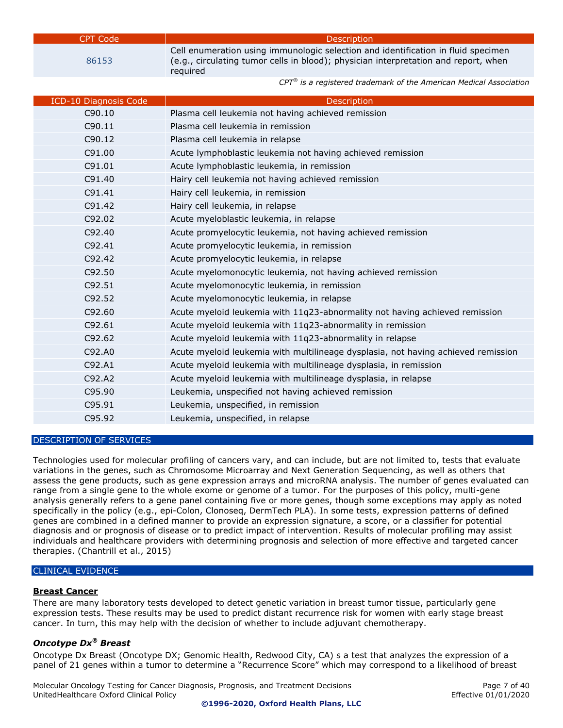| CPT Code | Description                                                                                                                                                                          |
|----------|--------------------------------------------------------------------------------------------------------------------------------------------------------------------------------------|
|          |                                                                                                                                                                                      |
| 86153    | Cell enumeration using immunologic selection and identification in fluid specimen<br>(e.g., circulating tumor cells in blood); physician interpretation and report, when<br>reguired |

*CPT® is a registered trademark of the American Medical Association*

| ICD-10 Diagnosis Code | <b>Description</b>                                                                |
|-----------------------|-----------------------------------------------------------------------------------|
| C90.10                | Plasma cell leukemia not having achieved remission                                |
| C90.11                | Plasma cell leukemia in remission                                                 |
| C90.12                | Plasma cell leukemia in relapse                                                   |
| C91.00                | Acute lymphoblastic leukemia not having achieved remission                        |
| C91.01                | Acute lymphoblastic leukemia, in remission                                        |
| C91.40                | Hairy cell leukemia not having achieved remission                                 |
| C91.41                | Hairy cell leukemia, in remission                                                 |
| C91.42                | Hairy cell leukemia, in relapse                                                   |
| C92.02                | Acute myeloblastic leukemia, in relapse                                           |
| C92.40                | Acute promyelocytic leukemia, not having achieved remission                       |
| C92.41                | Acute promyelocytic leukemia, in remission                                        |
| C92.42                | Acute promyelocytic leukemia, in relapse                                          |
| C92.50                | Acute myelomonocytic leukemia, not having achieved remission                      |
| C92.51                | Acute myelomonocytic leukemia, in remission                                       |
| C92.52                | Acute myelomonocytic leukemia, in relapse                                         |
| C92.60                | Acute myeloid leukemia with 11q23-abnormality not having achieved remission       |
| C92.61                | Acute myeloid leukemia with 11q23-abnormality in remission                        |
| C92.62                | Acute myeloid leukemia with 11q23-abnormality in relapse                          |
| C92.A0                | Acute myeloid leukemia with multilineage dysplasia, not having achieved remission |
| C92.A1                | Acute myeloid leukemia with multilineage dysplasia, in remission                  |
| C92.A2                | Acute myeloid leukemia with multilineage dysplasia, in relapse                    |
| C95.90                | Leukemia, unspecified not having achieved remission                               |
| C95.91                | Leukemia, unspecified, in remission                                               |
| C95.92                | Leukemia, unspecified, in relapse                                                 |
|                       |                                                                                   |

#### <span id="page-6-0"></span>DESCRIPTION OF SERVICES

Technologies used for molecular profiling of cancers vary, and can include, but are not limited to, tests that evaluate variations in the genes, such as Chromosome Microarray and Next Generation Sequencing, as well as others that assess the gene products, such as gene expression arrays and microRNA analysis. The number of genes evaluated can range from a single gene to the whole exome or genome of a tumor. For the purposes of this policy, multi-gene analysis generally refers to a gene panel containing five or more genes, though some exceptions may apply as noted specifically in the policy (e.g., epi-Colon, Clonoseq, DermTech PLA). In some tests, expression patterns of defined genes are combined in a defined manner to provide an expression signature, a score, or a classifier for potential diagnosis and or prognosis of disease or to predict impact of intervention. Results of molecular profiling may assist individuals and healthcare providers with determining prognosis and selection of more effective and targeted cancer therapies. (Chantrill et al., 2015)

#### <span id="page-6-1"></span>CLINICAL EVIDENCE

#### **Breast Cancer**

There are many laboratory tests developed to detect genetic variation in breast tumor tissue, particularly gene expression tests. These results may be used to predict distant recurrence risk for women with early stage breast cancer. In turn, this may help with the decision of whether to include adjuvant chemotherapy.

#### *Oncotype Dx® Breast*

Oncotype Dx Breast (Oncotype DX; Genomic Health, Redwood City, CA) s a test that analyzes the expression of a panel of 21 genes within a tumor to determine a "Recurrence Score" which may correspond to a likelihood of breast

Molecular Oncology Testing for Cancer Diagnosis, Prognosis, and Treatment Decisions Page 7 of 40 UnitedHealthcare Oxford Clinical Policy Effective 01/01/2020

**©1996-2020, Oxford Health Plans, LLC**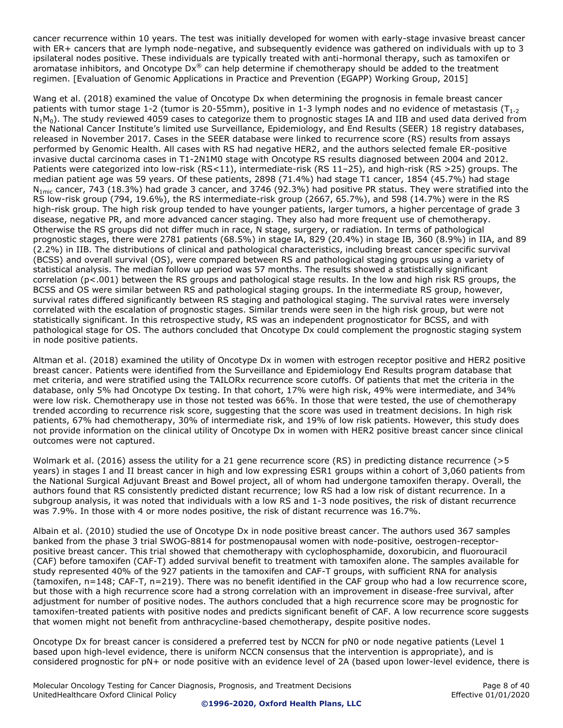cancer recurrence within 10 years. The test was initially developed for women with early-stage invasive breast cancer with ER+ cancers that are lymph node-negative, and subsequently evidence was gathered on individuals with up to 3 ipsilateral nodes positive. These individuals are typically treated with anti-hormonal therapy, such as tamoxifen or aromatase inhibitors, and Oncotype  $Dx^{\circledast}$  can help determine if chemotherapy should be added to the treatment regimen. [Evaluation of Genomic Applications in Practice and Prevention (EGAPP) Working Group, 2015]

Wang et al. (2018) examined the value of Oncotype Dx when determining the prognosis in female breast cancer patients with tumor stage 1-2 (tumor is 20-55mm), positive in 1-3 lymph nodes and no evidence of metastasis ( $T_{1-2}$ ) N1M0). The study reviewed 4059 cases to categorize them to prognostic stages IA and IIB and used data derived from the National Cancer Institute's limited use Surveillance, Epidemiology, and End Results (SEER) 18 registry databases, released in November 2017. Cases in the SEER database were linked to recurrence score (RS) results from assays performed by Genomic Health. All cases with RS had negative HER2, and the authors selected female ER-positive invasive ductal carcinoma cases in T1-2N1M0 stage with Oncotype RS results diagnosed between 2004 and 2012. Patients were categorized into low-risk (RS<11), intermediate-risk (RS 11-25), and high-risk (RS >25) groups. The median patient age was 59 years. Of these patients, 2898 (71.4%) had stage T1 cancer, 1854 (45.7%) had stage  $N_{1\text{mic}}$  cancer, 743 (18.3%) had grade 3 cancer, and 3746 (92.3%) had positive PR status. They were stratified into the RS low-risk group (794, 19.6%), the RS intermediate-risk group (2667, 65.7%), and 598 (14.7%) were in the RS high-risk group. The high risk group tended to have younger patients, larger tumors, a higher percentage of grade 3 disease, negative PR, and more advanced cancer staging. They also had more frequent use of chemotherapy. Otherwise the RS groups did not differ much in race, N stage, surgery, or radiation. In terms of pathological prognostic stages, there were 2781 patients (68.5%) in stage IA, 829 (20.4%) in stage IB, 360 (8.9%) in IIA, and 89 (2.2%) in IIB. The distributions of clinical and pathological characteristics, including breast cancer specific survival (BCSS) and overall survival (OS), were compared between RS and pathological staging groups using a variety of statistical analysis. The median follow up period was 57 months. The results showed a statistically significant correlation (p<.001) between the RS groups and pathological stage results. In the low and high risk RS groups, the BCSS and OS were similar between RS and pathological staging groups. In the intermediate RS group, however, survival rates differed significantly between RS staging and pathological staging. The survival rates were inversely correlated with the escalation of prognostic stages. Similar trends were seen in the high risk group, but were not statistically significant. In this retrospective study, RS was an independent prognosticator for BCSS, and with pathological stage for OS. The authors concluded that Oncotype Dx could complement the prognostic staging system in node positive patients.

Altman et al. (2018) examined the utility of Oncotype Dx in women with estrogen receptor positive and HER2 positive breast cancer. Patients were identified from the Surveillance and Epidemiology End Results program database that met criteria, and were stratified using the TAILORx recurrence score cutoffs. Of patients that met the criteria in the database, only 5% had Oncotype Dx testing. In that cohort, 17% were high risk, 49% were intermediate, and 34% were low risk. Chemotherapy use in those not tested was 66%. In those that were tested, the use of chemotherapy trended according to recurrence risk score, suggesting that the score was used in treatment decisions. In high risk patients, 67% had chemotherapy, 30% of intermediate risk, and 19% of low risk patients. However, this study does not provide information on the clinical utility of Oncotype Dx in women with HER2 positive breast cancer since clinical outcomes were not captured.

Wolmark et al. (2016) assess the utility for a 21 gene recurrence score (RS) in predicting distance recurrence (>5 years) in stages I and II breast cancer in high and low expressing ESR1 groups within a cohort of 3,060 patients from the National Surgical Adjuvant Breast and Bowel project, all of whom had undergone tamoxifen therapy. Overall, the authors found that RS consistently predicted distant recurrence; low RS had a low risk of distant recurrence. In a subgroup analysis, it was noted that individuals with a low RS and 1-3 node positives, the risk of distant recurrence was 7.9%. In those with 4 or more nodes positive, the risk of distant recurrence was 16.7%.

Albain et al. (2010) studied the use of Oncotype Dx in node positive breast cancer. The authors used 367 samples banked from the phase 3 trial SWOG-8814 for postmenopausal women with node-positive, oestrogen-receptorpositive breast cancer. This trial showed that chemotherapy with cyclophosphamide, doxorubicin, and fluorouracil (CAF) before tamoxifen (CAF-T) added survival benefit to treatment with tamoxifen alone. The samples available for study represented 40% of the 927 patients in the tamoxifen and CAF-T groups, with sufficient RNA for analysis (tamoxifen, n=148; CAF-T, n=219). There was no benefit identified in the CAF group who had a low recurrence score, but those with a high recurrence score had a strong correlation with an improvement in disease-free survival, after adjustment for number of positive nodes. The authors concluded that a high recurrence score may be prognostic for tamoxifen-treated patients with positive nodes and predicts significant benefit of CAF. A low recurrence score suggests that women might not benefit from anthracycline-based chemotherapy, despite positive nodes.

Oncotype Dx for breast cancer is considered a preferred test by NCCN for pN0 or node negative patients (Level 1 based upon high-level evidence, there is uniform NCCN consensus that the intervention is appropriate), and is considered prognostic for pN+ or node positive with an evidence level of 2A (based upon lower-level evidence, there is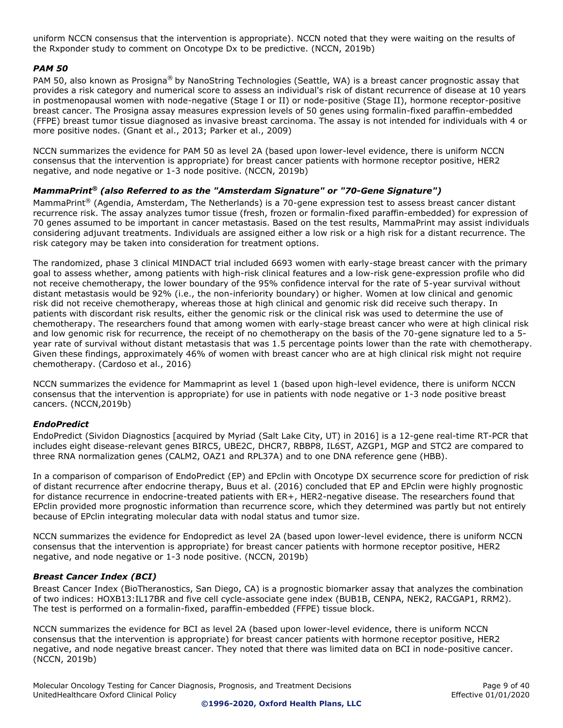uniform NCCN consensus that the intervention is appropriate). NCCN noted that they were waiting on the results of the Rxponder study to comment on Oncotype Dx to be predictive. (NCCN, 2019b)

## *PAM 50*

PAM 50, also known as Prosigna® by NanoString Technologies (Seattle, WA) is a breast cancer prognostic assay that provides a risk category and numerical score to assess an individual's risk of distant recurrence of disease at 10 years in postmenopausal women with node-negative (Stage I or II) or node-positive (Stage II), hormone receptor-positive breast cancer. The Prosigna assay measures expression levels of 50 genes using formalin-fixed paraffin-embedded (FFPE) breast tumor tissue diagnosed as invasive breast carcinoma. The assay is not intended for individuals with 4 or more positive nodes. (Gnant et al., 2013; Parker et al., 2009)

NCCN summarizes the evidence for PAM 50 as level 2A (based upon lower-level evidence, there is uniform NCCN consensus that the intervention is appropriate) for breast cancer patients with hormone receptor positive, HER2 negative, and node negative or 1-3 node positive. (NCCN, 2019b)

## *MammaPrint® (also Referred to as the "Amsterdam Signature" or "70-Gene Signature")*

MammaPrint<sup>®</sup> (Agendia, Amsterdam, The Netherlands) is a 70-gene expression test to assess breast cancer distant recurrence risk. The assay analyzes tumor tissue (fresh, frozen or formalin-fixed paraffin-embedded) for expression of 70 genes assumed to be important in cancer metastasis. Based on the test results, MammaPrint may assist individuals considering adjuvant treatments. Individuals are assigned either a low risk or a high risk for a distant recurrence. The risk category may be taken into consideration for treatment options.

The randomized, phase 3 clinical MINDACT trial included 6693 women with early-stage breast cancer with the primary goal to assess whether, among patients with high-risk clinical features and a low-risk gene-expression profile who did not receive chemotherapy, the lower boundary of the 95% confidence interval for the rate of 5-year survival without distant metastasis would be 92% (i.e., the non-inferiority boundary) or higher. Women at low clinical and genomic risk did not receive chemotherapy, whereas those at high clinical and genomic risk did receive such therapy. In patients with discordant risk results, either the genomic risk or the clinical risk was used to determine the use of chemotherapy. The researchers found that among women with early-stage breast cancer who were at high clinical risk and low genomic risk for recurrence, the receipt of no chemotherapy on the basis of the 70-gene signature led to a 5 year rate of survival without distant metastasis that was 1.5 percentage points lower than the rate with chemotherapy. Given these findings, approximately 46% of women with breast cancer who are at high clinical risk might not require chemotherapy. (Cardoso et al., 2016)

NCCN summarizes the evidence for Mammaprint as level 1 (based upon high-level evidence, there is uniform NCCN consensus that the intervention is appropriate) for use in patients with node negative or 1-3 node positive breast cancers. (NCCN,2019b)

## *EndoPredict*

EndoPredict (Sividon Diagnostics [acquired by Myriad (Salt Lake City, UT) in 2016] is a 12-gene real-time RT-PCR that includes eight disease-relevant genes BIRC5, UBE2C, DHCR7, RBBP8, IL6ST, AZGP1, MGP and STC2 are compared to three RNA normalization genes (CALM2, OAZ1 and RPL37A) and to one DNA reference gene (HBB).

In a comparison of comparison of EndoPredict (EP) and EPclin with Oncotype DX securrence score for prediction of risk of distant recurrence after endocrine therapy, Buus et al. (2016) concluded that EP and EPclin were highly prognostic for distance recurrence in endocrine-treated patients with ER+, HER2-negative disease. The researchers found that EPclin provided more prognostic information than recurrence score, which they determined was partly but not entirely because of EPclin integrating molecular data with nodal status and tumor size.

NCCN summarizes the evidence for Endopredict as level 2A (based upon lower-level evidence, there is uniform NCCN consensus that the intervention is appropriate) for breast cancer patients with hormone receptor positive, HER2 negative, and node negative or 1-3 node positive. (NCCN, 2019b)

## *Breast Cancer Index (BCI)*

Breast Cancer Index (BioTheranostics, San Diego, CA) is a prognostic biomarker assay that analyzes the combination of two indices: HOXB13:IL17BR and five cell cycle-associate gene index (BUB1B, CENPA, NEK2, RACGAP1, RRM2). The test is performed on a formalin-fixed, paraffin-embedded (FFPE) tissue block.

NCCN summarizes the evidence for BCI as level 2A (based upon lower-level evidence, there is uniform NCCN consensus that the intervention is appropriate) for breast cancer patients with hormone receptor positive, HER2 negative, and node negative breast cancer. They noted that there was limited data on BCI in node-positive cancer. (NCCN, 2019b)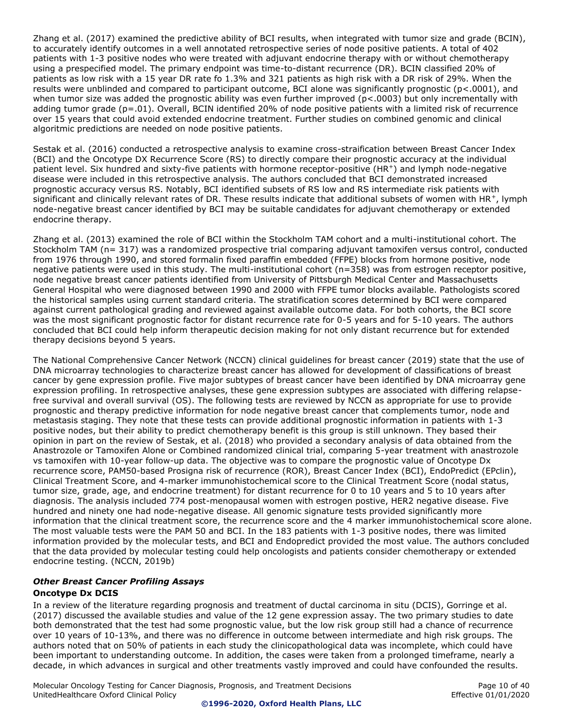Zhang et al. (2017) examined the predictive ability of BCI results, when integrated with tumor size and grade (BCIN), to accurately identify outcomes in a well annotated retrospective series of node positive patients. A total of 402 patients with 1-3 positive nodes who were treated with adjuvant endocrine therapy with or without chemotherapy using a prespecified model. The primary endpoint was time-to-distant recurrence (DR). BCIN classified 20% of patients as low risk with a 15 year DR rate fo 1.3% and 321 patients as high risk with a DR risk of 29%. When the results were unblinded and compared to participant outcome, BCI alone was significantly prognostic (p<.0001), and when tumor size was added the prognostic ability was even further improved (p<.0003) but only incrementally with adding tumor grade (p=.01). Overall, BCIN identified 20% of node positive patients with a limited risk of recurrence over 15 years that could avoid extended endocrine treatment. Further studies on combined genomic and clinical algoritmic predictions are needed on node positive patients.

Sestak et al. (2016) conducted a retrospective analysis to examine cross-straification between Breast Cancer Index (BCI) and the Oncotype DX Recurrence Score (RS) to directly compare their prognostic accuracy at the individual patient level. Six hundred and sixty-five patients with hormone receptor-positive (HR<sup>+</sup>) and lymph node-negative disease were included in this retrospective analysis. The authors concluded that BCI demonstrated increased prognostic accuracy versus RS. Notably, BCI identified subsets of RS low and RS intermediate risk patients with significant and clinically relevant rates of DR. These results indicate that additional subsets of women with HR<sup>+</sup>, lymph node-negative breast cancer identified by BCI may be suitable candidates for adjuvant chemotherapy or extended endocrine therapy.

Zhang et al. (2013) examined the role of BCI within the Stockholm TAM cohort and a multi-institutional cohort. The Stockholm TAM (n= 317) was a randomized prospective trial comparing adjuvant tamoxifen versus control, conducted from 1976 through 1990, and stored formalin fixed paraffin embedded (FFPE) blocks from hormone positive, node negative patients were used in this study. The multi-institutional cohort (n=358) was from estrogen receptor positive, node negative breast cancer patients identified from University of Pittsburgh Medical Center and Massachusetts General Hospital who were diagnosed between 1990 and 2000 with FFPE tumor blocks available. Pathologists scored the historical samples using current standard criteria. The stratification scores determined by BCI were compared against current pathological grading and reviewed against available outcome data. For both cohorts, the BCI score was the most significant prognostic factor for distant recurrence rate for 0-5 years and for 5-10 years. The authors concluded that BCI could help inform therapeutic decision making for not only distant recurrence but for extended therapy decisions beyond 5 years.

The National Comprehensive Cancer Network (NCCN) clinical guidelines for breast cancer (2019) state that the use of DNA microarray technologies to characterize breast cancer has allowed for development of classifications of breast cancer by gene expression profile. Five major subtypes of breast cancer have been identified by DNA microarray gene expression profiling. In retrospective analyses, these gene expression subtypes are associated with differing relapsefree survival and overall survival (OS). The following tests are reviewed by NCCN as appropriate for use to provide prognostic and therapy predictive information for node negative breast cancer that complements tumor, node and metastasis staging. They note that these tests can provide additional prognostic information in patients with 1-3 positive nodes, but their ability to predict chemotherapy benefit is this group is still unknown. They based their opinion in part on the review of Sestak, et al. (2018) who provided a secondary analysis of data obtained from the Anastrozole or Tamoxifen Alone or Combined randomized clinical trial, comparing 5-year treatment with anastrozole vs tamoxifen with 10-year follow-up data. The objective was to compare the prognostic value of Oncotype Dx recurrence score, PAM50-based Prosigna risk of recurrence (ROR), Breast Cancer Index (BCI), EndoPredict (EPclin), Clinical Treatment Score, and 4-marker immunohistochemical score to the Clinical Treatment Score (nodal status, tumor size, grade, age, and endocrine treatment) for distant recurrence for 0 to 10 years and 5 to 10 years after diagnosis. The analysis included 774 post-menopausal women with estrogen postive, HER2 negative disease. Five hundred and ninety one had node-negative disease. All genomic signature tests provided significantly more information that the clinical treatment score, the recurrence score and the 4 marker immunohistochemical score alone. The most valuable tests were the PAM 50 and BCI. In the 183 patients with 1-3 positive nodes, there was limited information provided by the molecular tests, and BCI and Endopredict provided the most value. The authors concluded that the data provided by molecular testing could help oncologists and patients consider chemotherapy or extended endocrine testing. (NCCN, 2019b)

## *Other Breast Cancer Profiling Assays* **Oncotype Dx DCIS**

In a review of the literature regarding prognosis and treatment of ductal carcinoma in situ (DCIS), Gorringe et al. (2017) discussed the available studies and value of the 12 gene expression assay. The two primary studies to date both demonstrated that the test had some prognostic value, but the low risk group still had a chance of recurrence over 10 years of 10-13%, and there was no difference in outcome between intermediate and high risk groups. The authors noted that on 50% of patients in each study the clinicopathological data was incomplete, which could have been important to understanding outcome. In addition, the cases were taken from a prolonged timeframe, nearly a decade, in which advances in surgical and other treatments vastly improved and could have confounded the results.

Molecular Oncology Testing for Cancer Diagnosis, Prognosis, and Treatment Decisions Funchioner 2006 40 Page 10 of 40 UnitedHealthcare Oxford Clinical Policy Effective 01/01/2020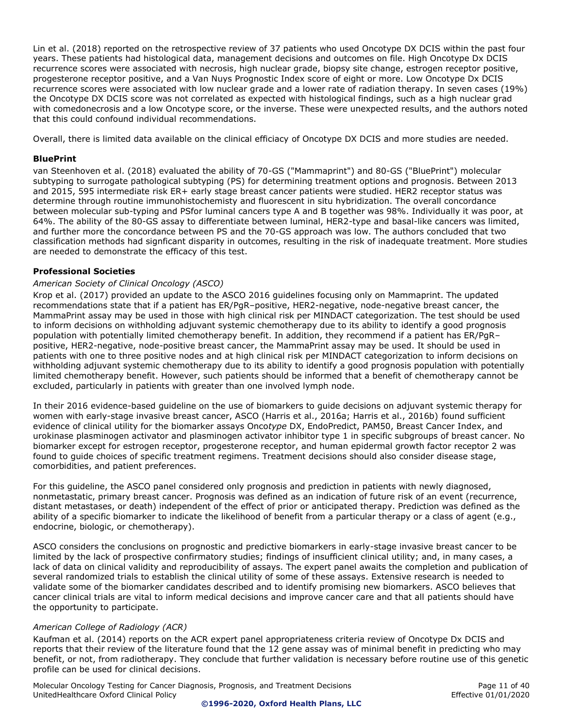Lin et al. (2018) reported on the retrospective review of 37 patients who used Oncotype DX DCIS within the past four years. These patients had histological data, management decisions and outcomes on file. High Oncotype Dx DCIS recurrence scores were associated with necrosis, high nuclear grade, biopsy site change, estrogen receptor positive, progesterone receptor positive, and a Van Nuys Prognostic Index score of eight or more. Low Oncotype Dx DCIS recurrence scores were associated with low nuclear grade and a lower rate of radiation therapy. In seven cases (19%) the Oncotype DX DCIS score was not correlated as expected with histological findings, such as a high nuclear grad with comedonecrosis and a low Oncotype score, or the inverse. These were unexpected results, and the authors noted that this could confound individual recommendations.

Overall, there is limited data available on the clinical efficiacy of Oncotype DX DCIS and more studies are needed.

## **BluePrint**

van Steenhoven et al. (2018) evaluated the ability of 70-GS ("Mammaprint") and 80-GS ("BluePrint") molecular subtyping to surrogate pathological subtyping (PS) for determining treatment options and prognosis. Between 2013 and 2015, 595 intermediate risk ER+ early stage breast cancer patients were studied. HER2 receptor status was determine through routine immunohistochemisty and fluorescent in situ hybridization. The overall concordance between molecular sub-typing and PSfor luminal cancers type A and B together was 98%. Individually it was poor, at 64%. The ability of the 80-GS assay to differentiate between luminal, HER2-type and basal-like cancers was limited, and further more the concordance between PS and the 70-GS approach was low. The authors concluded that two classification methods had signficant disparity in outcomes, resulting in the risk of inadequate treatment. More studies are needed to demonstrate the efficacy of this test.

## **Professional Societies**

## *American Society of Clinical Oncology (ASCO)*

Krop et al. (2017) provided an update to the ASCO 2016 guidelines focusing only on Mammaprint. The updated recommendations state that if a patient has ER/PgR–positive, HER2-negative, node-negative breast cancer, the MammaPrint assay may be used in those with high clinical risk per MINDACT categorization. The test should be used to inform decisions on withholding adjuvant systemic chemotherapy due to its ability to identify a good prognosis population with potentially limited chemotherapy benefit. In addition, they recommend if a patient has ER/PgR– positive, HER2-negative, node-positive breast cancer, the MammaPrint assay may be used. It should be used in patients with one to three positive nodes and at high clinical risk per MINDACT categorization to inform decisions on withholding adjuvant systemic chemotherapy due to its ability to identify a good prognosis population with potentially limited chemotherapy benefit. However, such patients should be informed that a benefit of chemotherapy cannot be excluded, particularly in patients with greater than one involved lymph node.

In their 2016 evidence-based guideline on the use of biomarkers to guide decisions on adjuvant systemic therapy for women with early-stage invasive breast cancer, ASCO (Harris et al., 2016a; Harris et al., 2016b) found sufficient evidence of clinical utility for the biomarker assays Onco*type* DX, EndoPredict, PAM50, Breast Cancer Index, and urokinase plasminogen activator and plasminogen activator inhibitor type 1 in specific subgroups of breast cancer. No biomarker except for estrogen receptor, progesterone receptor, and human epidermal growth factor receptor 2 was found to guide choices of specific treatment regimens. Treatment decisions should also consider disease stage, comorbidities, and patient preferences.

For this guideline, the ASCO panel considered only prognosis and prediction in patients with newly diagnosed, nonmetastatic, primary breast cancer. Prognosis was defined as an indication of future risk of an event (recurrence, distant metastases, or death) independent of the effect of prior or anticipated therapy. Prediction was defined as the ability of a specific biomarker to indicate the likelihood of benefit from a particular therapy or a class of agent (e.g., endocrine, biologic, or chemotherapy).

ASCO considers the conclusions on prognostic and predictive biomarkers in early-stage invasive breast cancer to be limited by the lack of prospective confirmatory studies; findings of insufficient clinical utility; and, in many cases, a lack of data on clinical validity and reproducibility of assays. The expert panel awaits the completion and publication of several randomized trials to establish the clinical utility of some of these assays. Extensive research is needed to validate some of the biomarker candidates described and to identify promising new biomarkers. ASCO believes that cancer clinical trials are vital to inform medical decisions and improve cancer care and that all patients should have the opportunity to participate.

## *American College of Radiology (ACR)*

Kaufman et al. (2014) reports on the ACR expert panel appropriateness criteria review of Oncotype Dx DCIS and reports that their review of the literature found that the 12 gene assay was of minimal benefit in predicting who may benefit, or not, from radiotherapy. They conclude that further validation is necessary before routine use of this genetic profile can be used for clinical decisions.

Molecular Oncology Testing for Cancer Diagnosis, Prognosis, and Treatment Decisions Funchioner 2006 Page 11 of 40 UnitedHealthcare Oxford Clinical Policy Effective 01/01/2020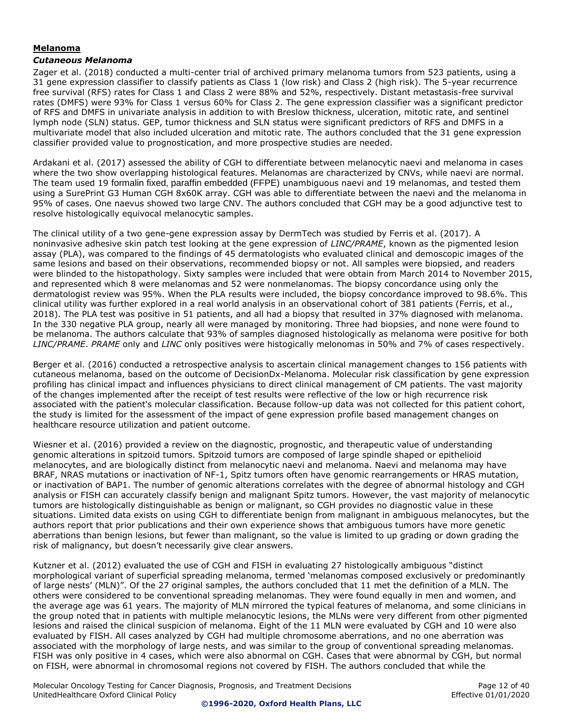#### **Melanoma** *Cutaneous Melanoma*

Zager et al. (2018) conducted a multi-center trial of archived primary melanoma tumors from 523 patients, using a 31 gene expression classifier to classify patients as Class 1 (low risk) and Class 2 (high risk). The 5-year recurrence free survival (RFS) rates for Class 1 and Class 2 were 88% and 52%, respectively. Distant metastasis-free survival rates (DMFS) were 93% for Class 1 versus 60% for Class 2. The gene expression classifier was a significant predictor of RFS and DMFS in univariate analysis in addition to with Breslow thickness, ulceration, mitotic rate, and sentinel lymph node (SLN) status. GEP, tumor thickness and SLN status were significant predictors of RFS and DMFS in a multivariate model that also included ulceration and mitotic rate. The authors concluded that the 31 gene expression classifier provided value to prognostication, and more prospective studies are needed.

Ardakani et al. (2017) assessed the ability of CGH to differentiate between melanocytic naevi and melanoma in cases where the two show overlapping histological features. Melanomas are characterized by CNVs, while naevi are normal. The team used 19 formalin fixed, paraffin embedded (FFPE) unambiguous naevi and 19 melanomas, and tested them using a SurePrint G3 Human CGH 8x60K array. CGH was able to differentiate between the naevi and the melanoma in 95% of cases. One naevus showed two large CNV. The authors concluded that CGH may be a good adjunctive test to resolve histologically equivocal melanocytic samples.

The clinical utility of a two gene-gene expression assay by DermTech was studied by Ferris et al. (2017). A noninvasive adhesive skin patch test looking at the gene expression of *LINC/PRAME*, known as the pigmented lesion assay (PLA), was compared to the findings of 45 dermatologists who evaluated clinical and demoscopic images of the same lesions and based on their observations, recommended biopsy or not. All samples were biopsied, and readers were blinded to the histopathology. Sixty samples were included that were obtain from March 2014 to November 2015, and represented which 8 were melanomas and 52 were nonmelanomas. The biopsy concordance using only the dermatologist review was 95%. When the PLA results were included, the biopsy concordance improved to 98.6%. This clinical utility was further explored in a real world analysis in an observational cohort of 381 patients (Ferris, et al., 2018). The PLA test was positive in 51 patients, and all had a biopsy that resulted in 37% diagnosed with melanoma. In the 330 negative PLA group, nearly all were managed by monitoring. Three had biopsies, and none were found to be melanoma. The authors calculate that 93% of samples diagnosed histologically as melanoma were positive for both *LINC/PRAME*. *PRAME* only and *LINC* only positives were histogically melonomas in 50% and 7% of cases respectively.

Berger et al. (2016) conducted a retrospective analysis to ascertain clinical management changes to 156 patients with cutaneous melanoma, based on the outcome of DecisionDx-Melanoma. Molecular risk classification by gene expression profiling has clinical impact and influences physicians to direct clinical management of CM patients. The vast majority of the changes implemented after the receipt of test results were reflective of the low or high recurrence risk associated with the patient's molecular classification. Because follow-up data was not collected for this patient cohort, the study is limited for the assessment of the impact of gene expression profile based management changes on healthcare resource utilization and patient outcome.

Wiesner et al. (2016) provided a review on the diagnostic, prognostic, and therapeutic value of understanding genomic alterations in spitzoid tumors. Spitzoid tumors are composed of large spindle shaped or epithelioid melanocytes, and are biologically distinct from melanocytic naevi and melanoma. Naevi and melanoma may have BRAF, NRAS mutations or inactivation of NF-1, Spitz tumors often have genomic rearrangements or HRAS mutation, or inactivation of BAP1. The number of genomic alterations correlates with the degree of abnormal histology and CGH analysis or FISH can accurately classify benign and malignant Spitz tumors. However, the vast majority of melanocytic tumors are histologically distinguishable as benign or malignant, so CGH provides no diagnostic value in these situations. Limited data exists on using CGH to differentiate benign from malignant in ambiguous melanocytes, but the authors report that prior publications and their own experience shows that ambiguous tumors have more genetic aberrations than benign lesions, but fewer than malignant, so the value is limited to up grading or down grading the risk of malignancy, but doesn't necessarily give clear answers.

Kutzner et al. (2012) evaluated the use of CGH and FISH in evaluating 27 histologically ambiguous "distinct morphological variant of superficial spreading melanoma, termed 'melanomas composed exclusively or predominantly of large nests' (MLN)". Of the 27 original samples, the authors concluded that 11 met the definition of a MLN. The others were considered to be conventional spreading melanomas. They were found equally in men and women, and the average age was 61 years. The majority of MLN mirrored the typical features of melanoma, and some clinicians in the group noted that in patients with multiple melanocytic lesions, the MLNs were very different from other pigmented lesions and raised the clinical suspicion of melanoma. Eight of the 11 MLN were evaluated by CGH and 10 were also evaluated by FISH. All cases analyzed by CGH had multiple chromosome aberrations, and no one aberration was associated with the morphology of large nests, and was similar to the group of conventional spreading melanomas. FISH was only positive in 4 cases, which were also abnormal on CGH. Cases that were abnormal by CGH, but normal on FISH, were abnormal in chromosomal regions not covered by FISH. The authors concluded that while the

Molecular Oncology Testing for Cancer Diagnosis, Prognosis, and Treatment Decisions Funchioner 2004 01: Page 12 of 40 UnitedHealthcare Oxford Clinical Policy Effective 01/01/2020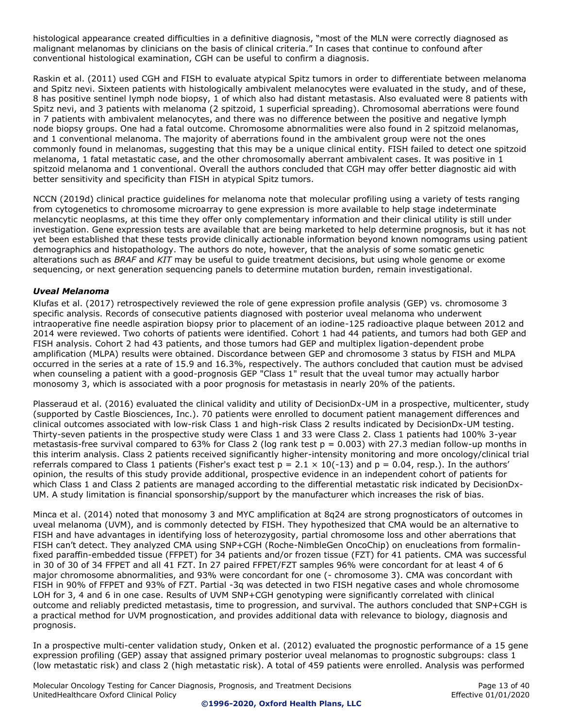histological appearance created difficulties in a definitive diagnosis, "most of the MLN were correctly diagnosed as malignant melanomas by clinicians on the basis of clinical criteria." In cases that continue to confound after conventional histological examination, CGH can be useful to confirm a diagnosis.

Raskin et al. (2011) used CGH and FISH to evaluate atypical Spitz tumors in order to differentiate between melanoma and Spitz nevi. Sixteen patients with histologically ambivalent melanocytes were evaluated in the study, and of these, 8 has positive sentinel lymph node biopsy, 1 of which also had distant metastasis. Also evaluated were 8 patients with Spitz nevi, and 3 patients with melanoma (2 spitzoid, 1 superficial spreading). Chromosomal aberrations were found in 7 patients with ambivalent melanocytes, and there was no difference between the positive and negative lymph node biopsy groups. One had a fatal outcome. Chromosome abnormalities were also found in 2 spitzoid melanomas, and 1 conventional melanoma. The majority of aberrations found in the ambivalent group were not the ones commonly found in melanomas, suggesting that this may be a unique clinical entity. FISH failed to detect one spitzoid melanoma, 1 fatal metastatic case, and the other chromosomally aberrant ambivalent cases. It was positive in 1 spitzoid melanoma and 1 conventional. Overall the authors concluded that CGH may offer better diagnostic aid with better sensitivity and specificity than FISH in atypical Spitz tumors.

NCCN (2019d) clinical practice guidelines for melanoma note that molecular profiling using a variety of tests ranging from cytogenetics to chromosome microarray to gene expression is more available to help stage indeterminate melancytic neoplasms, at this time they offer only complementary information and their clinical utility is still under investigation. Gene expression tests are available that are being marketed to help determine prognosis, but it has not yet been established that these tests provide clinically actionable information beyond known nomograms using patient demographics and histopathology. The authors do note, however, that the analysis of some somatic genetic alterations such as *BRAF* and *KIT* may be useful to guide treatment decisions, but using whole genome or exome sequencing, or next generation sequencing panels to determine mutation burden, remain investigational.

## *Uveal Melanoma*

Klufas et al. (2017) retrospectively reviewed the role of gene expression profile analysis (GEP) vs. chromosome 3 specific analysis. Records of consecutive patients diagnosed with posterior uveal melanoma who underwent intraoperative fine needle aspiration biopsy prior to placement of an iodine-125 radioactive plaque between 2012 and 2014 were reviewed. Two cohorts of patients were identified. Cohort 1 had 44 patients, and tumors had both GEP and FISH analysis. Cohort 2 had 43 patients, and those tumors had GEP and multiplex ligation-dependent probe amplification (MLPA) results were obtained. Discordance between GEP and chromosome 3 status by FISH and MLPA occurred in the series at a rate of 15.9 and 16.3%, respectively. The authors concluded that caution must be advised when counseling a patient with a good-prognosis GEP "Class 1" result that the uveal tumor may actually harbor monosomy 3, which is associated with a poor prognosis for metastasis in nearly 20% of the patients.

Plasseraud et al. (2016) evaluated the clinical validity and utility of DecisionDx-UM in a prospective, multicenter, study (supported by Castle Biosciences, Inc.). 70 patients were enrolled to document patient management differences and clinical outcomes associated with low-risk Class 1 and high-risk Class 2 results indicated by DecisionDx-UM testing. Thirty-seven patients in the prospective study were Class 1 and 33 were Class 2. Class 1 patients had 100% 3-year metastasis-free survival compared to 63% for Class 2 (log rank test  $p = 0.003$ ) with 27.3 median follow-up months in this interim analysis. Class 2 patients received significantly higher-intensity monitoring and more oncology/clinical trial referrals compared to Class 1 patients (Fisher's exact test  $p = 2.1 \times 10(-13)$  and  $p = 0.04$ , resp.). In the authors' opinion, the results of this study provide additional, prospective evidence in an independent cohort of patients for which Class 1 and Class 2 patients are managed according to the differential metastatic risk indicated by DecisionDx-UM. A study limitation is financial sponsorship/support by the manufacturer which increases the risk of bias.

Minca et al. (2014) noted that monosomy 3 and MYC amplification at 8q24 are strong prognosticators of outcomes in uveal melanoma (UVM), and is commonly detected by FISH. They hypothesized that CMA would be an alternative to FISH and have advantages in identifying loss of heterozygosity, partial chromosome loss and other aberrations that FISH can't detect. They analyzed CMA using SNP+CGH (Roche-NimbleGen OncoChip) on enucleations from formalinfixed paraffin-embedded tissue (FFPET) for 34 patients and/or frozen tissue (FZT) for 41 patients. CMA was successful in 30 of 30 of 34 FFPET and all 41 FZT. In 27 paired FFPET/FZT samples 96% were concordant for at least 4 of 6 major chromosome abnormalities, and 93% were concordant for one (- chromosome 3). CMA was concordant with FISH in 90% of FFPET and 93% of FZT. Partial -3q was detected in two FISH negative cases and whole chromosome LOH for 3, 4 and 6 in one case. Results of UVM SNP+CGH genotyping were significantly correlated with clinical outcome and reliably predicted metastasis, time to progression, and survival. The authors concluded that SNP+CGH is a practical method for UVM prognostication, and provides additional data with relevance to biology, diagnosis and prognosis.

In a prospective multi-center validation study, Onken et al. (2012) evaluated the prognostic performance of a 15 gene expression profiling (GEP) assay that assigned primary posterior uveal melanomas to prognostic subgroups: class 1 (low metastatic risk) and class 2 (high metastatic risk). A total of 459 patients were enrolled. Analysis was performed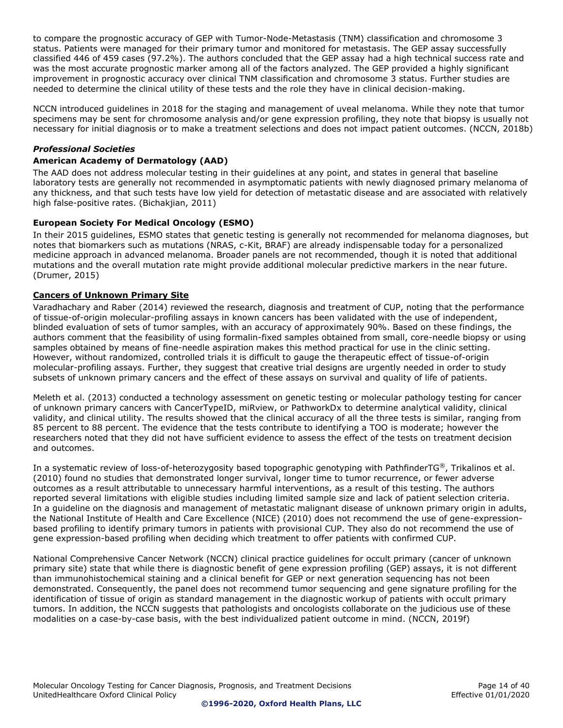to compare the prognostic accuracy of GEP with Tumor-Node-Metastasis (TNM) classification and chromosome 3 status. Patients were managed for their primary tumor and monitored for metastasis. The GEP assay successfully classified 446 of 459 cases (97.2%). The authors concluded that the GEP assay had a high technical success rate and was the most accurate prognostic marker among all of the factors analyzed. The GEP provided a highly significant improvement in prognostic accuracy over clinical TNM classification and chromosome 3 status. Further studies are needed to determine the clinical utility of these tests and the role they have in clinical decision-making.

NCCN introduced guidelines in 2018 for the staging and management of uveal melanoma. While they note that tumor specimens may be sent for chromosome analysis and/or gene expression profiling, they note that biopsy is usually not necessary for initial diagnosis or to make a treatment selections and does not impact patient outcomes. (NCCN, 2018b)

## *Professional Societies*

## **American Academy of Dermatology (AAD)**

The AAD does not address molecular testing in their guidelines at any point, and states in general that baseline laboratory tests are generally not recommended in asymptomatic patients with newly diagnosed primary melanoma of any thickness, and that such tests have low yield for detection of metastatic disease and are associated with relatively high false-positive rates. (Bichakjian, 2011)

## **European Society For Medical Oncology (ESMO)**

In their 2015 guidelines, ESMO states that genetic testing is generally not recommended for melanoma diagnoses, but notes that biomarkers such as mutations (NRAS, c-Kit, BRAF) are already indispensable today for a personalized medicine approach in advanced melanoma. Broader panels are not recommended, though it is noted that additional mutations and the overall mutation rate might provide additional molecular predictive markers in the near future. (Drumer, 2015)

## **Cancers of Unknown Primary Site**

Varadhachary and Raber (2014) reviewed the research, diagnosis and treatment of CUP, noting that the performance of tissue-of-origin molecular-profiling assays in known cancers has been validated with the use of independent, blinded evaluation of sets of tumor samples, with an accuracy of approximately 90%. Based on these findings, the authors comment that the feasibility of using formalin-fixed samples obtained from small, core-needle biopsy or using samples obtained by means of fine-needle aspiration makes this method practical for use in the clinic setting. However, without randomized, controlled trials it is difficult to gauge the therapeutic effect of tissue-of-origin molecular-profiling assays. Further, they suggest that creative trial designs are urgently needed in order to study subsets of unknown primary cancers and the effect of these assays on survival and quality of life of patients.

Meleth et al. (2013) conducted a technology assessment on genetic testing or molecular pathology testing for cancer of unknown primary cancers with CancerTypeID, miRview, or PathworkDx to determine analytical validity, clinical validity, and clinical utility. The results showed that the clinical accuracy of all the three tests is similar, ranging from 85 percent to 88 percent. The evidence that the tests contribute to identifying a TOO is moderate; however the researchers noted that they did not have sufficient evidence to assess the effect of the tests on treatment decision and outcomes.

In a systematic review of loss-of-heterozygosity based topographic genotyping with PathfinderTG®, Trikalinos et al. (2010) found no studies that demonstrated longer survival, longer time to tumor recurrence, or fewer adverse outcomes as a result attributable to unnecessary harmful interventions, as a result of this testing. The authors reported several limitations with eligible studies including limited sample size and lack of patient selection criteria. In a guideline on the diagnosis and management of metastatic malignant disease of unknown primary origin in adults, the National Institute of Health and Care Excellence (NICE) (2010) does not recommend the use of gene-expressionbased profiling to identify primary tumors in patients with provisional CUP. They also do not recommend the use of gene expression-based profiling when deciding which treatment to offer patients with confirmed CUP.

National Comprehensive Cancer Network (NCCN) clinical practice guidelines for occult primary (cancer of unknown primary site) state that while there is diagnostic benefit of gene expression profiling (GEP) assays, it is not different than immunohistochemical staining and a clinical benefit for GEP or next generation sequencing has not been demonstrated. Consequently, the panel does not recommend tumor sequencing and gene signature profiling for the identification of tissue of origin as standard management in the diagnostic workup of patients with occult primary tumors. In addition, the NCCN suggests that pathologists and oncologists collaborate on the judicious use of these modalities on a case-by-case basis, with the best individualized patient outcome in mind. (NCCN, 2019f)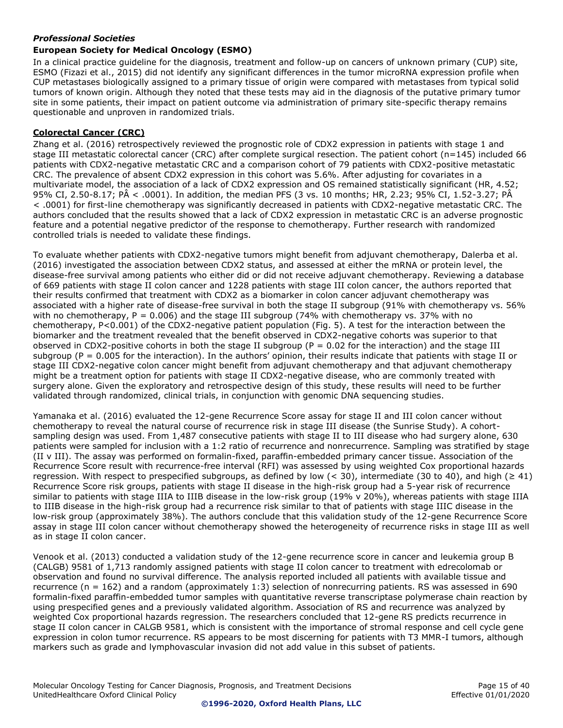## *Professional Societies*

# **European Society for Medical Oncology (ESMO)**

In a clinical practice guideline for the diagnosis, treatment and follow-up on cancers of unknown primary (CUP) site, ESMO (Fizazi et al., 2015) did not identify any significant differences in the tumor microRNA expression profile when CUP metastases biologically assigned to a primary tissue of origin were compared with metastases from typical solid tumors of known origin. Although they noted that these tests may aid in the diagnosis of the putative primary tumor site in some patients, their impact on patient outcome via administration of primary site-specific therapy remains questionable and unproven in randomized trials.

## **Colorectal Cancer (CRC)**

Zhang et al. (2016) retrospectively reviewed the prognostic role of CDX2 expression in patients with stage 1 and stage III metastatic colorectal cancer (CRC) after complete surgical resection. The patient cohort (n=145) included 66 patients with CDX2-negative metastatic CRC and a comparison cohort of 79 patients with CDX2-positive metastatic CRC. The prevalence of absent CDX2 expression in this cohort was 5.6%. After adjusting for covariates in a multivariate model, the association of a lack of CDX2 expression and OS remained statistically significant (HR, 4.52; 95% CI, 2.50-8.17; PÂ < .0001). In addition, the median PFS (3 vs. 10 months; HR, 2.23; 95% CI, 1.52-3.27; PÂ < .0001) for first-line chemotherapy was significantly decreased in patients with CDX2-negative metastatic CRC. The authors concluded that the results showed that a lack of CDX2 expression in metastatic CRC is an adverse prognostic feature and a potential negative predictor of the response to chemotherapy. Further research with randomized controlled trials is needed to validate these findings.

To evaluate whether patients with CDX2-negative tumors might benefit from adjuvant chemotherapy, Dalerba et al. (2016) investigated the association between CDX2 status, and assessed at either the mRNA or protein level, the disease-free survival among patients who either did or did not receive adjuvant chemotherapy. Reviewing a database of 669 patients with stage II colon cancer and 1228 patients with stage III colon cancer, the authors reported that their results confirmed that treatment with CDX2 as a biomarker in colon cancer adjuvant chemotherapy was associated with a higher rate of disease-free survival in both the stage II subgroup (91% with chemotherapy vs. 56% with no chemotherapy,  $P = 0.006$ ) and the stage III subgroup (74% with chemotherapy vs. 37% with no chemotherapy, P<0.001) of the CDX2-negative patient population (Fig. 5). A test for the interaction between the biomarker and the treatment revealed that the benefit observed in CDX2-negative cohorts was superior to that observed in CDX2-positive cohorts in both the stage II subgroup ( $P = 0.02$  for the interaction) and the stage III subgroup ( $P = 0.005$  for the interaction). In the authors' opinion, their results indicate that patients with stage II or stage III CDX2-negative colon cancer might benefit from adjuvant chemotherapy and that adjuvant chemotherapy might be a treatment option for patients with stage II CDX2-negative disease, who are commonly treated with surgery alone. Given the exploratory and retrospective design of this study, these results will need to be further validated through randomized, clinical trials, in conjunction with genomic DNA sequencing studies.

Yamanaka et al. (2016) evaluated the 12-gene Recurrence Score assay for stage II and III colon cancer without chemotherapy to reveal the natural course of recurrence risk in stage III disease (the Sunrise Study). A cohortsampling design was used. From 1,487 consecutive patients with stage II to III disease who had surgery alone, 630 patients were sampled for inclusion with a 1:2 ratio of recurrence and nonrecurrence. Sampling was stratified by stage (II v III). The assay was performed on formalin-fixed, paraffin-embedded primary cancer tissue. Association of the Recurrence Score result with recurrence-free interval (RFI) was assessed by using weighted Cox proportional hazards regression. With respect to prespecified subgroups, as defined by low (< 30), intermediate (30 to 40), and high ( $\geq 41$ ) Recurrence Score risk groups, patients with stage II disease in the high-risk group had a 5-year risk of recurrence similar to patients with stage IIIA to IIIB disease in the low-risk group (19% v 20%), whereas patients with stage IIIA to IIIB disease in the high-risk group had a recurrence risk similar to that of patients with stage IIIC disease in the low-risk group (approximately 38%). The authors conclude that this validation study of the 12-gene Recurrence Score assay in stage III colon cancer without chemotherapy showed the heterogeneity of recurrence risks in stage III as well as in stage II colon cancer.

Venook et al. (2013) conducted a validation study of the 12-gene recurrence score in cancer and leukemia group B (CALGB) 9581 of 1,713 randomly assigned patients with stage II colon cancer to treatment with edrecolomab or observation and found no survival difference. The analysis reported included all patients with available tissue and recurrence (n = 162) and a random (approximately 1:3) selection of nonrecurring patients. RS was assessed in 690 formalin-fixed paraffin-embedded tumor samples with quantitative reverse transcriptase polymerase chain reaction by using prespecified genes and a previously validated algorithm. Association of RS and recurrence was analyzed by weighted Cox proportional hazards regression. The researchers concluded that 12-gene RS predicts recurrence in stage II colon cancer in CALGB 9581, which is consistent with the importance of stromal response and cell cycle gene expression in colon tumor recurrence. RS appears to be most discerning for patients with T3 MMR-I tumors, although markers such as grade and lymphovascular invasion did not add value in this subset of patients.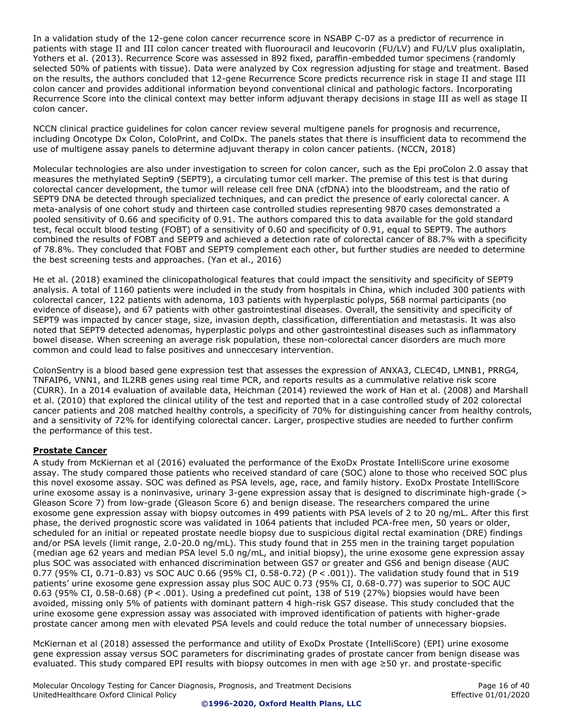In a validation study of the 12-gene colon cancer recurrence score in NSABP C-07 as a predictor of recurrence in patients with stage II and III colon cancer treated with fluorouracil and leucovorin (FU/LV) and FU/LV plus oxaliplatin, Yothers et al. (2013). Recurrence Score was assessed in 892 fixed, paraffin-embedded tumor specimens (randomly selected 50% of patients with tissue). Data were analyzed by Cox regression adjusting for stage and treatment. Based on the results, the authors concluded that 12-gene Recurrence Score predicts recurrence risk in stage II and stage III colon cancer and provides additional information beyond conventional clinical and pathologic factors. Incorporating Recurrence Score into the clinical context may better inform adjuvant therapy decisions in stage III as well as stage II colon cancer.

NCCN clinical practice guidelines for colon cancer review several multigene panels for prognosis and recurrence, including Oncotype Dx Colon, ColoPrint, and ColDx. The panels states that there is insufficient data to recommend the use of multigene assay panels to determine adjuvant therapy in colon cancer patients. (NCCN, 2018)

Molecular technologies are also under investigation to screen for colon cancer, such as the Epi proColon 2.0 assay that measures the methylated Septin9 (SEPT9), a circulating tumor cell marker. The premise of this test is that during colorectal cancer development, the tumor will release cell free DNA (cfDNA) into the bloodstream, and the ratio of SEPT9 DNA be detected through specialized techniques, and can predict the presence of early colorectal cancer. A meta-analysis of one cohort study and thirteen case controlled studies representing 9870 cases demonstrated a pooled sensitivity of 0.66 and specificity of 0.91. The authors compared this to data available for the gold standard test, fecal occult blood testing (FOBT) of a sensitivity of 0.60 and specificity of 0.91, equal to SEPT9. The authors combined the results of FOBT and SEPT9 and achieved a detection rate of colorectal cancer of 88.7% with a specificity of 78.8%. They concluded that FOBT and SEPT9 complement each other, but further studies are needed to determine the best screening tests and approaches. (Yan et al., 2016)

He et al. (2018) examined the clinicopathological features that could impact the sensitivity and specificity of SEPT9 analysis. A total of 1160 patients were included in the study from hospitals in China, which included 300 patients with colorectal cancer, 122 patients with adenoma, 103 patients with hyperplastic polyps, 568 normal participants (no evidence of disease), and 67 patients with other gastrointestinal diseases. Overall, the sensitivity and specificity of SEPT9 was impacted by cancer stage, size, invasion depth, classification, differentiation and metastasis. It was also noted that SEPT9 detected adenomas, hyperplastic polyps and other gastrointestinal diseases such as inflammatory bowel disease. When screening an average risk population, these non-colorectal cancer disorders are much more common and could lead to false positives and unneccesary intervention.

ColonSentry is a blood based gene expression test that assesses the expression of ANXA3, CLEC4D, LMNB1, PRRG4*,*  TNFAIP6, VNN1, and IL2RB genes using real time PCR, and reports results as a cummulative relative risk score (CURR). In a 2014 evaluation of available data, Heichman (2014) reviewed the work of Han et al. (2008) and Marshall et al. (2010) that explored the clinical utility of the test and reported that in a case controlled study of 202 colorectal cancer patients and 208 matched healthy controls, a specificity of 70% for distinguishing cancer from healthy controls, and a sensitivity of 72% for identifying colorectal cancer. Larger, prospective studies are needed to further confirm the performance of this test.

## **Prostate Cancer**

A study from McKiernan et al (2016) evaluated the performance of the ExoDx Prostate IntelliScore urine exosome assay. The study compared those patients who received standard of care (SOC) alone to those who received SOC plus this novel exosome assay. SOC was defined as PSA levels, age, race, and family history. ExoDx Prostate IntelliScore urine exosome assay is a noninvasive, urinary 3-gene expression assay that is designed to discriminate high-grade (> Gleason Score 7) from low-grade (Gleason Score 6) and benign disease. The researchers compared the urine exosome gene expression assay with biopsy outcomes in 499 patients with PSA levels of 2 to 20 ng/mL. After this first phase, the derived prognostic score was validated in 1064 patients that included PCA-free men, 50 years or older, scheduled for an initial or repeated prostate needle biopsy due to suspicious digital rectal examination (DRE) findings and/or PSA levels (limit range, 2.0-20.0 ng/mL). This study found that in 255 men in the training target population (median age 62 years and median PSA level 5.0 ng/mL, and initial biopsy), the urine exosome gene expression assay plus SOC was associated with enhanced discrimination between GS7 or greater and GS6 and benign disease (AUC 0.77 (95% CI, 0.71-0.83) vs SOC AUC 0.66 (95% CI, 0.58-0.72) (P < .001)). The validation study found that in 519 patients' urine exosome gene expression assay plus SOC AUC 0.73 (95% CI, 0.68-0.77) was superior to SOC AUC 0.63 (95% CI, 0.58-0.68) (P < .001). Using a predefined cut point, 138 of 519 (27%) biopsies would have been avoided, missing only 5% of patients with dominant pattern 4 high-risk GS7 disease. This study concluded that the urine exosome gene expression assay was associated with improved identification of patients with higher-grade prostate cancer among men with elevated PSA levels and could reduce the total number of unnecessary biopsies.

McKiernan et al (2018) assessed the performance and utility of ExoDx Prostate (IntelliScore) (EPI) urine exosome gene expression assay versus SOC parameters for discriminating grades of prostate cancer from benign disease was evaluated. This study compared EPI results with biopsy outcomes in men with age ≥50 yr. and prostate-specific

Molecular Oncology Testing for Cancer Diagnosis, Prognosis, and Treatment Decisions Page 16 of 40 UnitedHealthcare Oxford Clinical Policy Effective 01/01/2020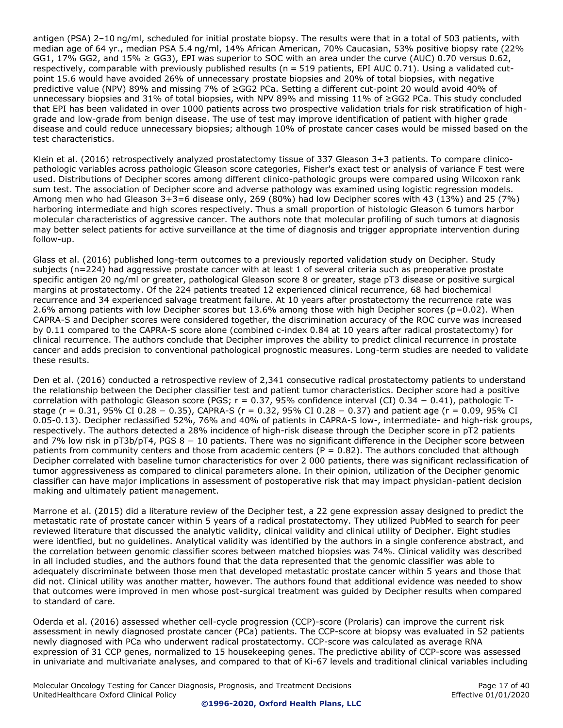antigen (PSA) 2–10 ng/ml, scheduled for initial prostate biopsy. The results were that in a total of 503 patients, with median age of 64 yr., median PSA 5.4 ng/ml, 14% African American, 70% Caucasian, 53% positive biopsy rate (22% GG1, 17% GG2, and 15%  $\geq$  GG3), EPI was superior to SOC with an area under the curve (AUC) 0.70 versus 0.62, respectively, comparable with previously published results (n = 519 patients, EPI AUC 0.71). Using a validated cutpoint 15.6 would have avoided 26% of unnecessary prostate biopsies and 20% of total biopsies, with negative predictive value (NPV) 89% and missing 7% of ≥GG2 PCa. Setting a different cut-point 20 would avoid 40% of unnecessary biopsies and 31% of total biopsies, with NPV 89% and missing 11% of ≥GG2 PCa. This study concluded that EPI has been validated in over 1000 patients across two prospective validation trials for risk stratification of highgrade and low-grade from benign disease. The use of test may improve identification of patient with higher grade disease and could reduce unnecessary biopsies; although 10% of prostate cancer cases would be missed based on the test characteristics.

Klein et al. (2016) retrospectively analyzed prostatectomy tissue of 337 Gleason 3+3 patients. To compare clinicopathologic variables across pathologic Gleason score categories, Fisher's exact test or analysis of variance F test were used. Distributions of Decipher scores among different clinico-pathologic groups were compared using Wilcoxon rank sum test. The association of Decipher score and adverse pathology was examined using logistic regression models. Among men who had Gleason 3+3=6 disease only, 269 (80%) had low Decipher scores with 43 (13%) and 25 (7%) harboring intermediate and high scores respectively. Thus a small proportion of histologic Gleason 6 tumors harbor molecular characteristics of aggressive cancer. The authors note that molecular profiling of such tumors at diagnosis may better select patients for active surveillance at the time of diagnosis and trigger appropriate intervention during follow-up.

Glass et al. (2016) published long-term outcomes to a previously reported validation study on Decipher. Study subjects (n=224) had aggressive prostate cancer with at least 1 of several criteria such as preoperative prostate specific antigen 20 ng/ml or greater, pathological Gleason score 8 or greater, stage pT3 disease or positive surgical margins at prostatectomy. Of the 224 patients treated 12 experienced clinical recurrence, 68 had biochemical recurrence and 34 experienced salvage treatment failure. At 10 years after prostatectomy the recurrence rate was 2.6% among patients with low Decipher scores but 13.6% among those with high Decipher scores (p=0.02). When CAPRA-S and Decipher scores were considered together, the discrimination accuracy of the ROC curve was increased by 0.11 compared to the CAPRA-S score alone (combined c-index 0.84 at 10 years after radical prostatectomy) for clinical recurrence. The authors conclude that Decipher improves the ability to predict clinical recurrence in prostate cancer and adds precision to conventional pathological prognostic measures. Long-term studies are needed to validate these results.

Den et al. (2016) conducted a retrospective review of 2,341 consecutive radical prostatectomy patients to understand the relationship between the Decipher classifier test and patient tumor characteristics. Decipher score had a positive correlation with pathologic Gleason score (PGS; r = 0.37, 95% confidence interval (CI) 0.34 − 0.41), pathologic Tstage (r = 0.31, 95% CI 0.28 − 0.35), CAPRA-S (r = 0.32, 95% CI 0.28 − 0.37) and patient age (r = 0.09, 95% CI 0.05-0.13). Decipher reclassified 52%, 76% and 40% of patients in CAPRA-S low-, intermediate- and high-risk groups, respectively. The authors detected a 28% incidence of high-risk disease through the Decipher score in pT2 patients and 7% low risk in pT3b/pT4, PGS 8 − 10 patients. There was no significant difference in the Decipher score between patients from community centers and those from academic centers ( $P = 0.82$ ). The authors concluded that although Decipher correlated with baseline tumor characteristics for over 2 000 patients, there was significant reclassification of tumor aggressiveness as compared to clinical parameters alone. In their opinion, utilization of the Decipher genomic classifier can have major implications in assessment of postoperative risk that may impact physician-patient decision making and ultimately patient management.

Marrone et al. (2015) did a literature review of the Decipher test, a 22 gene expression assay designed to predict the metastatic rate of prostate cancer within 5 years of a radical prostatectomy. They utilized PubMed to search for peer reviewed literature that discussed the analytic validity, clinical validity and clinical utility of Decipher. Eight studies were identfied, but no guidelines. Analytical validity was identified by the authors in a single conference abstract, and the correlation between genomic classifier scores between matched biopsies was 74%. Clinical validity was described in all included studies, and the authors found that the data represented that the genomic classifier was able to adequately discriminate between those men that developed metastatic prostate cancer within 5 years and those that did not. Clinical utility was another matter, however. The authors found that additional evidence was needed to show that outcomes were improved in men whose post-surgical treatment was guided by Decipher results when compared to standard of care.

Oderda et al. (2016) assessed whether cell-cycle progression (CCP)-score (Prolaris) can improve the current risk assessment in newly diagnosed prostate cancer (PCa) patients. The CCP-score at biopsy was evaluated in 52 patients newly diagnosed with PCa who underwent radical prostatectomy. CCP-score was calculated as average RNA expression of 31 CCP genes, normalized to 15 housekeeping genes. The predictive ability of CCP-score was assessed in univariate and multivariate analyses, and compared to that of Ki-67 levels and traditional clinical variables including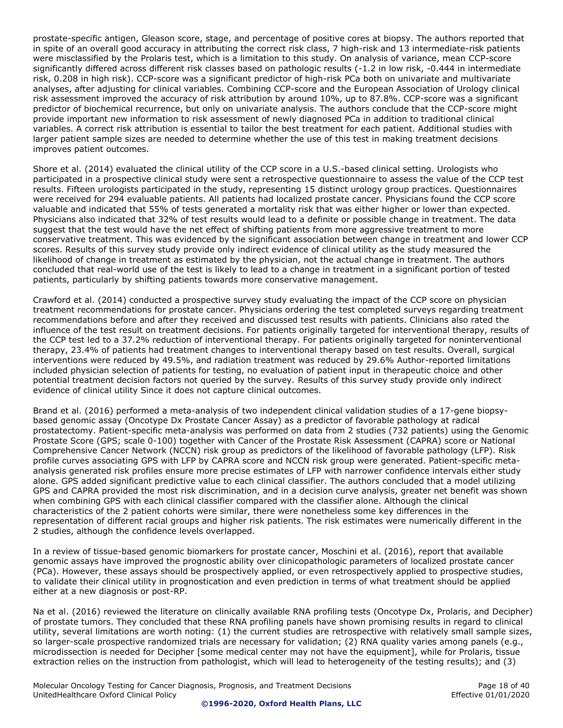prostate-specific antigen, Gleason score, stage, and percentage of positive cores at biopsy. The authors reported that in spite of an overall good accuracy in attributing the correct risk class, 7 high-risk and 13 intermediate-risk patients were misclassified by the Prolaris test, which is a limitation to this study. On analysis of variance, mean CCP-score significantly differed across different risk classes based on pathologic results (-1.2 in low risk, -0.444 in intermediate risk, 0.208 in high risk). CCP-score was a significant predictor of high-risk PCa both on univariate and multivariate analyses, after adjusting for clinical variables. Combining CCP-score and the European Association of Urology clinical risk assessment improved the accuracy of risk attribution by around 10%, up to 87.8%. CCP-score was a significant predictor of biochemical recurrence, but only on univariate analysis. The authors conclude that the CCP-score might provide important new information to risk assessment of newly diagnosed PCa in addition to traditional clinical variables. A correct risk attribution is essential to tailor the best treatment for each patient. Additional studies with larger patient sample sizes are needed to determine whether the use of this test in making treatment decisions improves patient outcomes.

Shore et al. (2014) evaluated the clinical utility of the CCP score in a U.S.-based clinical setting. Urologists who participated in a prospective clinical study were sent a retrospective questionnaire to assess the value of the CCP test results. Fifteen urologists participated in the study, representing 15 distinct urology group practices. Questionnaires were received for 294 evaluable patients. All patients had localized prostate cancer. Physicians found the CCP score valuable and indicated that 55% of tests generated a mortality risk that was either higher or lower than expected. Physicians also indicated that 32% of test results would lead to a definite or possible change in treatment. The data suggest that the test would have the net effect of shifting patients from more aggressive treatment to more conservative treatment. This was evidenced by the significant association between change in treatment and lower CCP scores. Results of this survey study provide only indirect evidence of clinical utility as the study measured the likelihood of change in treatment as estimated by the physician, not the actual change in treatment. The authors concluded that real-world use of the test is likely to lead to a change in treatment in a significant portion of tested patients, particularly by shifting patients towards more conservative management.

Crawford et al. (2014) conducted a prospective survey study evaluating the impact of the CCP score on physician treatment recommendations for prostate cancer. Physicians ordering the test completed surveys regarding treatment recommendations before and after they received and discussed test results with patients. Clinicians also rated the influence of the test result on treatment decisions. For patients originally targeted for interventional therapy, results of the CCP test led to a 37.2% reduction of interventional therapy. For patients originally targeted for noninterventional therapy, 23.4% of patients had treatment changes to interventional therapy based on test results. Overall, surgical interventions were reduced by 49.5%, and radiation treatment was reduced by 29.6% Author-reported limitations included physician selection of patients for testing, no evaluation of patient input in therapeutic choice and other potential treatment decision factors not queried by the survey. Results of this survey study provide only indirect evidence of clinical utility Since it does not capture clinical outcomes.

Brand et al. (2016) performed a meta-analysis of two independent clinical validation studies of a 17-gene biopsybased genomic assay (Oncotype Dx Prostate Cancer Assay) as a predictor of favorable pathology at radical prostatectomy. Patient-specific meta-analysis was performed on data from 2 studies (732 patients) using the Genomic Prostate Score (GPS; scale 0-100) together with Cancer of the Prostate Risk Assessment (CAPRA) score or National Comprehensive Cancer Network (NCCN) risk group as predictors of the likelihood of favorable pathology (LFP). Risk profile curves associating GPS with LFP by CAPRA score and NCCN risk group were generated. Patient-specific metaanalysis generated risk profiles ensure more precise estimates of LFP with narrower confidence intervals either study alone. GPS added significant predictive value to each clinical classifier. The authors concluded that a model utilizing GPS and CAPRA provided the most risk discrimination, and in a decision curve analysis, greater net benefit was shown when combining GPS with each clinical classifier compared with the classifier alone. Although the clinical characteristics of the 2 patient cohorts were similar, there were nonetheless some key differences in the representation of different racial groups and higher risk patients. The risk estimates were numerically different in the 2 studies, although the confidence levels overlapped.

In a review of tissue-based genomic biomarkers for prostate cancer, Moschini et al. (2016), report that available genomic assays have improved the prognostic ability over clinicopathologic parameters of localized prostate cancer (PCa). However, these assays should be prospectively applied, or even retrospectively applied to prospective studies, to validate their clinical utility in prognostication and even prediction in terms of what treatment should be applied either at a new diagnosis or post-RP.

Na et al. (2016) reviewed the literature on clinically available RNA profiling tests (Oncotype Dx, Prolaris, and Decipher) of prostate tumors. They concluded that these RNA profiling panels have shown promising results in regard to clinical utility, several limitations are worth noting: (1) the current studies are retrospective with relatively small sample sizes, so larger-scale prospective randomized trials are necessary for validation; (2) RNA quality varies among panels (e.g., microdissection is needed for Decipher [some medical center may not have the equipment], while for Prolaris, tissue extraction relies on the instruction from pathologist, which will lead to heterogeneity of the testing results); and (3)

Molecular Oncology Testing for Cancer Diagnosis, Prognosis, and Treatment Decisions Page 18 of 40 UnitedHealthcare Oxford Clinical Policy Effective 01/01/2020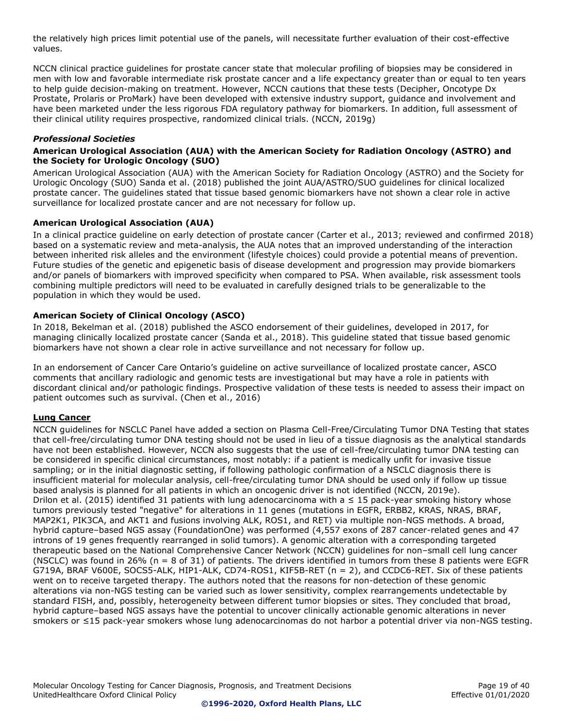the relatively high prices limit potential use of the panels, will necessitate further evaluation of their cost-effective values.

NCCN clinical practice guidelines for prostate cancer state that molecular profiling of biopsies may be considered in men with low and favorable intermediate risk prostate cancer and a life expectancy greater than or equal to ten years to help guide decision-making on treatment. However, NCCN cautions that these tests (Decipher, Oncotype Dx Prostate, Prolaris or ProMark) have been developed with extensive industry support, guidance and involvement and have been marketed under the less rigorous FDA regulatory pathway for biomarkers. In addition, full assessment of their clinical utility requires prospective, randomized clinical trials. (NCCN, 2019g)

## *Professional Societies*

## **American Urological Association (AUA) with the American Society for Radiation Oncology (ASTRO) and the Society for Urologic Oncology (SUO)**

American Urological Association (AUA) with the American Society for Radiation Oncology (ASTRO) and the Society for Urologic Oncology (SUO) Sanda et al. (2018) published the joint AUA/ASTRO/SUO guidelines for clinical localized prostate cancer. The guidelines stated that tissue based genomic biomarkers have not shown a clear role in active surveillance for localized prostate cancer and are not necessary for follow up.

## **American Urological Association (AUA)**

In a clinical practice guideline on early detection of prostate cancer (Carter et al., 2013; reviewed and confirmed 2018) based on a systematic review and meta-analysis, the AUA notes that an improved understanding of the interaction between inherited risk alleles and the environment (lifestyle choices) could provide a potential means of prevention. Future studies of the genetic and epigenetic basis of disease development and progression may provide biomarkers and/or panels of biomarkers with improved specificity when compared to PSA. When available, risk assessment tools combining multiple predictors will need to be evaluated in carefully designed trials to be generalizable to the population in which they would be used.

## **American Society of Clinical Oncology (ASCO)**

In 2018, Bekelman et al. (2018) published the ASCO endorsement of their guidelines, developed in 2017, for managing clinically localized prostate cancer (Sanda et al., 2018). This guideline stated that tissue based genomic biomarkers have not shown a clear role in active surveillance and not necessary for follow up.

In an endorsement of Cancer Care Ontario's guideline on active surveillance of localized prostate cancer, ASCO comments that ancillary radiologic and genomic tests are investigational but may have a role in patients with discordant clinical and/or pathologic findings. Prospective validation of these tests is needed to assess their impact on patient outcomes such as survival. (Chen et al., 2016)

## **Lung Cancer**

NCCN guidelines for NSCLC Panel have added a section on Plasma Cell-Free/Circulating Tumor DNA Testing that states that cell-free/circulating tumor DNA testing should not be used in lieu of a tissue diagnosis as the analytical standards have not been established. However, NCCN also suggests that the use of cell-free/circulating tumor DNA testing can be considered in specific clinical circumstances, most notably: if a patient is medically unfit for invasive tissue sampling; or in the initial diagnostic setting, if following pathologic confirmation of a NSCLC diagnosis there is insufficient material for molecular analysis, cell-free/circulating tumor DNA should be used only if follow up tissue based analysis is planned for all patients in which an oncogenic driver is not identified (NCCN, 2019e). Drilon et al. (2015) identified 31 patients with lung adenocarcinoma with a ≤ 15 pack-year smoking history whose tumors previously tested "negative" for alterations in 11 genes (mutations in EGFR, ERBB2, KRAS, NRAS, BRAF, MAP2K1, PIK3CA, and AKT1 and fusions involving ALK, ROS1, and RET) via multiple non-NGS methods. A broad, hybrid capture–based NGS assay (FoundationOne) was performed (4,557 exons of 287 cancer-related genes and 47 introns of 19 genes frequently rearranged in solid tumors). A genomic alteration with a corresponding targeted therapeutic based on the National Comprehensive Cancer Network (NCCN) guidelines for non–small cell lung cancer (NSCLC) was found in 26% (n = 8 of 31) of patients. The drivers identified in tumors from these 8 patients were EGFR G719A, BRAF V600E, SOCS5-ALK, HIP1-ALK, CD74-ROS1, KIF5B-RET (n = 2), and CCDC6-RET. Six of these patients went on to receive targeted therapy. The authors noted that the reasons for non-detection of these genomic alterations via non-NGS testing can be varied such as lower sensitivity, complex rearrangements undetectable by standard FISH, and, possibly, heterogeneity between different tumor biopsies or sites. They concluded that broad, hybrid capture–based NGS assays have the potential to uncover clinically actionable genomic alterations in never smokers or ≤15 pack-year smokers whose lung adenocarcinomas do not harbor a potential driver via non-NGS testing.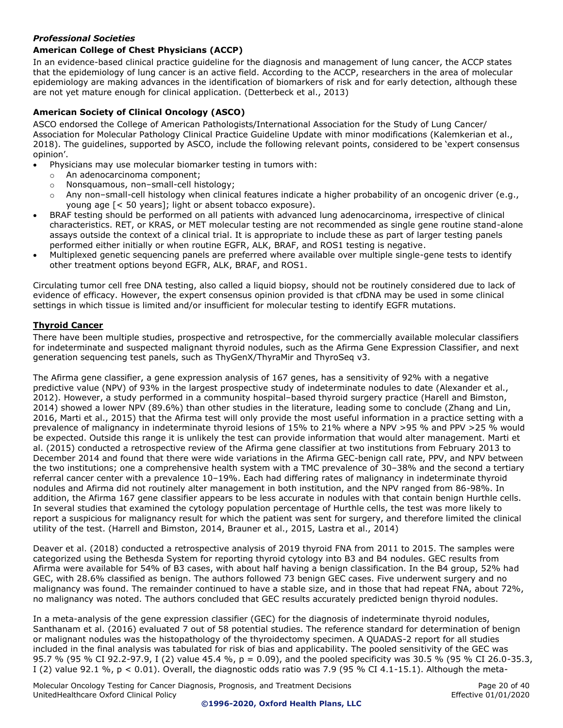## *Professional Societies*

# **American College of Chest Physicians (ACCP)**

In an evidence-based clinical practice guideline for the diagnosis and management of lung cancer, the ACCP states that the epidemiology of lung cancer is an active field. According to the ACCP, researchers in the area of molecular epidemiology are making advances in the identification of biomarkers of risk and for early detection, although these are not yet mature enough for clinical application. (Detterbeck et al., 2013)

## **American Society of Clinical Oncology (ASCO)**

ASCO endorsed the College of American Pathologists/International Association for the Study of Lung Cancer/ Association for Molecular Pathology Clinical Practice Guideline Update with minor modifications (Kalemkerian et al., 2018). The guidelines, supported by ASCO, include the following relevant points, considered to be 'expert consensus opinion'.

- Physicians may use molecular biomarker testing in tumors with:
	- o An adenocarcinoma component;
	- o Nonsquamous, non–small-cell histology;
	- o Any non–small-cell histology when clinical features indicate a higher probability of an oncogenic driver (e.g., young age [< 50 years]; light or absent tobacco exposure).
- BRAF testing should be performed on all patients with advanced lung adenocarcinoma, irrespective of clinical characteristics. RET, or KRAS, or MET molecular testing are not recommended as single gene routine stand-alone assays outside the context of a clinical trial. It is appropriate to include these as part of larger testing panels performed either initially or when routine EGFR, ALK, BRAF, and ROS1 testing is negative.
- Multiplexed genetic sequencing panels are preferred where available over multiple single-gene tests to identify other treatment options beyond EGFR, ALK, BRAF, and ROS1.

Circulating tumor cell free DNA testing, also called a liquid biopsy, should not be routinely considered due to lack of evidence of efficacy. However, the expert consensus opinion provided is that cfDNA may be used in some clinical settings in which tissue is limited and/or insufficient for molecular testing to identify EGFR mutations.

## **Thyroid Cancer**

There have been multiple studies, prospective and retrospective, for the commercially available molecular classifiers for indeterminate and suspected malignant thyroid nodules, such as the Afirma Gene Expression Classifier, and next generation sequencing test panels, such as ThyGenX/ThyraMir and ThyroSeq v3.

The Afirma gene classifier, a gene expression analysis of 167 genes, has a sensitivity of 92% with a negative predictive value (NPV) of 93% in the largest prospective study of indeterminate nodules to date (Alexander et al., 2012). However, a study performed in a community hospital–based thyroid surgery practice (Harell and Bimston, 2014) showed a lower NPV (89.6%) than other studies in the literature, leading some to conclude (Zhang and Lin, 2016, Marti et al., 2015) that the Afirma test will only provide the most useful information in a practice setting with a prevalence of malignancy in indeterminate thyroid lesions of 15% to 21% where a NPV >95 % and PPV >25 % would be expected. Outside this range it is unlikely the test can provide information that would alter management. Marti et al. (2015) conducted a retrospective review of the Afirma gene classifier at two institutions from February 2013 to December 2014 and found that there were wide variations in the Afirma GEC-benign call rate, PPV, and NPV between the two institutions; one a comprehensive health system with a TMC prevalence of 30–38% and the second a tertiary referral cancer center with a prevalence 10–19%. Each had differing rates of malignancy in indeterminate thyroid nodules and Afirma did not routinely alter management in both institution, and the NPV ranged from 86-98%. In addition, the Afirma 167 gene classifier appears to be less accurate in nodules with that contain benign Hurthle cells. In several studies that examined the cytology population percentage of Hurthle cells, the test was more likely to report a suspicious for malignancy result for which the patient was sent for surgery, and therefore limited the clinical utility of the test. (Harrell and Bimston, 2014, Brauner et al., 2015, Lastra et al., 2014)

Deaver et al. (2018) conducted a retrospective analysis of 2019 thyroid FNA from 2011 to 2015. The samples were categorized using the Bethesda System for reporting thyroid cytology into B3 and B4 nodules. GEC results from Afirma were available for 54% of B3 cases, with about half having a benign classification. In the B4 group, 52% had GEC, with 28.6% classified as benign. The authors followed 73 benign GEC cases. Five underwent surgery and no malignancy was found. The remainder continued to have a stable size, and in those that had repeat FNA, about 72%, no malignancy was noted. The authors concluded that GEC results accurately predicted benign thyroid nodules.

In a meta-analysis of the gene expression classifier (GEC) for the diagnosis of indeterminate thyroid nodules, Santhanam et al. (2016) evaluated 7 out of 58 potential studies. The reference standard for determination of benign or malignant nodules was the histopathology of the thyroidectomy specimen. A QUADAS-2 report for all studies included in the final analysis was tabulated for risk of bias and applicability. The pooled sensitivity of the GEC was 95.7 % (95 % CI 92.2-97.9, I (2) value 45.4 %, p = 0.09), and the pooled specificity was 30.5 % (95 % CI 26.0-35.3, I (2) value 92.1 %,  $p < 0.01$ ). Overall, the diagnostic odds ratio was 7.9 (95 % CI 4.1-15.1). Although the meta-

Molecular Oncology Testing for Cancer Diagnosis, Prognosis, and Treatment Decisions Funchioner 20 of 40 UnitedHealthcare Oxford Clinical Policy Effective 01/01/2020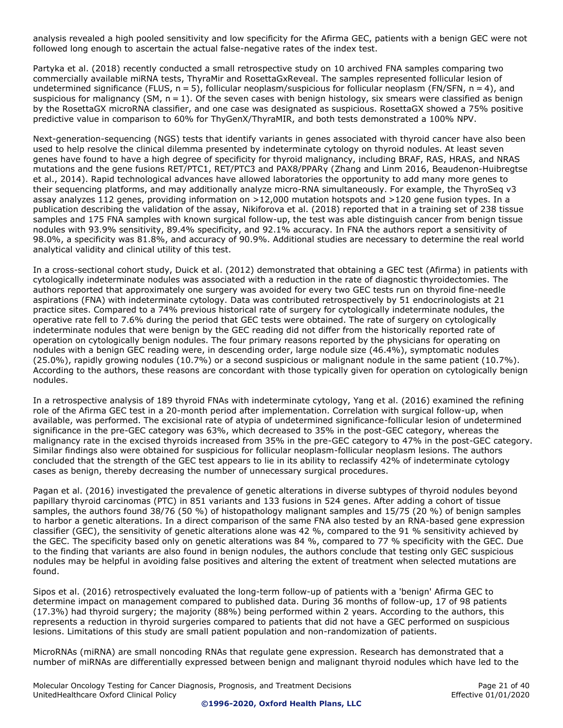analysis revealed a high pooled sensitivity and low specificity for the Afirma GEC, patients with a benign GEC were not followed long enough to ascertain the actual false-negative rates of the index test.

Partyka et al. (2018) recently conducted a small retrospective study on 10 archived FNA samples comparing two commercially available miRNA tests, ThyraMir and RosettaGxReveal. The samples represented follicular lesion of undetermined significance (FLUS,  $n = 5$ ), follicular neoplasm/suspicious for follicular neoplasm (FN/SFN,  $n = 4$ ), and suspicious for malignancy (SM,  $n = 1$ ). Of the seven cases with benign histology, six smears were classified as benign by the RosettaGX microRNA classifier, and one case was designated as suspicious. RosettaGX showed a 75% positive predictive value in comparison to 60% for ThyGenX/ThyraMIR, and both tests demonstrated a 100% NPV.

Next-generation-sequencing (NGS) tests that identify variants in genes associated with thyroid cancer have also been used to help resolve the clinical dilemma presented by indeterminate cytology on thyroid nodules. At least seven genes have found to have a high degree of specificity for thyroid malignancy, including BRAF, RAS, HRAS, and NRAS mutations and the gene fusions RET/PTC1, RET/PTC3 and PAX8/PPARγ (Zhang and Linm 2016, Beaudenon-Huibregtse et al., 2014). Rapid technological advances have allowed laboratories the opportunity to add many more genes to their sequencing platforms, and may additionally analyze micro-RNA simultaneously. For example, the ThyroSeq v3 assay analyzes 112 genes, providing information on >12,000 mutation hotspots and >120 gene fusion types. In a publication describing the validation of the assay, Nikiforova et al. (2018) reported that in a training set of 238 tissue samples and 175 FNA samples with known surgical follow-up, the test was able distinguish cancer from benign tissue nodules with 93.9% sensitivity, 89.4% specificity, and 92.1% accuracy. In FNA the authors report a sensitivity of 98.0%, a specificity was 81.8%, and accuracy of 90.9%. Additional studies are necessary to determine the real world analytical validity and clinical utility of this test.

In a cross-sectional cohort study, Duick et al. (2012) demonstrated that obtaining a GEC test (Afirma) in patients with cytologically indeterminate nodules was associated with a reduction in the rate of diagnostic thyroidectomies. The authors reported that approximately one surgery was avoided for every two GEC tests run on thyroid fine-needle aspirations (FNA) with indeterminate cytology. Data was contributed retrospectively by 51 endocrinologists at 21 practice sites. Compared to a 74% previous historical rate of surgery for cytologically indeterminate nodules, the operative rate fell to 7.6% during the period that GEC tests were obtained. The rate of surgery on cytologically indeterminate nodules that were benign by the GEC reading did not differ from the historically reported rate of operation on cytologically benign nodules. The four primary reasons reported by the physicians for operating on nodules with a benign GEC reading were, in descending order, large nodule size (46.4%), symptomatic nodules (25.0%), rapidly growing nodules (10.7%) or a second suspicious or malignant nodule in the same patient (10.7%). According to the authors, these reasons are concordant with those typically given for operation on cytologically benign nodules.

In a retrospective analysis of 189 thyroid FNAs with indeterminate cytology, Yang et al. (2016) examined the refining role of the Afirma GEC test in a 20-month period after implementation. Correlation with surgical follow-up, when available, was performed. The excisional rate of atypia of undetermined significance-follicular lesion of undetermined significance in the pre-GEC category was 63%, which decreased to 35% in the post-GEC category, whereas the malignancy rate in the excised thyroids increased from 35% in the pre-GEC category to 47% in the post-GEC category. Similar findings also were obtained for suspicious for follicular neoplasm-follicular neoplasm lesions. The authors concluded that the strength of the GEC test appears to lie in its ability to reclassify 42% of indeterminate cytology cases as benign, thereby decreasing the number of unnecessary surgical procedures.

Pagan et al. (2016) investigated the prevalence of genetic alterations in diverse subtypes of thyroid nodules beyond papillary thyroid carcinomas (PTC) in 851 variants and 133 fusions in 524 genes. After adding a cohort of tissue samples, the authors found 38/76 (50 %) of histopathology malignant samples and 15/75 (20 %) of benign samples to harbor a genetic alterations. In a direct comparison of the same FNA also tested by an RNA-based gene expression classifier (GEC), the sensitivity of genetic alterations alone was 42 %, compared to the 91 % sensitivity achieved by the GEC. The specificity based only on genetic alterations was 84 %, compared to 77 % specificity with the GEC. Due to the finding that variants are also found in benign nodules, the authors conclude that testing only GEC suspicious nodules may be helpful in avoiding false positives and altering the extent of treatment when selected mutations are found.

Sipos et al. (2016) retrospectively evaluated the long-term follow-up of patients with a 'benign' Afirma GEC to determine impact on management compared to published data. During 36 months of follow-up, 17 of 98 patients (17.3%) had thyroid surgery; the majority (88%) being performed within 2 years. According to the authors, this represents a reduction in thyroid surgeries compared to patients that did not have a GEC performed on suspicious lesions. Limitations of this study are small patient population and non-randomization of patients.

MicroRNAs (miRNA) are small noncoding RNAs that regulate gene expression. Research has demonstrated that a number of miRNAs are differentially expressed between benign and malignant thyroid nodules which have led to the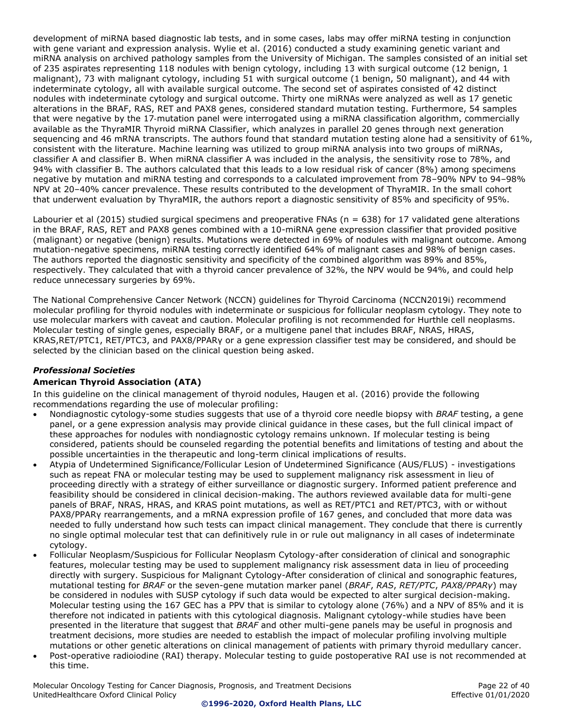development of miRNA based diagnostic lab tests, and in some cases, labs may offer miRNA testing in conjunction with gene variant and expression analysis. Wylie et al. (2016) conducted a study examining genetic variant and miRNA analysis on archived pathology samples from the University of Michigan. The samples consisted of an initial set of 235 aspirates representing 118 nodules with benign cytology, including 13 with surgical outcome (12 benign, 1 malignant), 73 with malignant cytology, including 51 with surgical outcome (1 benign, 50 malignant), and 44 with indeterminate cytology, all with available surgical outcome. The second set of aspirates consisted of 42 distinct nodules with indeterminate cytology and surgical outcome. Thirty one miRNAs were analyzed as well as 17 genetic alterations in the BRAF, RAS, RET and PAX8 genes, considered standard mutation testing. Furthermore, 54 samples that were negative by the 17‐mutation panel were interrogated using a miRNA classification algorithm, commercially available as the ThyraMIR Thyroid miRNA Classifier, which analyzes in parallel 20 genes through next generation sequencing and 46 mRNA transcripts. The authors found that standard mutation testing alone had a sensitivity of 61%, consistent with the literature. Machine learning was utilized to group miRNA analysis into two groups of miRNAs, classifier A and classifier B. When miRNA classifier A was included in the analysis, the sensitivity rose to 78%, and 94% with classifier B. The authors calculated that this leads to a low residual risk of cancer (8%) among specimens negative by mutation and miRNA testing and corresponds to a calculated improvement from 78–90% NPV to 94–98% NPV at 20–40% cancer prevalence. These results contributed to the development of ThyraMIR. In the small cohort that underwent evaluation by ThyraMIR, the authors report a diagnostic sensitivity of 85% and specificity of 95%.

Labourier et al (2015) studied surgical specimens and preoperative FNAs (n = 638) for 17 validated gene alterations in the BRAF, RAS, RET and PAX8 genes combined with a 10-miRNA gene expression classifier that provided positive (malignant) or negative (benign) results. Mutations were detected in 69% of nodules with malignant outcome. Among mutation-negative specimens, miRNA testing correctly identified 64% of malignant cases and 98% of benign cases. The authors reported the diagnostic sensitivity and specificity of the combined algorithm was 89% and 85%, respectively. They calculated that with a thyroid cancer prevalence of 32%, the NPV would be 94%, and could help reduce unnecessary surgeries by 69%.

The National Comprehensive Cancer Network (NCCN) guidelines for Thyroid Carcinoma (NCCN2019i) recommend molecular profiling for thyroid nodules with indeterminate or suspicious for follicular neoplasm cytology. They note to use molecular markers with caveat and caution. Molecular profiling is not recommended for Hurthle cell neoplasms. Molecular testing of single genes, especially BRAF, or a multigene panel that includes BRAF, NRAS, HRAS, KRAS,RET/PTC1, RET/PTC3, and PAX8/PPARγ or a gene expression classifier test may be considered, and should be selected by the clinician based on the clinical question being asked.

## *Professional Societies*

## **American Thyroid Association (ATA)**

In this guideline on the clinical management of thyroid nodules, Haugen et al. (2016) provide the following recommendations regarding the use of molecular profiling:

- Nondiagnostic cytology-some studies suggests that use of a thyroid core needle biopsy with *BRAF* testing, a gene panel, or a gene expression analysis may provide clinical guidance in these cases, but the full clinical impact of these approaches for nodules with nondiagnostic cytology remains unknown. If molecular testing is being considered, patients should be counseled regarding the potential benefits and limitations of testing and about the possible uncertainties in the therapeutic and long-term clinical implications of results.
- Atypia of Undetermined Significance/Follicular Lesion of Undetermined Significance (AUS/FLUS) investigations such as repeat FNA or molecular testing may be used to supplement malignancy risk assessment in lieu of proceeding directly with a strategy of either surveillance or diagnostic surgery. Informed patient preference and feasibility should be considered in clinical decision-making. The authors reviewed available data for multi-gene panels of BRAF, NRAS, HRAS, and KRAS point mutations, as well as RET/PTC1 and RET/PTC3, with or without PAX8/PPARγ rearrangements, and a mRNA expression profile of 167 genes, and concluded that more data was needed to fully understand how such tests can impact clinical management. They conclude that there is currently no single optimal molecular test that can definitively rule in or rule out malignancy in all cases of indeterminate cytology.
- Follicular Neoplasm/Suspicious for Follicular Neoplasm Cytology-after consideration of clinical and sonographic features, molecular testing may be used to supplement malignancy risk assessment data in lieu of proceeding directly with surgery. Suspicious for Malignant Cytology-After consideration of clinical and sonographic features, mutational testing for *BRAF* or the seven-gene mutation marker panel (*BRAF*, *RAS*, *RET/PTC*, *PAX8/PPARγ*) may be considered in nodules with SUSP cytology if such data would be expected to alter surgical decision-making. Molecular testing using the 167 GEC has a PPV that is similar to cytology alone (76%) and a NPV of 85% and it is therefore not indicated in patients with this cytological diagnosis. Malignant cytology-while studies have been presented in the literature that suggest that *BRAF* and other multi-gene panels may be useful in prognosis and treatment decisions, more studies are needed to establish the impact of molecular profiling involving multiple mutations or other genetic alterations on clinical management of patients with primary thyroid medullary cancer.
- Post-operative radioiodine (RAI) therapy. Molecular testing to guide postoperative RAI use is not recommended at this time.

Molecular Oncology Testing for Cancer Diagnosis, Prognosis, and Treatment Decisions Page 22 of 40 UnitedHealthcare Oxford Clinical Policy Effective 01/01/2020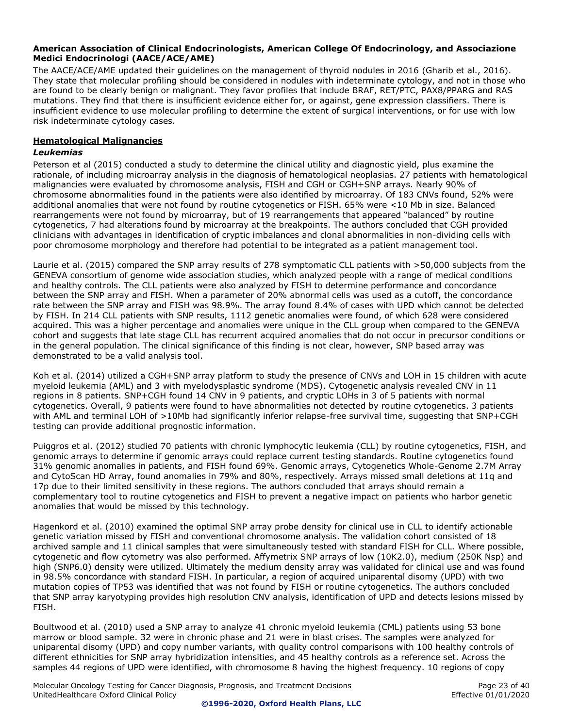#### **American Association of Clinical Endocrinologists, American College Of Endocrinology, and Associazione Medici Endocrinologi (AACE/ACE/AME)**

The AACE/ACE/AME updated their guidelines on the management of thyroid nodules in 2016 (Gharib et al., 2016). They state that molecular profiling should be considered in nodules with indeterminate cytology, and not in those who are found to be clearly benign or malignant. They favor profiles that include BRAF, RET/PTC, PAX8/PPARG and RAS mutations. They find that there is insufficient evidence either for, or against, gene expression classifiers. There is insufficient evidence to use molecular profiling to determine the extent of surgical interventions, or for use with low risk indeterminate cytology cases.

## **Hematological Malignancies**

## *Leukemias*

Peterson et al (2015) conducted a study to determine the clinical utility and diagnostic yield, plus examine the rationale, of including microarray analysis in the diagnosis of hematological neoplasias. 27 patients with hematological malignancies were evaluated by chromosome analysis, FISH and CGH or CGH+SNP arrays. Nearly 90% of chromosome abnormalities found in the patients were also identified by microarray. Of 183 CNVs found, 52% were additional anomalies that were not found by routine cytogenetics or FISH. 65% were <10 Mb in size. Balanced rearrangements were not found by microarray, but of 19 rearrangements that appeared "balanced" by routine cytogenetics, 7 had alterations found by microarray at the breakpoints. The authors concluded that CGH provided clinicians with advantages in identification of cryptic imbalances and clonal abnormalities in non-dividing cells with poor chromosome morphology and therefore had potential to be integrated as a patient management tool.

Laurie et al. (2015) compared the SNP array results of 278 symptomatic CLL patients with >50,000 subjects from the GENEVA consortium of genome wide association studies, which analyzed people with a range of medical conditions and healthy controls. The CLL patients were also analyzed by FISH to determine performance and concordance between the SNP array and FISH. When a parameter of 20% abnormal cells was used as a cutoff, the concordance rate between the SNP array and FISH was 98.9%. The array found 8.4% of cases with UPD which cannot be detected by FISH. In 214 CLL patients with SNP results, 1112 genetic anomalies were found, of which 628 were considered acquired. This was a higher percentage and anomalies were unique in the CLL group when compared to the GENEVA cohort and suggests that late stage CLL has recurrent acquired anomalies that do not occur in precursor conditions or in the general population. The clinical significance of this finding is not clear, however, SNP based array was demonstrated to be a valid analysis tool.

Koh et al. (2014) utilized a CGH+SNP array platform to study the presence of CNVs and LOH in 15 children with acute myeloid leukemia (AML) and 3 with myelodysplastic syndrome (MDS). Cytogenetic analysis revealed CNV in 11 regions in 8 patients. SNP+CGH found 14 CNV in 9 patients, and cryptic LOHs in 3 of 5 patients with normal cytogenetics. Overall, 9 patients were found to have abnormalities not detected by routine cytogenetics. 3 patients with AML and terminal LOH of >10Mb had significantly inferior relapse-free survival time, suggesting that SNP+CGH testing can provide additional prognostic information.

Puiggros et al. (2012) studied 70 patients with chronic lymphocytic leukemia (CLL) by routine cytogenetics, FISH, and genomic arrays to determine if genomic arrays could replace current testing standards. Routine cytogenetics found 31% genomic anomalies in patients, and FISH found 69%. Genomic arrays, Cytogenetics Whole-Genome 2.7M Array and CytoScan HD Array, found anomalies in 79% and 80%, respectively. Arrays missed small deletions at 11q and 17p due to their limited sensitivity in these regions. The authors concluded that arrays should remain a complementary tool to routine cytogenetics and FISH to prevent a negative impact on patients who harbor genetic anomalies that would be missed by this technology.

Hagenkord et al. (2010) examined the optimal SNP array probe density for clinical use in CLL to identify actionable genetic variation missed by FISH and conventional chromosome analysis. The validation cohort consisted of 18 archived sample and 11 clinical samples that were simultaneously tested with standard FISH for CLL. Where possible, cytogenetic and flow cytometry was also performed. Affymetrix SNP arrays of low (10K2.0), medium (250K Nsp) and high (SNP6.0) density were utilized. Ultimately the medium density array was validated for clinical use and was found in 98.5% concordance with standard FISH. In particular, a region of acquired uniparental disomy (UPD) with two mutation copies of TP53 was identified that was not found by FISH or routine cytogenetics. The authors concluded that SNP array karyotyping provides high resolution CNV analysis, identification of UPD and detects lesions missed by FISH.

Boultwood et al. (2010) used a SNP array to analyze 41 chronic myeloid leukemia (CML) patients using 53 bone marrow or blood sample. 32 were in chronic phase and 21 were in blast crises. The samples were analyzed for uniparental disomy (UPD) and copy number variants, with quality control comparisons with 100 healthy controls of different ethnicities for SNP array hybridization intensities, and 45 healthy controls as a reference set. Across the samples 44 regions of UPD were identified, with chromosome 8 having the highest frequency. 10 regions of copy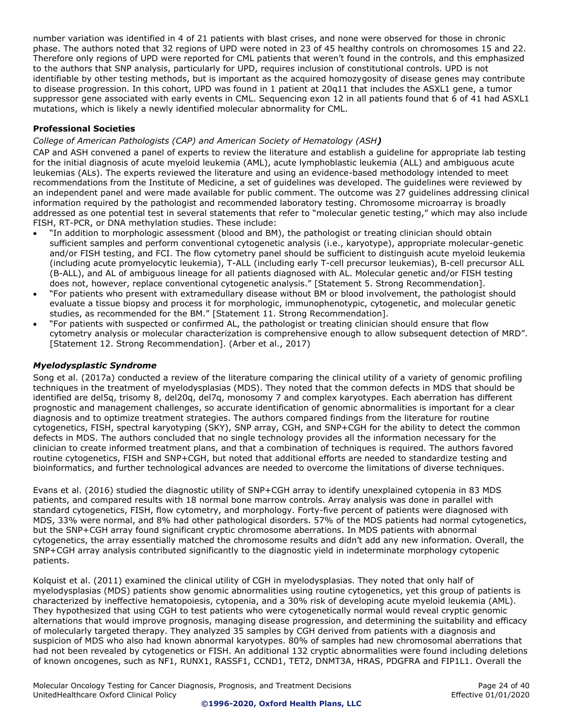number variation was identified in 4 of 21 patients with blast crises, and none were observed for those in chronic phase. The authors noted that 32 regions of UPD were noted in 23 of 45 healthy controls on chromosomes 15 and 22. Therefore only regions of UPD were reported for CML patients that weren't found in the controls, and this emphasized to the authors that SNP analysis, particularly for UPD, requires inclusion of constitutional controls. UPD is not identifiable by other testing methods, but is important as the acquired homozygosity of disease genes may contribute to disease progression. In this cohort, UPD was found in 1 patient at 20q11 that includes the ASXL1 gene, a tumor suppressor gene associated with early events in CML. Sequencing exon 12 in all patients found that 6 of 41 had ASXL1 mutations, which is likely a newly identified molecular abnormality for CML.

## **Professional Societies**

## *College of American Pathologists (CAP) and American Society of Hematology (ASH)*

CAP and ASH convened a panel of experts to review the literature and establish a guideline for appropriate lab testing for the initial diagnosis of acute myeloid leukemia (AML), acute lymphoblastic leukemia (ALL) and ambiguous acute leukemias (ALs). The experts reviewed the literature and using an evidence-based methodology intended to meet recommendations from the Institute of Medicine, a set of guidelines was developed. The guidelines were reviewed by an independent panel and were made available for public comment. The outcome was 27 guidelines addressing clinical information required by the pathologist and recommended laboratory testing. Chromosome microarray is broadly addressed as one potential test in several statements that refer to "molecular genetic testing," which may also include FISH, RT-PCR, or DNA methylation studies. These include:

- "In addition to morphologic assessment (blood and BM), the pathologist or treating clinician should obtain sufficient samples and perform conventional cytogenetic analysis (i.e., karyotype), appropriate molecular-genetic and/or FISH testing, and FCI. The flow cytometry panel should be sufficient to distinguish acute myeloid leukemia (including acute promyelocytic leukemia), T-ALL (including early T-cell precursor leukemias), B-cell precursor ALL (B-ALL), and AL of ambiguous lineage for all patients diagnosed with AL. Molecular genetic and/or FISH testing does not, however, replace conventional cytogenetic analysis." [Statement 5. Strong Recommendation].
- "For patients who present with extramedullary disease without BM or blood involvement, the pathologist should evaluate a tissue biopsy and process it for morphologic, immunophenotypic, cytogenetic, and molecular genetic studies, as recommended for the BM." [Statement 11. Strong Recommendation].
- "For patients with suspected or confirmed AL, the pathologist or treating clinician should ensure that flow cytometry analysis or molecular characterization is comprehensive enough to allow subsequent detection of MRD". [Statement 12. Strong Recommendation]. (Arber et al., 2017)

## *Myelodysplastic Syndrome*

Song et al. (2017a) conducted a review of the literature comparing the clinical utility of a variety of genomic profiling techniques in the treatment of myelodysplasias (MDS). They noted that the common defects in MDS that should be identified are del5q, trisomy 8, del20q, del7q, monosomy 7 and complex karyotypes. Each aberration has different prognostic and management challenges, so accurate identification of genomic abnormalities is important for a clear diagnosis and to optimize treatment strategies. The authors compared findings from the literature for routine cytogenetics, FISH, spectral karyotyping (SKY), SNP array, CGH, and SNP+CGH for the ability to detect the common defects in MDS. The authors concluded that no single technology provides all the information necessary for the clinician to create informed treatment plans, and that a combination of techniques is required. The authors favored routine cytogenetics, FISH and SNP+CGH, but noted that additional efforts are needed to standardize testing and bioinformatics, and further technological advances are needed to overcome the limitations of diverse techniques.

Evans et al. (2016) studied the diagnostic utility of SNP+CGH array to identify unexplained cytopenia in 83 MDS patients, and compared results with 18 normal bone marrow controls. Array analysis was done in parallel with standard cytogenetics, FISH, flow cytometry, and morphology. Forty-five percent of patients were diagnosed with MDS, 33% were normal, and 8% had other pathological disorders. 57% of the MDS patients had normal cytogenetics, but the SNP+CGH array found significant cryptic chromosome aberrations. In MDS patients with abnormal cytogenetics, the array essentially matched the chromosome results and didn't add any new information. Overall, the SNP+CGH array analysis contributed significantly to the diagnostic yield in indeterminate morphology cytopenic patients.

Kolquist et al. (2011) examined the clinical utility of CGH in myelodysplasias. They noted that only half of myelodysplasias (MDS) patients show genomic abnormalities using routine cytogenetics, yet this group of patients is characterized by ineffective hematopoiesis, cytopenia, and a 30% risk of developing acute myeloid leukemia (AML). They hypothesized that using CGH to test patients who were cytogenetically normal would reveal cryptic genomic alternations that would improve prognosis, managing disease progression, and determining the suitability and efficacy of molecularly targeted therapy. They analyzed 35 samples by CGH derived from patients with a diagnosis and suspicion of MDS who also had known abnormal karyotypes. 80% of samples had new chromosomal aberrations that had not been revealed by cytogenetics or FISH. An additional 132 cryptic abnormalities were found including deletions of known oncogenes, such as NF1, RUNX1, RASSF1, CCND1, TET2, DNMT3A, HRAS, PDGFRA and FIP1L1. Overall the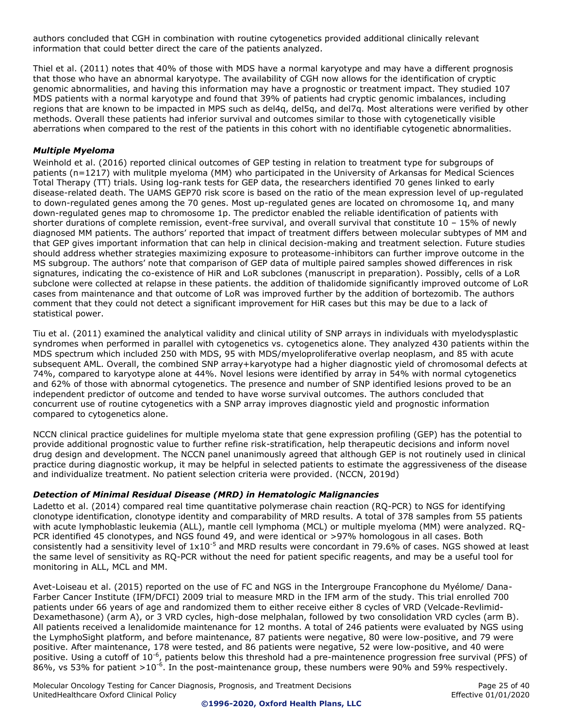authors concluded that CGH in combination with routine cytogenetics provided additional clinically relevant information that could better direct the care of the patients analyzed.

Thiel et al. (2011) notes that 40% of those with MDS have a normal karyotype and may have a different prognosis that those who have an abnormal karyotype. The availability of CGH now allows for the identification of cryptic genomic abnormalities, and having this information may have a prognostic or treatment impact. They studied 107 MDS patients with a normal karyotype and found that 39% of patients had cryptic genomic imbalances, including regions that are known to be impacted in MPS such as del4q, del5q, and del7q. Most alterations were verified by other methods. Overall these patients had inferior survival and outcomes similar to those with cytogenetically visible aberrations when compared to the rest of the patients in this cohort with no identifiable cytogenetic abnormalities.

## *Multiple Myeloma*

Weinhold et al. (2016) reported clinical outcomes of GEP testing in relation to treatment type for subgroups of patients (n=1217) with mulitple myeloma (MM) who participated in the University of Arkansas for Medical Sciences Total Therapy (TT) trials. Using log-rank tests for GEP data, the researchers identified 70 genes linked to early disease-related death. The UAMS GEP70 risk score is based on the ratio of the mean expression level of up-regulated to down-regulated genes among the 70 genes. Most up-regulated genes are located on chromosome 1q, and many down-regulated genes map to chromosome 1p. The predictor enabled the reliable identification of patients with shorter durations of complete remission, event-free survival, and overall survival that constitute 10 – 15% of newly diagnosed MM patients. The authors' reported that impact of treatment differs between molecular subtypes of MM and that GEP gives important information that can help in clinical decision-making and treatment selection. Future studies should address whether strategies maximizing exposure to proteasome-inhibitors can further improve outcome in the MS subgroup. The authors' note that comparison of GEP data of multiple paired samples showed differences in risk signatures, indicating the co-existence of HiR and LoR subclones (manuscript in preparation). Possibly, cells of a LoR subclone were collected at relapse in these patients. the addition of thalidomide significantly improved outcome of LoR cases from maintenance and that outcome of LoR was improved further by the addition of bortezomib. The authors comment that they could not detect a significant improvement for HiR cases but this may be due to a lack of statistical power.

Tiu et al. (2011) examined the analytical validity and clinical utility of SNP arrays in individuals with myelodysplastic syndromes when performed in parallel with cytogenetics vs. cytogenetics alone. They analyzed 430 patients within the MDS spectrum which included 250 with MDS, 95 with MDS/myeloproliferative overlap neoplasm, and 85 with acute subsequent AML. Overall, the combined SNP array+karyotype had a higher diagnostic yield of chromosomal defects at 74%, compared to karyotype alone at 44%. Novel lesions were identified by array in 54% with normal cytogenetics and 62% of those with abnormal cytogenetics. The presence and number of SNP identified lesions proved to be an independent predictor of outcome and tended to have worse survival outcomes. The authors concluded that concurrent use of routine cytogenetics with a SNP array improves diagnostic yield and prognostic information compared to cytogenetics alone.

NCCN clinical practice guidelines for multiple myeloma state that gene expression profiling (GEP) has the potential to provide additional prognostic value to further refine risk-stratification, help therapeutic decisions and inform novel drug design and development. The NCCN panel unanimously agreed that although GEP is not routinely used in clinical practice during diagnostic workup, it may be helpful in selected patients to estimate the aggressiveness of the disease and individualize treatment. No patient selection criteria were provided. (NCCN, 2019d)

## *Detection of Minimal Residual Disease (MRD) in Hematologic Malignancies*

Ladetto et al. (2014) compared real time quantitative polymerase chain reaction (RQ-PCR) to NGS for identifying clonotype identification, clonotype identity and comparability of MRD results. A total of 378 samples from 55 patients with acute lymphoblastic leukemia (ALL), mantle cell lymphoma (MCL) or multiple myeloma (MM) were analyzed. RQ-PCR identified 45 clonotypes, and NGS found 49, and were identical or >97% homologous in all cases. Both consistently had a sensitivity level of  $1x10^{-5}$  and MRD results were concordant in 79.6% of cases. NGS showed at least the same level of sensitivity as RQ-PCR without the need for patient specific reagents, and may be a useful tool for monitoring in ALL, MCL and MM.

Avet-Loiseau et al. (2015) reported on the use of FC and NGS in the Intergroupe Francophone du Myélome/ Dana-Farber Cancer Institute (IFM/DFCI) 2009 trial to measure MRD in the IFM arm of the study. This trial enrolled 700 patients under 66 years of age and randomized them to either receive either 8 cycles of VRD (Velcade-Revlimid-Dexamethasone) (arm A), or 3 VRD cycles, high-dose melphalan, followed by two consolidation VRD cycles (arm B). All patients received a lenalidomide maintenance for 12 months. A total of 246 patients were evaluated by NGS using the LymphoSight platform, and before maintenance, 87 patients were negative, 80 were low-positive, and 79 were positive. After maintenance, 178 were tested, and 86 patients were negative, 52 were low-positive, and 40 were positive. Using a cutoff of 10<sup>-6</sup>, patients below this threshold had a pre-maintenence progression free survival (PFS) of 86%, vs 53% for patient >10<sup>-6</sup>. In the post-maintenance group, these numbers were 90% and 59% respectively.

Molecular Oncology Testing for Cancer Diagnosis, Prognosis, and Treatment Decisions Page 25 of 40 UnitedHealthcare Oxford Clinical Policy Effective 01/01/2020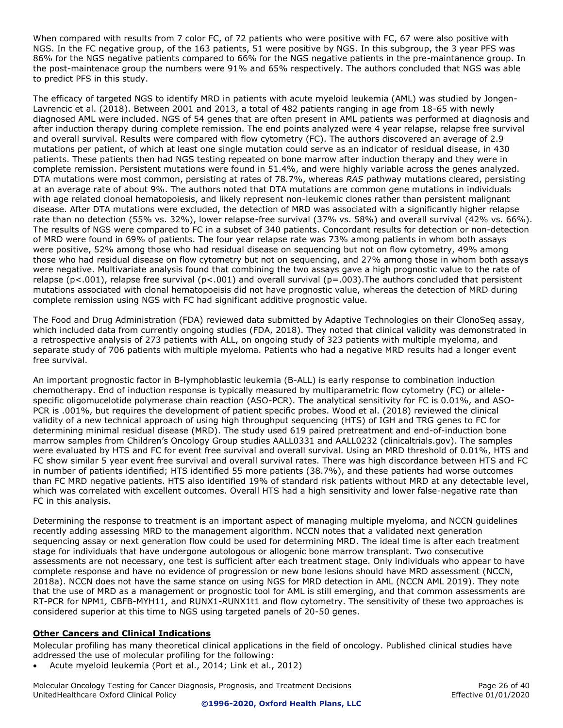When compared with results from 7 color FC, of 72 patients who were positive with FC, 67 were also positive with NGS. In the FC negative group, of the 163 patients, 51 were positive by NGS. In this subgroup, the 3 year PFS was 86% for the NGS negative patients compared to 66% for the NGS negative patients in the pre-maintanence group. In the post-maintenace group the numbers were 91% and 65% respectively. The authors concluded that NGS was able to predict PFS in this study.

The efficacy of targeted NGS to identify MRD in patients with acute myeloid leukemia (AML) was studied by Jongen-Lavrencic et al. (2018). Between 2001 and 2013, a total of 482 patients ranging in age from 18-65 with newly diagnosed AML were included. NGS of 54 genes that are often present in AML patients was performed at diagnosis and after induction therapy during complete remission. The end points analyzed were 4 year relapse, relapse free survival and overall survival. Results were compared with flow cytometry (FC). The authors discovered an average of 2.9 mutations per patient, of which at least one single mutation could serve as an indicator of residual disease, in 430 patients. These patients then had NGS testing repeated on bone marrow after induction therapy and they were in complete remission. Persistent mutations were found in 51.4%, and were highly variable across the genes analyzed. DTA mutations were most common, persisting at rates of 78.7%, whereas *RAS* pathway mutations cleared, persisting at an average rate of about 9%. The authors noted that DTA mutations are common gene mutations in individuals with age related clonoal hematopoiesis, and likely represent non-leukemic clones rather than persistent malignant disease. After DTA mutations were excluded, the detection of MRD was associated with a significantly higher relapse rate than no detection (55% vs. 32%), lower relapse-free survival (37% vs. 58%) and overall survival (42% vs. 66%). The results of NGS were compared to FC in a subset of 340 patients. Concordant results for detection or non-detection of MRD were found in 69% of patients. The four year relapse rate was 73% among patients in whom both assays were positive, 52% among those who had residual disease on sequencing but not on flow cytometry, 49% among those who had residual disease on flow cytometry but not on sequencing, and 27% among those in whom both assays were negative. Multivariate analysis found that combining the two assays gave a high prognostic value to the rate of relapse ( $p$ <.001), relapse free survival ( $p$ <.001) and overall survival ( $p$ =.003). The authors concluded that persistent mutations associated with clonal hematopoeisis did not have prognostic value, whereas the detection of MRD during complete remission using NGS with FC had significant additive prognostic value.

The Food and Drug Administration (FDA) reviewed data submitted by Adaptive Technologies on their ClonoSeq assay, which included data from currently ongoing studies (FDA, 2018). They noted that clinical validity was demonstrated in a retrospective analysis of 273 patients with ALL, on ongoing study of 323 patients with multiple myeloma, and separate study of 706 patients with multiple myeloma. Patients who had a negative MRD results had a longer event free survival.

An important prognostic factor in B-lymphoblastic leukemia (B-ALL) is early response to combination induction chemotherapy. End of induction response is typically measured by multiparametric flow cytometry (FC) or allelespecific oligomucelotide polymerase chain reaction (ASO-PCR). The analytical sensitivity for FC is 0.01%, and ASO-PCR is .001%, but requires the development of patient specific probes. Wood et al. (2018) reviewed the clinical validity of a new technical approach of using high throughput sequencing (HTS) of IGH and TRG genes to FC for determining minimal residual disease (MRD). The study used 619 paired pretreatment and end-of-induction bone marrow samples from Children's Oncology Group studies AALL0331 and AALL0232 (clinicaltrials.gov). The samples were evaluated by HTS and FC for event free survival and overall survival. Using an MRD threshold of 0.01%, HTS and FC show similar 5 year event free survival and overall survival rates. There was high discordance between HTS and FC in number of patients identified; HTS identified 55 more patients (38.7%), and these patients had worse outcomes than FC MRD negative patients. HTS also identified 19% of standard risk patients without MRD at any detectable level, which was correlated with excellent outcomes. Overall HTS had a high sensitivity and lower false-negative rate than FC in this analysis.

Determining the response to treatment is an important aspect of managing multiple myeloma, and NCCN guidelines recently adding assessing MRD to the management algorithm. NCCN notes that a validated next generation sequencing assay or next generation flow could be used for determining MRD. The ideal time is after each treatment stage for individuals that have undergone autologous or allogenic bone marrow transplant. Two consecutive assessments are not necessary, one test is sufficient after each treatment stage. Only individuals who appear to have complete response and have no evidence of progression or new bone lesions should have MRD assessment (NCCN, 2018a). NCCN does not have the same stance on using NGS for MRD detection in AML (NCCN AML 2019). They note that the use of MRD as a management or prognostic tool for AML is still emerging, and that common assessments are RT-PCR for NPM1*,* CBFB*-*MYH11*,* and RUNX1*-R*UNX1t1 and flow cytometry. The sensitivity of these two approaches is considered superior at this time to NGS using targeted panels of 20-50 genes.

## **Other Cancers and Clinical Indications**

Molecular profiling has many theoretical clinical applications in the field of oncology. Published clinical studies have addressed the use of molecular profiling for the following:

Acute myeloid leukemia (Port et al., 2014; Link et al., 2012)

Molecular Oncology Testing for Cancer Diagnosis, Prognosis, and Treatment Decisions Page 26 of 40 UnitedHealthcare Oxford Clinical Policy Effective 01/01/2020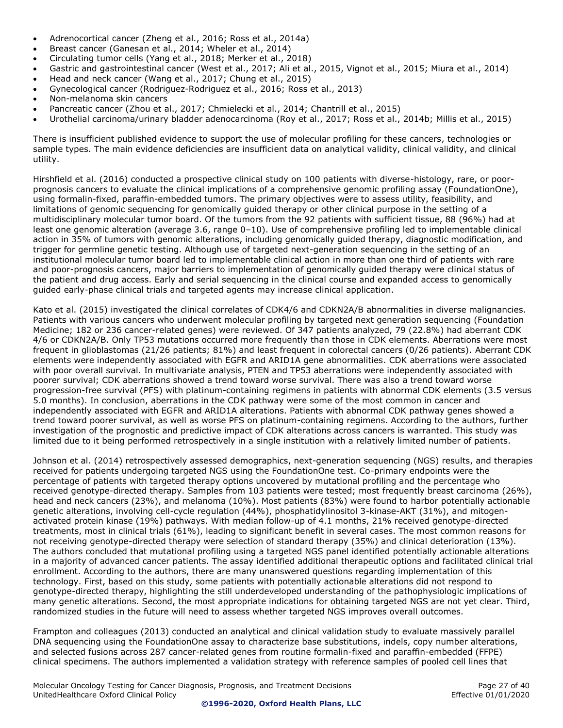- Adrenocortical cancer (Zheng et al., 2016; Ross et al., 2014a)
- Breast cancer (Ganesan et al., 2014; Wheler et al., 2014)
- Circulating tumor cells (Yang et al., 2018; Merker et al., 2018)
- Gastric and gastrointestinal cancer (West et al., 2017; Ali et al., 2015, Vignot et al., 2015; Miura et al., 2014)
- Head and neck cancer (Wang et al., 2017; Chung et al., 2015)
- Gynecological cancer (Rodriguez-Rodriguez et al., 2016; Ross et al., 2013)
- Non-melanoma skin cancers
- Pancreatic cancer (Zhou et al., 2017; Chmielecki et al., 2014; Chantrill et al., 2015)
- Urothelial carcinoma/urinary bladder adenocarcinoma (Roy et al., 2017; Ross et al., 2014b; Millis et al., 2015)

There is insufficient published evidence to support the use of molecular profiling for these cancers, technologies or sample types. The main evidence deficiencies are insufficient data on analytical validity, clinical validity, and clinical utility.

Hirshfield et al. (2016) conducted a prospective clinical study on 100 patients with diverse-histology, rare, or poorprognosis cancers to evaluate the clinical implications of a comprehensive genomic profiling assay (FoundationOne), using formalin-fixed, paraffin-embedded tumors. The primary objectives were to assess utility, feasibility, and limitations of genomic sequencing for genomically guided therapy or other clinical purpose in the setting of a multidisciplinary molecular tumor board. Of the tumors from the 92 patients with sufficient tissue, 88 (96%) had at least one genomic alteration (average 3.6, range 0–10). Use of comprehensive profiling led to implementable clinical action in 35% of tumors with genomic alterations, including genomically guided therapy, diagnostic modification, and trigger for germline genetic testing. Although use of targeted next-generation sequencing in the setting of an institutional molecular tumor board led to implementable clinical action in more than one third of patients with rare and poor-prognosis cancers, major barriers to implementation of genomically guided therapy were clinical status of the patient and drug access. Early and serial sequencing in the clinical course and expanded access to genomically guided early-phase clinical trials and targeted agents may increase clinical application.

Kato et al. (2015) investigated the clinical correlates of CDK4/6 and CDKN2A/B abnormalities in diverse malignancies. Patients with various cancers who underwent molecular profiling by targeted next generation sequencing (Foundation Medicine; 182 or 236 cancer-related genes) were reviewed. Of 347 patients analyzed, 79 (22.8%) had aberrant CDK 4/6 or CDKN2A/B. Only TP53 mutations occurred more frequently than those in CDK elements. Aberrations were most frequent in glioblastomas (21/26 patients; 81%) and least frequent in colorectal cancers (0/26 patients). Aberrant CDK elements were independently associated with EGFR and ARID1A gene abnormalities. CDK aberrations were associated with poor overall survival. In multivariate analysis, PTEN and TP53 aberrations were independently associated with poorer survival; CDK aberrations showed a trend toward worse survival. There was also a trend toward worse progression-free survival (PFS) with platinum-containing regimens in patients with abnormal CDK elements (3.5 versus 5.0 months). In conclusion, aberrations in the CDK pathway were some of the most common in cancer and independently associated with EGFR and ARID1A alterations. Patients with abnormal CDK pathway genes showed a trend toward poorer survival, as well as worse PFS on platinum-containing regimens. According to the authors, further investigation of the prognostic and predictive impact of CDK alterations across cancers is warranted. This study was limited due to it being performed retrospectively in a single institution with a relatively limited number of patients.

Johnson et al. (2014) retrospectively assessed demographics, next-generation sequencing (NGS) results, and therapies received for patients undergoing targeted NGS using the FoundationOne test. Co-primary endpoints were the percentage of patients with targeted therapy options uncovered by mutational profiling and the percentage who received genotype-directed therapy. Samples from 103 patients were tested; most frequently breast carcinoma (26%), head and neck cancers (23%), and melanoma (10%). Most patients (83%) were found to harbor potentially actionable genetic alterations, involving cell-cycle regulation (44%), phosphatidylinositol 3-kinase-AKT (31%), and mitogenactivated protein kinase (19%) pathways. With median follow-up of 4.1 months, 21% received genotype-directed treatments, most in clinical trials (61%), leading to significant benefit in several cases. The most common reasons for not receiving genotype-directed therapy were selection of standard therapy (35%) and clinical deterioration (13%). The authors concluded that mutational profiling using a targeted NGS panel identified potentially actionable alterations in a majority of advanced cancer patients. The assay identified additional therapeutic options and facilitated clinical trial enrollment. According to the authors, there are many unanswered questions regarding implementation of this technology. First, based on this study, some patients with potentially actionable alterations did not respond to genotype-directed therapy, highlighting the still underdeveloped understanding of the pathophysiologic implications of many genetic alterations. Second, the most appropriate indications for obtaining targeted NGS are not yet clear. Third, randomized studies in the future will need to assess whether targeted NGS improves overall outcomes.

Frampton and colleagues (2013) conducted an analytical and clinical validation study to evaluate massively parallel DNA sequencing using the FoundationOne assay to characterize base substitutions, indels, copy number alterations, and selected fusions across 287 cancer-related genes from routine formalin-fixed and paraffin-embedded (FFPE) clinical specimens. The authors implemented a validation strategy with reference samples of pooled cell lines that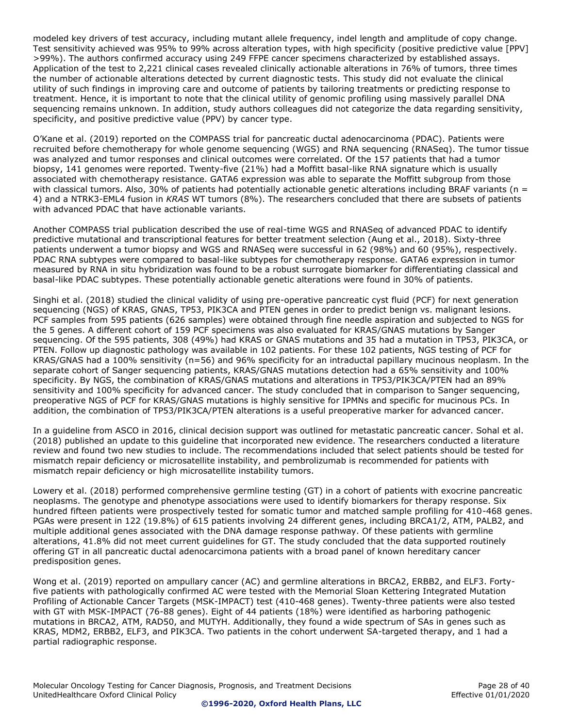modeled key drivers of test accuracy, including mutant allele frequency, indel length and amplitude of copy change. Test sensitivity achieved was 95% to 99% across alteration types, with high specificity (positive predictive value [PPV] >99%). The authors confirmed accuracy using 249 FFPE cancer specimens characterized by established assays. Application of the test to 2,221 clinical cases revealed clinically actionable alterations in 76% of tumors, three times the number of actionable alterations detected by current diagnostic tests. This study did not evaluate the clinical utility of such findings in improving care and outcome of patients by tailoring treatments or predicting response to treatment. Hence, it is important to note that the clinical utility of genomic profiling using massively parallel DNA sequencing remains unknown. In addition, study authors colleagues did not categorize the data regarding sensitivity, specificity, and positive predictive value (PPV) by cancer type.

O'Kane et al. (2019) reported on the COMPASS trial for pancreatic ductal adenocarcinoma (PDAC). Patients were recruited before chemotherapy for whole genome sequencing (WGS) and RNA sequencing (RNASeq). The tumor tissue was analyzed and tumor responses and clinical outcomes were correlated. Of the 157 patients that had a tumor biopsy, 141 genomes were reported. Twenty-five (21%) had a Moffitt basal-like RNA signature which is usually associated with chemotherapy resistance. GATA6 expression was able to separate the Moffitt subgroup from those with classical tumors. Also, 30% of patients had potentially actionable genetic alterations including BRAF variants ( $n =$ 4) and a NTRK3-EML4 fusion in *KRAS* WT tumors (8%). The researchers concluded that there are subsets of patients with advanced PDAC that have actionable variants.

Another COMPASS trial publication described the use of real-time WGS and RNASeq of advanced PDAC to identify predictive mutational and transcriptional features for better treatment selection (Aung et al., 2018). Sixty-three patients underwent a tumor biopsy and WGS and RNASeq were successful in 62 (98%) and 60 (95%), respectively. PDAC RNA subtypes were compared to basal-like subtypes for chemotherapy response. GATA6 expression in tumor measured by RNA in situ hybridization was found to be a robust surrogate biomarker for differentiating classical and basal-like PDAC subtypes. These potentially actionable genetic alterations were found in 30% of patients.

Singhi et al. (2018) studied the clinical validity of using pre-operative pancreatic cyst fluid (PCF) for next generation sequencing (NGS) of KRAS, GNAS, TP53, PIK3CA and PTEN genes in order to predict benign vs. malignant lesions. PCF samples from 595 patients (626 samples) were obtained through fine needle aspiration and subjected to NGS for the 5 genes. A different cohort of 159 PCF specimens was also evaluated for KRAS/GNAS mutations by Sanger sequencing. Of the 595 patients, 308 (49%) had KRAS or GNAS mutations and 35 had a mutation in TP53, PIK3CA, or PTEN. Follow up diagnostic pathology was available in 102 patients. For these 102 patients, NGS testing of PCF for KRAS/GNAS had a 100% sensitivity (n=56) and 96% specificity for an intraductal papillary mucinous neoplasm. In the separate cohort of Sanger sequencing patients, KRAS/GNAS mutations detection had a 65% sensitivity and 100% specificity. By NGS, the combination of KRAS/GNAS mutations and alterations in TP53/PIK3CA/PTEN had an 89% sensitivity and 100% specificity for advanced cancer. The study concluded that in comparison to Sanger sequencing, preoperative NGS of PCF for KRAS/GNAS mutations is highly sensitive for IPMNs and specific for mucinous PCs. In addition, the combination of TP53/PIK3CA/PTEN alterations is a useful preoperative marker for advanced cancer.

In a guideline from ASCO in 2016, clinical decision support was outlined for metastatic pancreatic cancer. Sohal et al. (2018) published an update to this guideline that incorporated new evidence. The researchers conducted a literature review and found two new studies to include. The recommendations included that select patients should be tested for mismatch repair deficiency or microsatellite instability, and pembrolizumab is recommended for patients with mismatch repair deficiency or high microsatellite instability tumors.

Lowery et al. (2018) performed comprehensive germline testing (GT) in a cohort of patients with exocrine pancreatic neoplasms. The genotype and phenotype associations were used to identify biomarkers for therapy response. Six hundred fifteen patients were prospectively tested for somatic tumor and matched sample profiling for 410-468 genes. PGAs were present in 122 (19.8%) of 615 patients involving 24 different genes, including BRCA1/2, ATM, PALB2, and multiple additional genes associated with the DNA damage response pathway. Of these patients with germline alterations, 41.8% did not meet current guidelines for GT. The study concluded that the data supported routinely offering GT in all pancreatic ductal adenocarcimona patients with a broad panel of known hereditary cancer predisposition genes.

Wong et al. (2019) reported on ampullary cancer (AC) and germline alterations in BRCA2, ERBB2, and ELF3. Fortyfive patients with pathologically confirmed AC were tested with the Memorial Sloan Kettering Integrated Mutation Profiling of Actionable Cancer Targets (MSK-IMPACT) test (410-468 genes). Twenty-three patients were also tested with GT with MSK-IMPACT (76-88 genes). Eight of 44 patients (18%) were identified as harboring pathogenic mutations in BRCA2, ATM, RAD50, and MUTYH. Additionally, they found a wide spectrum of SAs in genes such as KRAS, MDM2, ERBB2, ELF3, and PIK3CA. Two patients in the cohort underwent SA-targeted therapy, and 1 had a partial radiographic response.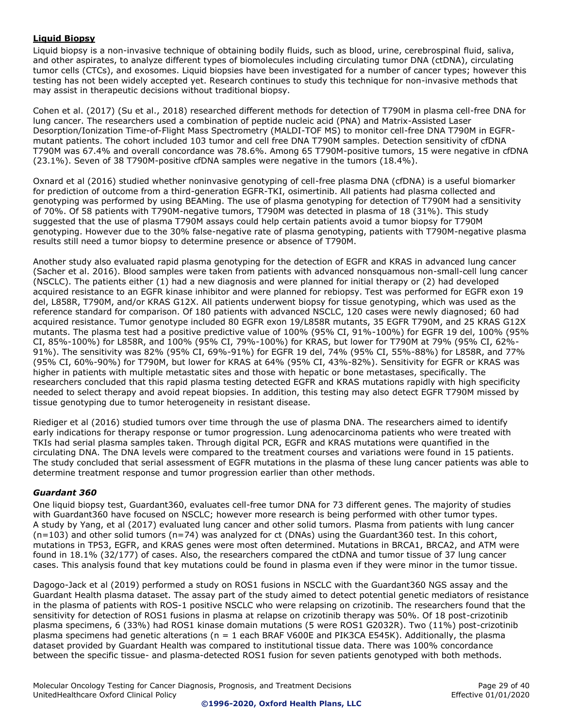## **Liquid Biopsy**

Liquid biopsy is a non-invasive technique of obtaining bodily fluids, such as blood, urine, cerebrospinal fluid, saliva, and other aspirates, to analyze different types of biomolecules including circulating tumor DNA (ctDNA), circulating tumor cells (CTCs), and exosomes. Liquid biopsies have been investigated for a number of cancer types; however this testing has not been widely accepted yet. Research continues to study this technique for non-invasive methods that may assist in therapeutic decisions without traditional biopsy.

Cohen et al. (2017) (Su et al., 2018) researched different methods for detection of T790M in plasma cell-free DNA for lung cancer. The researchers used a combination of peptide nucleic acid (PNA) and Matrix-Assisted Laser Desorption/Ionization Time-of-Flight Mass Spectrometry (MALDI-TOF MS) to monitor cell-free DNA T790M in EGFRmutant patients. The cohort included 103 tumor and cell free DNA T790M samples. Detection sensitivity of cfDNA T790M was 67.4% and overall concordance was 78.6%. Among 65 T790M-positive tumors, 15 were negative in cfDNA (23.1%). Seven of 38 T790M-positive cfDNA samples were negative in the tumors (18.4%).

Oxnard et al (2016) studied whether noninvasive genotyping of cell-free plasma DNA (cfDNA) is a useful biomarker for prediction of outcome from a third-generation EGFR-TKI, osimertinib. All patients had plasma collected and genotyping was performed by using BEAMing. The use of plasma genotyping for detection of T790M had a sensitivity of 70%. Of 58 patients with T790M-negative tumors, T790M was detected in plasma of 18 (31%). This study suggested that the use of plasma T790M assays could help certain patients avoid a tumor biopsy for T790M genotyping. However due to the 30% false-negative rate of plasma genotyping, patients with T790M-negative plasma results still need a tumor biopsy to determine presence or absence of T790M.

Another study also evaluated rapid plasma genotyping for the detection of EGFR and KRAS in advanced lung cancer (Sacher et al. 2016). Blood samples were taken from patients with advanced nonsquamous non-small-cell lung cancer (NSCLC). The patients either (1) had a new diagnosis and were planned for initial therapy or (2) had developed acquired resistance to an EGFR kinase inhibitor and were planned for rebiopsy. Test was performed for EGFR exon 19 del, L858R, T790M, and/or KRAS G12X. All patients underwent biopsy for tissue genotyping, which was used as the reference standard for comparison. Of 180 patients with advanced NSCLC, 120 cases were newly diagnosed; 60 had acquired resistance. Tumor genotype included 80 EGFR exon 19/L858R mutants, 35 EGFR T790M, and 25 KRAS G12X mutants. The plasma test had a positive predictive value of 100% (95% CI, 91%-100%) for EGFR 19 del, 100% (95% CI, 85%-100%) for L858R, and 100% (95% CI, 79%-100%) for KRAS, but lower for T790M at 79% (95% CI, 62%- 91%). The sensitivity was 82% (95% CI, 69%-91%) for EGFR 19 del, 74% (95% CI, 55%-88%) for L858R, and 77% (95% CI, 60%-90%) for T790M, but lower for KRAS at 64% (95% CI, 43%-82%). Sensitivity for EGFR or KRAS was higher in patients with multiple metastatic sites and those with hepatic or bone metastases, specifically. The researchers concluded that this rapid plasma testing detected EGFR and KRAS mutations rapidly with high specificity needed to select therapy and avoid repeat biopsies. In addition, this testing may also detect EGFR T790M missed by tissue genotyping due to tumor heterogeneity in resistant disease.

Riediger et al (2016) studied tumors over time through the use of plasma DNA. The researchers aimed to identify early indications for therapy response or tumor progression. Lung adenocarcinoma patients who were treated with TKIs had serial plasma samples taken. Through digital PCR, EGFR and KRAS mutations were quantified in the circulating DNA. The DNA levels were compared to the treatment courses and variations were found in 15 patients. The study concluded that serial assessment of EGFR mutations in the plasma of these lung cancer patients was able to determine treatment response and tumor progression earlier than other methods.

## *Guardant 360*

One liquid biopsy test, Guardant360, evaluates cell-free tumor DNA for 73 different genes. The majority of studies with Guardant360 have focused on NSCLC; however more research is being performed with other tumor types. A study by Yang, et al (2017) evaluated lung cancer and other solid tumors. Plasma from patients with lung cancer (n=103) and other solid tumors (n=74) was analyzed for ct (DNAs) using the Guardant360 test. In this cohort, mutations in TP53, EGFR, and KRAS genes were most often determined. Mutations in BRCA1, BRCA2, and ATM were found in 18.1% (32/177) of cases. Also, the researchers compared the ctDNA and tumor tissue of 37 lung cancer cases. This analysis found that key mutations could be found in plasma even if they were minor in the tumor tissue.

Dagogo-Jack et al (2019) performed a study on ROS1 fusions in NSCLC with the Guardant360 NGS assay and the Guardant Health plasma dataset. The assay part of the study aimed to detect potential genetic mediators of resistance in the plasma of patients with ROS-1 positive NSCLC who were relapsing on crizotinib. The researchers found that the sensitivity for detection of ROS1 fusions in plasma at relapse on crizotinib therapy was 50%. Of 18 post-crizotinib plasma specimens, 6 (33%) had ROS1 kinase domain mutations (5 were ROS1 G2032R). Two (11%) post-crizotinib plasma specimens had genetic alterations ( $n = 1$  each BRAF V600E and PIK3CA E545K). Additionally, the plasma dataset provided by Guardant Health was compared to institutional tissue data. There was 100% concordance between the specific tissue- and plasma-detected ROS1 fusion for seven patients genotyped with both methods.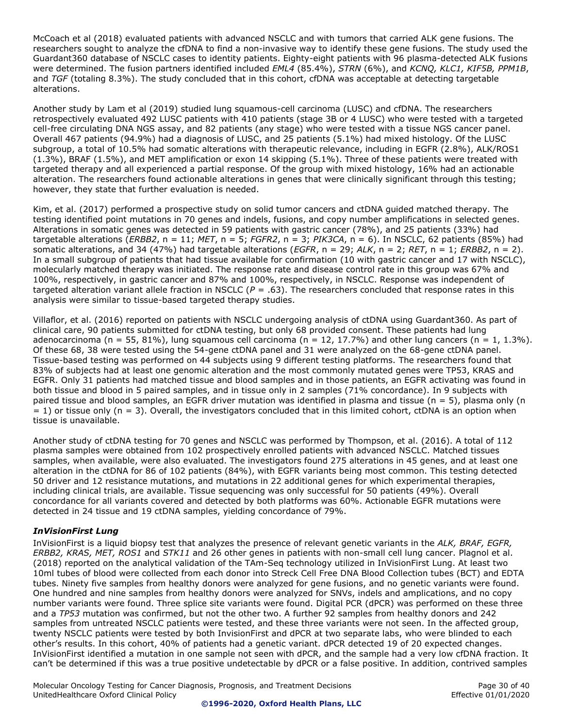McCoach et al (2018) evaluated patients with advanced NSCLC and with tumors that carried ALK gene fusions. The researchers sought to analyze the cfDNA to find a non-invasive way to identify these gene fusions. The study used the Guardant360 database of NSCLC cases to identity patients. Eighty-eight patients with 96 plasma-detected ALK fusions were determined. The fusion partners identified included *EML4* (85.4%), *STRN* (6%), and *KCNQ, KLC1, KIF5B, PPM1B*, and *TGF* (totaling 8.3%). The study concluded that in this cohort, cfDNA was acceptable at detecting targetable alterations.

Another study by Lam et al (2019) studied lung squamous-cell carcinoma (LUSC) and cfDNA. The researchers retrospectively evaluated 492 LUSC patients with 410 patients (stage 3B or 4 LUSC) who were tested with a targeted cell-free circulating DNA NGS assay, and 82 patients (any stage) who were tested with a tissue NGS cancer panel. Overall 467 patients (94.9%) had a diagnosis of LUSC, and 25 patients (5.1%) had mixed histology. Of the LUSC subgroup, a total of 10.5% had somatic alterations with therapeutic relevance, including in EGFR (2.8%), ALK/ROS1 (1.3%), BRAF (1.5%), and MET amplification or exon 14 skipping (5.1%). Three of these patients were treated with targeted therapy and all experienced a partial response. Of the group with mixed histology, 16% had an actionable alteration. The researchers found actionable alterations in genes that were clinically significant through this testing; however, they state that further evaluation is needed.

Kim, et al. (2017) performed a prospective study on solid tumor cancers and ctDNA guided matched therapy. The testing identified point mutations in 70 genes and indels, fusions, and copy number amplifications in selected genes. Alterations in somatic genes was detected in 59 patients with gastric cancer (78%), and 25 patients (33%) had targetable alterations (*ERBB2*, n = 11; *MET*, n = 5; *FGFR2*, n = 3; *PIK3CA*, n = 6). In NSCLC, 62 patients (85%) had somatic alterations, and 34 (47%) had targetable alterations (*EGFR*, n = 29; *ALK*, n = 2; *RET*, n = 1; *ERBB2*, n = 2). In a small subgroup of patients that had tissue available for confirmation (10 with gastric cancer and 17 with NSCLC), molecularly matched therapy was initiated. The response rate and disease control rate in this group was 67% and 100%, respectively, in gastric cancer and 87% and 100%, respectively, in NSCLC. Response was independent of targeted alteration variant allele fraction in NSCLC ( $P = .63$ ). The researchers concluded that response rates in this analysis were similar to tissue-based targeted therapy studies.

Villaflor, et al. (2016) reported on patients with NSCLC undergoing analysis of ctDNA using Guardant360. As part of clinical care, 90 patients submitted for ctDNA testing, but only 68 provided consent. These patients had lung adenocarcinoma (n = 55, 81%), lung squamous cell carcinoma (n = 12, 17.7%) and other lung cancers (n = 1, 1.3%). Of these 68, 38 were tested using the 54-gene ctDNA panel and 31 were analyzed on the 68-gene ctDNA panel. Tissue-based testing was performed on 44 subjects using 9 different testing platforms. The researchers found that 83% of subjects had at least one genomic alteration and the most commonly mutated genes were TP53, KRAS and EGFR. Only 31 patients had matched tissue and blood samples and in those patients, an EGFR activating was found in both tissue and blood in 5 paired samples, and in tissue only in 2 samples (71% concordance). In 9 subjects with paired tissue and blood samples, an EGFR driver mutation was identified in plasma and tissue (n = 5), plasma only (n  $= 1$ ) or tissue only (n = 3). Overall, the investigators concluded that in this limited cohort, ctDNA is an option when tissue is unavailable.

Another study of ctDNA testing for 70 genes and NSCLC was performed by Thompson, et al. (2016). A total of 112 plasma samples were obtained from 102 prospectively enrolled patients with advanced NSCLC. Matched tissues samples, when available, were also evaluated. The investigators found 275 alterations in 45 genes, and at least one alteration in the ctDNA for 86 of 102 patients (84%), with EGFR variants being most common. This testing detected 50 driver and 12 resistance mutations, and mutations in 22 additional genes for which experimental therapies, including clinical trials, are available. Tissue sequencing was only successful for 50 patients (49%). Overall concordance for all variants covered and detected by both platforms was 60%. Actionable EGFR mutations were detected in 24 tissue and 19 ctDNA samples, yielding concordance of 79%.

## *InVisionFirst Lung*

InVisionFirst is a liquid biopsy test that analyzes the presence of relevant genetic variants in the *ALK, BRAF, EGFR, ERBB2, KRAS, MET, ROS1* and *STK11* and 26 other genes in patients with non-small cell lung cancer. Plagnol et al. (2018) reported on the analytical validation of the TAm-Seq technology utilized in InVisionFirst Lung. At least two 10ml tubes of blood were collected from each donor into Streck Cell Free DNA Blood Collection tubes (BCT) and EDTA tubes. Ninety five samples from healthy donors were analyzed for gene fusions, and no genetic variants were found. One hundred and nine samples from healthy donors were analyzed for SNVs, indels and amplications, and no copy number variants were found. Three splice site variants were found. Digital PCR (dPCR) was performed on these three and a *TP53* mutation was confirmed, but not the other two. A further 92 samples from healthy donors and 242 samples from untreated NSCLC patients were tested, and these three variants were not seen. In the affected group, twenty NSCLC patients were tested by both InvisionFirst and dPCR at two separate labs, who were blinded to each other's results. In this cohort, 40% of patients had a genetic variant. dPCR detected 19 of 20 expected changes. InVisionFirst identified a mutation in one sample not seen with dPCR, and the sample had a very low cfDNA fraction. It can't be determined if this was a true positive undetectable by dPCR or a false positive. In addition, contrived samples

Molecular Oncology Testing for Cancer Diagnosis, Prognosis, and Treatment Decisions Page 30 of 40 UnitedHealthcare Oxford Clinical Policy Effective 01/01/2020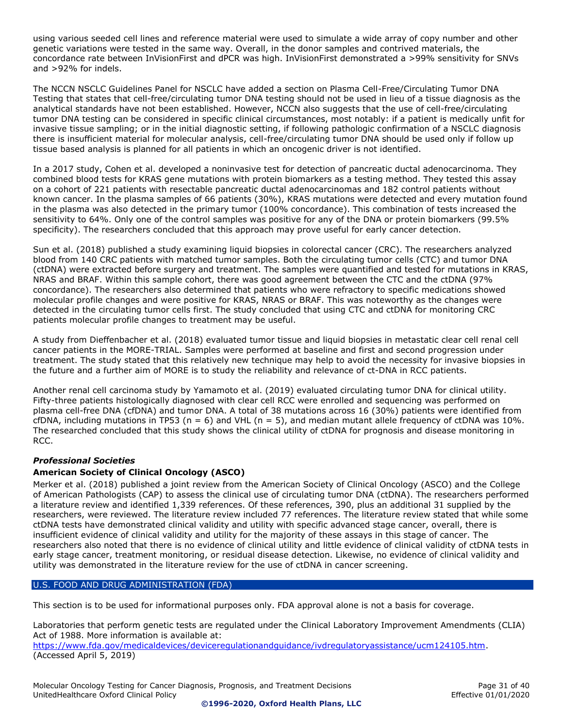using various seeded cell lines and reference material were used to simulate a wide array of copy number and other genetic variations were tested in the same way. Overall, in the donor samples and contrived materials, the concordance rate between InVisionFirst and dPCR was high. InVisionFirst demonstrated a >99% sensitivity for SNVs and >92% for indels.

The NCCN NSCLC Guidelines Panel for NSCLC have added a section on Plasma Cell-Free/Circulating Tumor DNA Testing that states that cell-free/circulating tumor DNA testing should not be used in lieu of a tissue diagnosis as the analytical standards have not been established. However, NCCN also suggests that the use of cell-free/circulating tumor DNA testing can be considered in specific clinical circumstances, most notably: if a patient is medically unfit for invasive tissue sampling; or in the initial diagnostic setting, if following pathologic confirmation of a NSCLC diagnosis there is insufficient material for molecular analysis, cell-free/circulating tumor DNA should be used only if follow up tissue based analysis is planned for all patients in which an oncogenic driver is not identified.

In a 2017 study, Cohen et al. developed a noninvasive test for detection of pancreatic ductal adenocarcinoma. They combined blood tests for KRAS gene mutations with protein biomarkers as a testing method. They tested this assay on a cohort of 221 patients with resectable pancreatic ductal adenocarcinomas and 182 control patients without known cancer. In the plasma samples of 66 patients (30%), KRAS mutations were detected and every mutation found in the plasma was also detected in the primary tumor (100% concordance). This combination of tests increased the sensitivity to 64%. Only one of the control samples was positive for any of the DNA or protein biomarkers (99.5% specificity). The researchers concluded that this approach may prove useful for early cancer detection.

Sun et al. (2018) published a study examining liquid biopsies in colorectal cancer (CRC). The researchers analyzed blood from 140 CRC patients with matched tumor samples. Both the circulating tumor cells (CTC) and tumor DNA (ctDNA) were extracted before surgery and treatment. The samples were quantified and tested for mutations in KRAS, NRAS and BRAF. Within this sample cohort, there was good agreement between the CTC and the ctDNA (97% concordance). The researchers also determined that patients who were refractory to specific medications showed molecular profile changes and were positive for KRAS, NRAS or BRAF. This was noteworthy as the changes were detected in the circulating tumor cells first. The study concluded that using CTC and ctDNA for monitoring CRC patients molecular profile changes to treatment may be useful.

A study from Dieffenbacher et al. (2018) evaluated tumor tissue and liquid biopsies in metastatic clear cell renal cell cancer patients in the MORE-TRIAL. Samples were performed at baseline and first and second progression under treatment. The study stated that this relatively new technique may help to avoid the necessity for invasive biopsies in the future and a further aim of MORE is to study the reliability and relevance of ct-DNA in RCC patients.

Another renal cell carcinoma study by Yamamoto et al. (2019) evaluated circulating tumor DNA for clinical utility. Fifty-three patients histologically diagnosed with clear cell RCC were enrolled and sequencing was performed on plasma cell-free DNA (cfDNA) and tumor DNA. A total of 38 mutations across 16 (30%) patients were identified from cfDNA, including mutations in TP53 ( $n = 6$ ) and VHL ( $n = 5$ ), and median mutant allele frequency of ctDNA was 10%. The researched concluded that this study shows the clinical utility of ctDNA for prognosis and disease monitoring in RCC.

## *Professional Societies*

## **American Society of Clinical Oncology (ASCO)**

Merker et al. (2018) published a joint review from the American Society of Clinical Oncology (ASCO) and the College of American Pathologists (CAP) to assess the clinical use of circulating tumor DNA (ctDNA). The researchers performed a literature review and identified 1,339 references. Of these references, 390, plus an additional 31 supplied by the researchers, were reviewed. The literature review included 77 references. The literature review stated that while some ctDNA tests have demonstrated clinical validity and utility with specific advanced stage cancer, overall, there is insufficient evidence of clinical validity and utility for the majority of these assays in this stage of cancer. The researchers also noted that there is no evidence of clinical utility and little evidence of clinical validity of ctDNA tests in early stage cancer, treatment monitoring, or residual disease detection. Likewise, no evidence of clinical validity and utility was demonstrated in the literature review for the use of ctDNA in cancer screening.

## <span id="page-30-0"></span>U.S. FOOD AND DRUG ADMINISTRATION (FDA)

This section is to be used for informational purposes only. FDA approval alone is not a basis for coverage.

Laboratories that perform genetic tests are regulated under the Clinical Laboratory Improvement Amendments (CLIA) Act of 1988. More information is available at:

[https://www.fda.gov/medicaldevices/deviceregulationandguidance/ivdregulatoryassistance/ucm124105.htm.](https://www.fda.gov/medicaldevices/deviceregulationandguidance/ivdregulatoryassistance/ucm124105.htm) (Accessed April 5, 2019)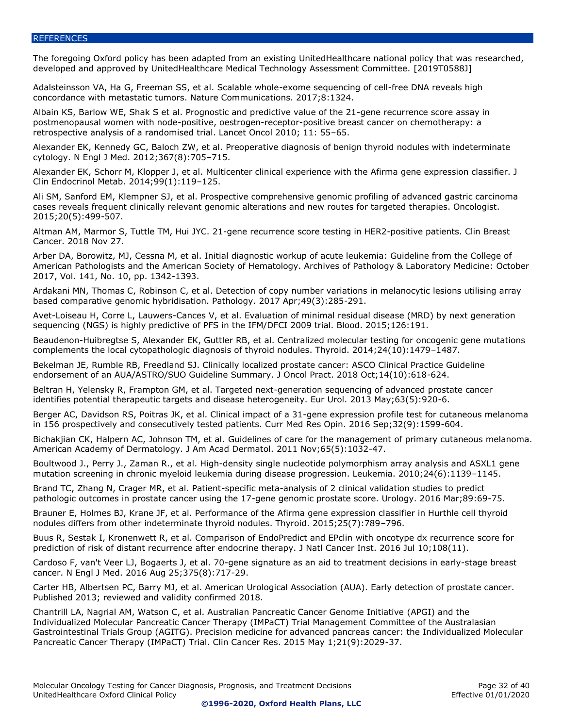#### <span id="page-31-0"></span>**REFERENCES**

The foregoing Oxford policy has been adapted from an existing UnitedHealthcare national policy that was researched, developed and approved by UnitedHealthcare Medical Technology Assessment Committee. [2019T0588J]

Adalsteinsson VA, Ha G, Freeman SS, et al. Scalable whole-exome sequencing of cell-free DNA reveals high concordance with metastatic tumors. Nature Communications. 2017;8:1324.

Albain KS, Barlow WE, Shak S et al. Prognostic and predictive value of the 21-gene recurrence score assay in postmenopausal women with node-positive, oestrogen-receptor-positive breast cancer on chemotherapy: a retrospective analysis of a randomised trial. Lancet Oncol 2010; 11: 55–65.

Alexander EK, Kennedy GC, Baloch ZW, et al. Preoperative diagnosis of benign thyroid nodules with indeterminate cytology. N Engl J Med. 2012;367(8):705–715.

Alexander EK, Schorr M, Klopper J, et al. Multicenter clinical experience with the Afirma gene expression classifier. J Clin Endocrinol Metab. 2014;99(1):119–125.

Ali SM, Sanford EM, Klempner SJ, et al. Prospective comprehensive genomic profiling of advanced gastric carcinoma cases reveals frequent clinically relevant genomic alterations and new routes for targeted therapies. Oncologist. 2015;20(5):499-507.

Altman AM, Marmor S, Tuttle TM, Hui JYC. 21-gene recurrence score testing in HER2-positive patients. Clin Breast Cancer. 2018 Nov 27.

Arber DA, Borowitz, MJ, Cessna M, et al. Initial diagnostic workup of acute leukemia: Guideline from the College of American Pathologists and the American Society of Hematology. Archives of Pathology & Laboratory Medicine: October 2017, Vol. 141, No. 10, pp. 1342-1393.

Ardakani MN, Thomas C, Robinson C, et al. Detection of copy number variations in melanocytic lesions utilising array based comparative genomic hybridisation. Pathology. 2017 Apr;49(3):285-291.

Avet-Loiseau H, Corre L, Lauwers-Cances V, et al. Evaluation of minimal residual disease (MRD) by next generation sequencing (NGS) is highly predictive of PFS in the IFM/DFCI 2009 trial. Blood. 2015;126:191.

Beaudenon-Huibregtse S, Alexander EK, Guttler RB, et al. Centralized molecular testing for oncogenic gene mutations complements the local cytopathologic diagnosis of thyroid nodules. Thyroid. 2014;24(10):1479–1487.

Bekelman JE, Rumble RB, Freedland SJ. Clinically localized prostate cancer: ASCO Clinical Practice Guideline endorsement of an AUA/ASTRO/SUO Guideline Summary. J Oncol Pract. 2018 Oct;14(10):618-624.

Beltran H, Yelensky R, Frampton GM, et al. Targeted next-generation sequencing of advanced prostate cancer identifies potential therapeutic targets and disease heterogeneity. Eur Urol. 2013 May;63(5):920-6.

Berger AC, Davidson RS, Poitras JK, et al. Clinical impact of a 31-gene expression profile test for cutaneous melanoma in 156 prospectively and consecutively tested patients. Curr Med Res Opin. 2016 Sep;32(9):1599-604.

Bichakjian CK, Halpern AC, Johnson TM, et al. Guidelines of care for the management of primary cutaneous melanoma. American Academy of Dermatology. J Am Acad Dermatol. 2011 Nov;65(5):1032-47.

Boultwood J., Perry J., Zaman R., et al. High-density single nucleotide polymorphism array analysis and ASXL1 gene mutation screening in chronic myeloid leukemia during disease progression. Leukemia. 2010;24(6):1139–1145.

Brand TC, Zhang N, Crager MR, et al. Patient-specific meta-analysis of 2 clinical validation studies to predict pathologic outcomes in prostate cancer using the 17-gene genomic prostate score. Urology. 2016 Mar;89:69-75.

Brauner E, Holmes BJ, Krane JF, et al. Performance of the Afirma gene expression classifier in Hurthle cell thyroid nodules differs from other indeterminate thyroid nodules. Thyroid. 2015;25(7):789–796.

Buus R, Sestak I, Kronenwett R, et al. Comparison of EndoPredict and EPclin with oncotype dx recurrence score for prediction of risk of distant recurrence after endocrine therapy. J Natl Cancer Inst. 2016 Jul 10;108(11).

Cardoso F, van't Veer LJ, Bogaerts J, et al. 70-gene signature as an aid to treatment decisions in early-stage breast cancer. N Engl J Med. 2016 Aug 25;375(8):717-29.

Carter HB, Albertsen PC, Barry MJ, et al. American Urological Association (AUA). Early detection of prostate cancer. Published 2013; reviewed and validity confirmed 2018.

Chantrill LA, Nagrial AM, Watson C, et al. Australian Pancreatic Cancer Genome Initiative (APGI) and the Individualized Molecular Pancreatic Cancer Therapy (IMPaCT) Trial Management Committee of the Australasian Gastrointestinal Trials Group (AGITG). Precision medicine for advanced pancreas cancer: the Individualized Molecular Pancreatic Cancer Therapy (IMPaCT) Trial. Clin Cancer Res. 2015 May 1;21(9):2029-37.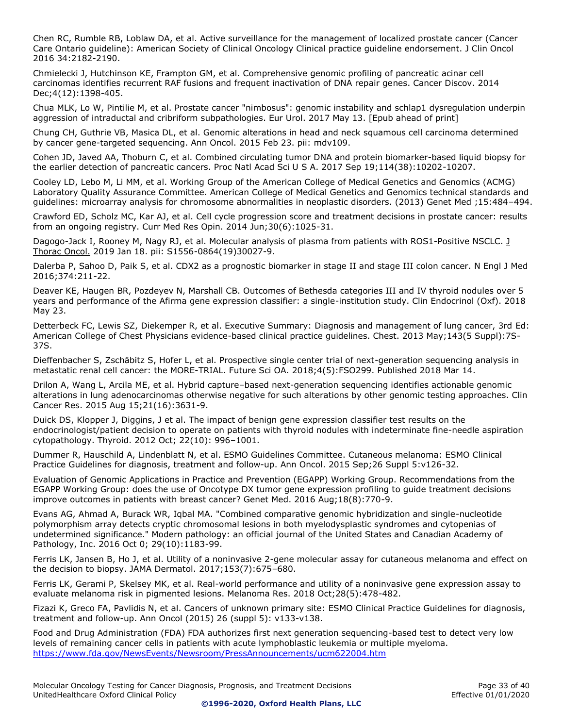Chen RC, Rumble RB, Loblaw DA, et al. Active surveillance for the management of localized prostate cancer (Cancer Care Ontario guideline): American Society of Clinical Oncology Clinical practice guideline endorsement. J Clin Oncol 2016 34:2182-2190.

Chmielecki J, Hutchinson KE, Frampton GM, et al. Comprehensive genomic profiling of pancreatic acinar cell carcinomas identifies recurrent RAF fusions and frequent inactivation of DNA repair genes. Cancer Discov. 2014 Dec;4(12):1398-405.

Chua MLK, Lo W, Pintilie M, et al. Prostate cancer "nimbosus": genomic instability and schlap1 dysregulation underpin aggression of intraductal and cribriform subpathologies. Eur Urol. 2017 May 13. [Epub ahead of print]

Chung CH, Guthrie VB, Masica DL, et al. Genomic alterations in head and neck squamous cell carcinoma determined by cancer gene-targeted sequencing. Ann Oncol. 2015 Feb 23. pii: mdv109.

Cohen JD, Javed AA, Thoburn C, et al. Combined circulating tumor DNA and protein biomarker-based liquid biopsy for the earlier detection of pancreatic cancers. Proc Natl Acad Sci U S A. 2017 Sep 19;114(38):10202-10207.

Cooley LD, Lebo M, Li MM, et al. Working Group of the American College of Medical Genetics and Genomics (ACMG) Laboratory Quality Assurance Committee. American College of Medical Genetics and Genomics technical standards and guidelines: microarray analysis for chromosome abnormalities in neoplastic disorders. (2013) Genet Med ;15:484–494.

Crawford ED, Scholz MC, Kar AJ, et al. Cell cycle progression score and treatment decisions in prostate cancer: results from an ongoing registry. Curr Med Res Opin. 2014 Jun;30(6):1025-31.

Dagogo-Jack I, Rooney M, Nagy RJ, et al. Molecular analysis of plasma from patients with ROS1-Positive NSCLC. [J](https://www.ncbi.nlm.nih.gov/pubmed/30664990)  [Thorac Oncol.](https://www.ncbi.nlm.nih.gov/pubmed/30664990) 2019 Jan 18. pii: S1556-0864(19)30027-9.

Dalerba P, Sahoo D, Paik S, et al. CDX2 as a prognostic biomarker in stage II and stage III colon cancer. N Engl J Med 2016;374:211-22.

Deaver KE, Haugen BR, Pozdeyev N, Marshall CB. Outcomes of Bethesda categories III and IV thyroid nodules over 5 years and performance of the Afirma gene expression classifier: a single-institution study. Clin Endocrinol (Oxf). 2018 May 23.

Detterbeck FC, Lewis SZ, Diekemper R, et al. Executive Summary: Diagnosis and management of lung cancer, 3rd Ed: American College of Chest Physicians evidence-based clinical practice guidelines. Chest. 2013 May;143(5 Suppl):7S-37S.

Dieffenbacher S, Zschäbitz S, Hofer L, et al. Prospective single center trial of next-generation sequencing analysis in metastatic renal cell cancer: the MORE-TRIAL. Future Sci OA. 2018;4(5):FSO299. Published 2018 Mar 14.

Drilon A, Wang L, Arcila ME, et al. Hybrid capture–based next-generation sequencing identifies actionable genomic alterations in lung adenocarcinomas otherwise negative for such alterations by other genomic testing approaches. Clin Cancer Res. 2015 Aug 15;21(16):3631-9.

Duick DS, Klopper J, Diggins, J et al. The impact of benign gene expression classifier test results on the endocrinologist/patient decision to operate on patients with thyroid nodules with indeterminate fine-needle aspiration cytopathology. Thyroid. 2012 Oct; 22(10): 996–1001.

Dummer R, Hauschild A, Lindenblatt N, et al. ESMO Guidelines Committee. Cutaneous melanoma: ESMO Clinical Practice Guidelines for diagnosis, treatment and follow-up. Ann Oncol. 2015 Sep;26 Suppl 5:v126-32.

Evaluation of Genomic Applications in Practice and Prevention (EGAPP) Working Group. Recommendations from the EGAPP Working Group: does the use of Oncotype DX tumor gene expression profiling to guide treatment decisions improve outcomes in patients with breast cancer? Genet Med. 2016 Aug;18(8):770-9.

Evans AG, Ahmad A, Burack WR, Iqbal MA. "Combined comparative genomic hybridization and single-nucleotide polymorphism array detects cryptic chromosomal lesions in both myelodysplastic syndromes and cytopenias of undetermined significance." Modern pathology: an official journal of the United States and Canadian Academy of Pathology, Inc. 2016 Oct 0; 29(10):1183-99.

Ferris LK, Jansen B, Ho J, et al. Utility of a noninvasive 2-gene molecular assay for cutaneous melanoma and effect on the decision to biopsy. JAMA Dermatol. 2017;153(7):675–680.

Ferris LK, Gerami P, Skelsey MK, et al. Real-world performance and utility of a noninvasive gene expression assay to evaluate melanoma risk in pigmented lesions. Melanoma Res. 2018 Oct;28(5):478-482.

Fizazi K, Greco FA, Pavlidis N, et al. Cancers of unknown primary site: ESMO Clinical Practice Guidelines for diagnosis, treatment and follow-up. Ann Oncol (2015) 26 (suppl 5): v133-v138.

Food and Drug Administration (FDA) FDA authorizes first next generation sequencing-based test to detect very low levels of remaining cancer cells in patients with acute lymphoblastic leukemia or multiple myeloma. <https://www.fda.gov/NewsEvents/Newsroom/PressAnnouncements/ucm622004.htm>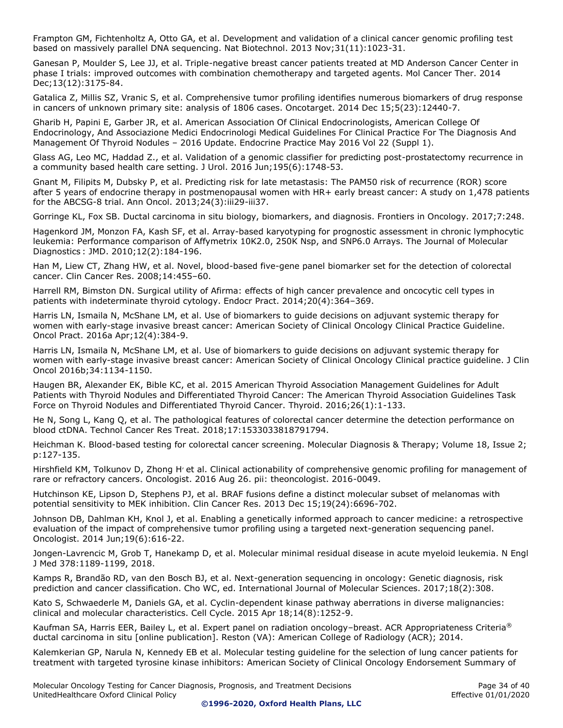Frampton GM, Fichtenholtz A, Otto GA, et al. Development and validation of a clinical cancer genomic profiling test based on massively parallel DNA sequencing. Nat Biotechnol. 2013 Nov;31(11):1023-31.

Ganesan P, Moulder S, Lee JJ, et al. Triple-negative breast cancer patients treated at MD Anderson Cancer Center in phase I trials: improved outcomes with combination chemotherapy and targeted agents. Mol Cancer Ther. 2014 Dec;13(12):3175-84.

Gatalica Z, Millis SZ, Vranic S, et al. Comprehensive tumor profiling identifies numerous biomarkers of drug response in cancers of unknown primary site: analysis of 1806 cases. Oncotarget. 2014 Dec 15;5(23):12440-7.

Gharib H, Papini E, Garber JR, et al. American Association Of Clinical Endocrinologists, American College Of Endocrinology, And Associazione Medici Endocrinologi Medical Guidelines For Clinical Practice For The Diagnosis And Management Of Thyroid Nodules – 2016 Update. Endocrine Practice May 2016 Vol 22 (Suppl 1).

Glass AG, Leo MC, Haddad Z., et al. Validation of a genomic classifier for predicting post-prostatectomy recurrence in a community based health care setting. J Urol. 2016 Jun;195(6):1748-53.

Gnant M, Filipits M, Dubsky P, et al. Predicting risk for late metastasis: The PAM50 risk of recurrence (ROR) score after 5 years of endocrine therapy in postmenopausal women with HR+ early breast cancer: A study on 1,478 patients for the ABCSG-8 trial. Ann Oncol. 2013;24(3):iii29-iii37.

Gorringe KL, Fox SB. Ductal carcinoma in situ biology, biomarkers, and diagnosis. Frontiers in Oncology. 2017;7:248.

Hagenkord JM, Monzon FA, Kash SF, et al. Array-based karyotyping for prognostic assessment in chronic lymphocytic leukemia: Performance comparison of Affymetrix 10K2.0, 250K Nsp, and SNP6.0 Arrays. The Journal of Molecular Diagnostics : JMD. 2010;12(2):184-196.

Han M, Liew CT, Zhang HW, et al. Novel, blood-based five-gene panel biomarker set for the detection of colorectal cancer. Clin Cancer Res. 2008;14:455–60.

Harrell RM, Bimston DN. Surgical utility of Afirma: effects of high cancer prevalence and oncocytic cell types in patients with indeterminate thyroid cytology. Endocr Pract. 2014;20(4):364–369.

Harris LN, Ismaila N, McShane LM, et al. Use of biomarkers to guide decisions on adjuvant systemic therapy for women with early-stage invasive breast cancer: American Society of Clinical Oncology Clinical Practice Guideline. Oncol Pract. 2016a Apr;12(4):384-9.

Harris LN, Ismaila N, McShane LM, et al. Use of biomarkers to guide decisions on adjuvant systemic therapy for women with early-stage invasive breast cancer: American Society of Clinical Oncology Clinical practice guideline. J Clin Oncol 2016b;34:1134-1150.

Haugen BR, Alexander EK, Bible KC, et al. 2015 American Thyroid Association Management Guidelines for Adult Patients with Thyroid Nodules and Differentiated Thyroid Cancer: The American Thyroid Association Guidelines Task Force on Thyroid Nodules and Differentiated Thyroid Cancer. Thyroid. 2016;26(1):1-133.

He N, Song L, Kang Q, et al. The pathological features of colorectal cancer determine the detection performance on blood ctDNA. Technol Cancer Res Treat. 2018;17:1533033818791794.

Heichman K. Blood-based testing for colorectal cancer screening. Molecular Diagnosis & Therapy; Volume 18, Issue 2; p:127-135.

Hirshfield KM, Tolkunov D, Zhong H<sup>,</sup> et al. Clinical actionability of comprehensive genomic profiling for management of rare or refractory cancers. Oncologist. 2016 Aug 26. pii: theoncologist. 2016-0049.

Hutchinson KE, Lipson D, Stephens PJ, et al. BRAF fusions define a distinct molecular subset of melanomas with potential sensitivity to MEK inhibition. Clin Cancer Res. 2013 Dec 15;19(24):6696-702.

Johnson DB, Dahlman KH, Knol J, et al. Enabling a genetically informed approach to cancer medicine: a retrospective evaluation of the impact of comprehensive tumor profiling using a targeted next-generation sequencing panel. Oncologist. 2014 Jun;19(6):616-22.

Jongen-Lavrencic M, Grob T, Hanekamp D, et al. Molecular minimal residual disease in acute myeloid leukemia. N Engl J Med 378:1189-1199, 2018.

Kamps R, Brandão RD, van den Bosch BJ, et al. Next-generation sequencing in oncology: Genetic diagnosis, risk prediction and cancer classification. Cho WC, ed. International Journal of Molecular Sciences. 2017;18(2):308.

Kato S, Schwaederle M, Daniels GA, et al. Cyclin-dependent kinase pathway aberrations in diverse malignancies: clinical and molecular characteristics. Cell Cycle. 2015 Apr 18;14(8):1252-9.

Kaufman SA, Harris EER, Bailey L, et al. Expert panel on radiation oncology-breast. ACR Appropriateness Criteria® ductal carcinoma in situ [online publication]. Reston (VA): American College of Radiology (ACR); 2014.

Kalemkerian GP, Narula N, Kennedy EB et al. Molecular testing guideline for the selection of lung cancer patients for treatment with targeted tyrosine kinase inhibitors: American Society of Clinical Oncology Endorsement Summary of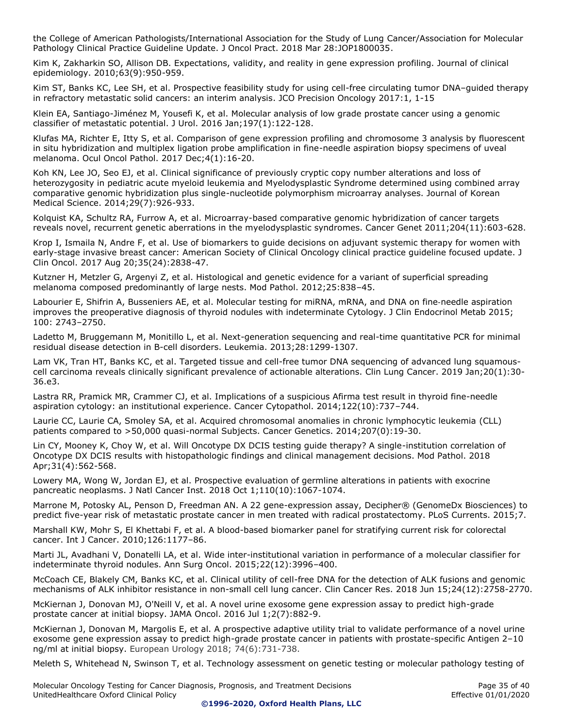the College of American Pathologists/International Association for the Study of Lung Cancer/Association for Molecular Pathology Clinical Practice Guideline Update. J Oncol Pract. 2018 Mar 28:JOP1800035.

Kim K, Zakharkin SO, Allison DB. Expectations, validity, and reality in gene expression profiling. Journal of clinical epidemiology. 2010;63(9):950-959.

Kim ST, Banks KC, Lee SH, et al. [Prospective feasibility study for using cell-free circulating tumor DNA](https://ascopubs.org/doi/abs/10.1200/PO.16.00059)–guided therapy [in refractory metastatic solid cancers: an interim analysis.](https://ascopubs.org/doi/abs/10.1200/PO.16.00059) JCO Precision Oncology 2017:1, 1-15

Klein EA, Santiago-Jiménez M, Yousefi K, et al. Molecular analysis of low grade prostate cancer using a genomic classifier of metastatic potential. J Urol. 2016 Jan;197(1):122-128.

Klufas MA, Richter E, Itty S, et al. Comparison of gene expression profiling and chromosome 3 analysis by fluorescent in situ hybridization and multiplex ligation probe amplification in fine-needle aspiration biopsy specimens of uveal melanoma. Ocul Oncol Pathol. 2017 Dec;4(1):16-20.

Koh KN, Lee JO, Seo EJ, et al. Clinical significance of previously cryptic copy number alterations and loss of heterozygosity in pediatric acute myeloid leukemia and Myelodysplastic Syndrome determined using combined array comparative genomic hybridization plus single-nucleotide polymorphism microarray analyses. Journal of Korean Medical Science. 2014;29(7):926-933.

Kolquist KA, Schultz RA, Furrow A, et al. Microarray-based comparative genomic hybridization of cancer targets reveals novel, recurrent genetic aberrations in the myelodysplastic syndromes. Cancer Genet 2011;204(11):603-628.

Krop I, Ismaila N, Andre F, et al. Use of biomarkers to guide decisions on adjuvant systemic therapy for women with early-stage invasive breast cancer: American Society of Clinical Oncology clinical practice guideline focused update. J Clin Oncol. 2017 Aug 20;35(24):2838-47.

Kutzner H, Metzler G, Argenyi Z, et al. Histological and genetic evidence for a variant of superficial spreading melanoma composed predominantly of large nests. Mod Pathol. 2012;25:838–45.

Labourier E, Shifrin A, Busseniers AE, et al. Molecular testing for miRNA, mRNA, and DNA on fine‐needle aspiration improves the preoperative diagnosis of thyroid nodules with indeterminate Cytology. J Clin Endocrinol Metab 2015; 100: 2743–2750.

Ladetto M, Bruggemann M, Monitillo L, et al. Next-generation sequencing and real-time quantitative PCR for minimal residual disease detection in B-cell disorders. Leukemia. 2013;28:1299-1307.

[Lam VK,](https://www.ncbi.nlm.nih.gov/pubmed/?term=Lam%20VK%5BAuthor%5D&cauthor=true&cauthor_uid=30279110) [Tran HT,](https://www.ncbi.nlm.nih.gov/pubmed/?term=Tran%20HT%5BAuthor%5D&cauthor=true&cauthor_uid=30279110) [Banks KC,](https://www.ncbi.nlm.nih.gov/pubmed/?term=Banks%20KC%5BAuthor%5D&cauthor=true&cauthor_uid=30279110) et al. Targeted tissue and cell-free tumor DNA sequencing of advanced lung squamouscell carcinoma reveals clinically significant prevalence of actionable alterations. [Clin Lung Cancer.](https://www.ncbi.nlm.nih.gov/pubmed/30279110) 2019 Jan;20(1):30- 36.e3.

Lastra RR, Pramick MR, Crammer CJ, et al. Implications of a suspicious Afirma test result in thyroid fine-needle aspiration cytology: an institutional experience. Cancer Cytopathol. 2014;122(10):737–744.

Laurie CC, Laurie CA, Smoley SA, et al. Acquired chromosomal anomalies in chronic lymphocytic leukemia (CLL) patients compared to >50,000 quasi-normal Subjects. Cancer Genetics. 2014;207(0):19-30.

Lin CY, Mooney K, Choy W, et al. Will Oncotype DX DCIS testing guide therapy? A single-institution correlation of Oncotype DX DCIS results with histopathologic findings and clinical management decisions. Mod Pathol. 2018 Apr;31(4):562-568.

Lowery MA, Wong W, Jordan EJ, et al. Prospective evaluation of germline alterations in patients with exocrine pancreatic neoplasms. J Natl Cancer Inst. 2018 Oct 1;110(10):1067-1074.

Marrone M, Potosky AL, Penson D, Freedman AN. A 22 gene-expression assay, Decipher® (GenomeDx Biosciences) to predict five-year risk of metastatic prostate cancer in men treated with radical prostatectomy. PLoS Currents. 2015;7.

Marshall KW, Mohr S, El Khettabi F, et al. A blood-based biomarker panel for stratifying current risk for colorectal cancer. Int J Cancer. 2010;126:1177–86.

Marti JL, Avadhani V, Donatelli LA, et al. Wide inter-institutional variation in performance of a molecular classifier for indeterminate thyroid nodules. Ann Surg Oncol. 2015;22(12):3996–400.

[McCoach CE,](https://www.ncbi.nlm.nih.gov/pubmed/?term=McCoach%20CE%5BAuthor%5D&cauthor=true&cauthor_uid=29599410) [Blakely CM,](https://www.ncbi.nlm.nih.gov/pubmed/?term=Blakely%20CM%5BAuthor%5D&cauthor=true&cauthor_uid=29599410) [Banks KC,](https://www.ncbi.nlm.nih.gov/pubmed/?term=Banks%20KC%5BAuthor%5D&cauthor=true&cauthor_uid=29599410) et al. Clinical utility of cell-free DNA for the detection of ALK fusions and genomic mechanisms of ALK inhibitor resistance in non-small cell lung cancer. [Clin Cancer Res.](https://www.ncbi.nlm.nih.gov/pubmed/29599410) 2018 Jun 15;24(12):2758-2770.

McKiernan J, Donovan MJ, O'Neill V, et al. A novel urine exosome gene expression assay to predict high-grade prostate cancer at initial biopsy. JAMA Oncol. 2016 Jul 1;2(7):882-9.

McKiernan J, Donovan M, Margolis E, et al. A prospective adaptive utility trial to validate performance of a novel urine exosome gene expression assay to predict high-grade prostate cancer in patients with prostate-specific Antigen 2–10 ng/ml at initial biopsy. European Urology 2018; 74(6):731-738.

Meleth S, Whitehead N, Swinson T, et al. Technology assessment on genetic testing or molecular pathology testing of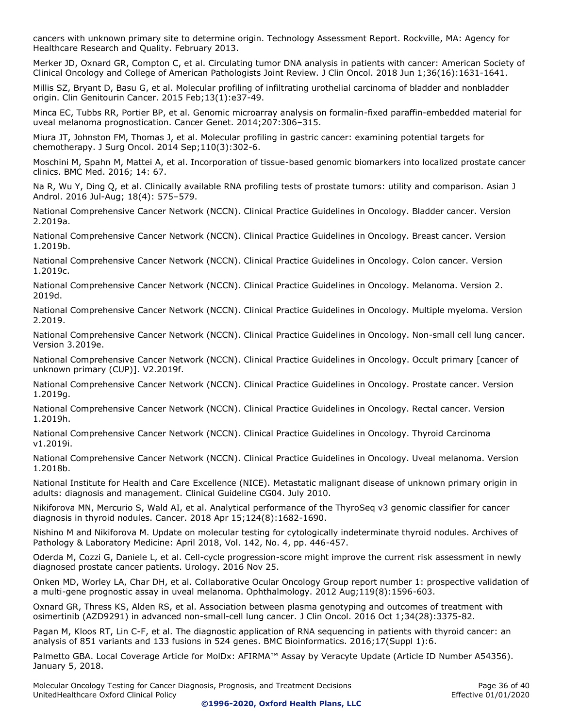cancers with unknown primary site to determine origin. Technology Assessment Report. Rockville, MA: Agency for Healthcare Research and Quality. February 2013.

Merker JD, Oxnard GR, Compton C, et al. Circulating tumor DNA analysis in patients with cancer: American Society of Clinical Oncology and College of American Pathologists Joint Review. J Clin Oncol. 2018 Jun 1;36(16):1631-1641.

Millis SZ, Bryant D, Basu G, et al. Molecular profiling of infiltrating urothelial carcinoma of bladder and nonbladder origin. Clin Genitourin Cancer. 2015 Feb;13(1):e37-49.

Minca EC, Tubbs RR, Portier BP, et al. Genomic microarray analysis on formalin-fixed paraffin-embedded material for uveal melanoma prognostication. Cancer Genet. 2014;207:306–315.

Miura JT, Johnston FM, Thomas J, et al. Molecular profiling in gastric cancer: examining potential targets for chemotherapy. J Surg Oncol. 2014 Sep;110(3):302-6.

Moschini M, Spahn M, Mattei A, et al. Incorporation of tissue-based genomic biomarkers into localized prostate cancer clinics. BMC Med. 2016; 14: 67.

Na R, Wu Y, Ding Q, et al. Clinically available RNA profiling tests of prostate tumors: utility and comparison. Asian J Androl. 2016 Jul-Aug; 18(4): 575–579.

National Comprehensive Cancer Network (NCCN). Clinical Practice Guidelines in Oncology. Bladder cancer. Version 2.2019a.

National Comprehensive Cancer Network (NCCN). Clinical Practice Guidelines in Oncology. Breast cancer. Version 1.2019b.

National Comprehensive Cancer Network (NCCN). Clinical Practice Guidelines in Oncology. Colon cancer. Version 1.2019c.

National Comprehensive Cancer Network (NCCN). Clinical Practice Guidelines in Oncology. Melanoma. Version 2. 2019d.

National Comprehensive Cancer Network (NCCN). Clinical Practice Guidelines in Oncology. Multiple myeloma. Version 2.2019.

National Comprehensive Cancer Network (NCCN). Clinical Practice Guidelines in Oncology. Non-small cell lung cancer. Version 3.2019e.

National Comprehensive Cancer Network (NCCN). Clinical Practice Guidelines in Oncology. Occult primary [cancer of unknown primary (CUP)]. V2.2019f.

National Comprehensive Cancer Network (NCCN). Clinical Practice Guidelines in Oncology. Prostate cancer. Version 1.2019g.

National Comprehensive Cancer Network (NCCN). Clinical Practice Guidelines in Oncology. Rectal cancer. Version 1.2019h.

National Comprehensive Cancer Network (NCCN). Clinical Practice Guidelines in Oncology. Thyroid Carcinoma v1.2019i.

National Comprehensive Cancer Network (NCCN). Clinical Practice Guidelines in Oncology. Uveal melanoma. Version 1.2018b.

National Institute for Health and Care Excellence (NICE). Metastatic malignant disease of unknown primary origin in adults: diagnosis and management. Clinical Guideline CG04. July 2010.

Nikiforova MN, Mercurio S, Wald AI, et al. Analytical performance of the ThyroSeq v3 genomic classifier for cancer diagnosis in thyroid nodules. Cancer. 2018 Apr 15;124(8):1682-1690.

Nishino M and Nikiforova M. Update on molecular testing for cytologically indeterminate thyroid nodules. Archives of Pathology & Laboratory Medicine: April 2018, Vol. 142, No. 4, pp. 446-457.

Oderda M, Cozzi G, Daniele L, et al. Cell-cycle progression-score might improve the current risk assessment in newly diagnosed prostate cancer patients. Urology. 2016 Nov 25.

Onken MD, Worley LA, Char DH, et al. Collaborative Ocular Oncology Group report number 1: prospective validation of a multi-gene prognostic assay in uveal melanoma. Ophthalmology. 2012 Aug;119(8):1596-603.

Oxnard GR, Thress KS, Alden RS, et al. Association between plasma genotyping and outcomes of treatment with osimertinib (AZD9291) in advanced non-small-cell lung cancer. J Clin Oncol. 2016 Oct 1;34(28):3375-82.

Pagan M, Kloos RT, Lin C-F, et al. The diagnostic application of RNA sequencing in patients with thyroid cancer: an analysis of 851 variants and 133 fusions in 524 genes. BMC Bioinformatics. 2016;17(Suppl 1):6.

Palmetto GBA. Local Coverage Article for MolDx: AFIRMA™ Assay by Veracyte Update (Article ID Number A54356). January 5, 2018.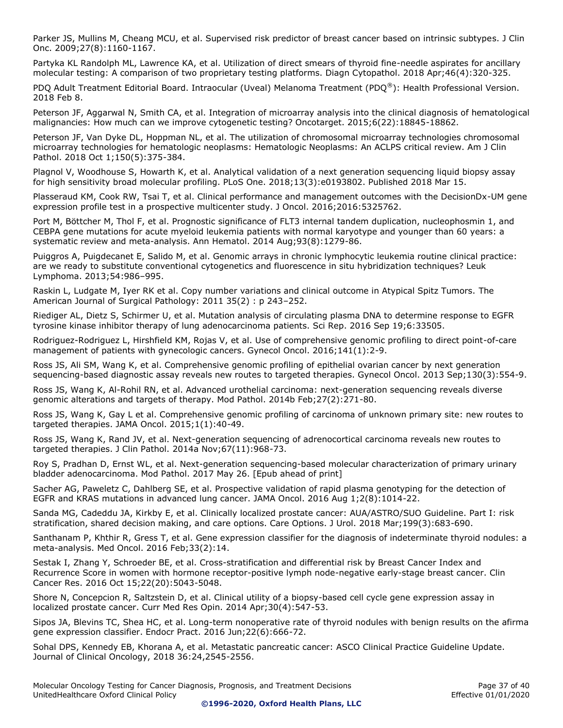Parker JS, Mullins M, Cheang MCU, et al. Supervised risk predictor of breast cancer based on intrinsic subtypes. J Clin Onc. 2009;27(8):1160-1167.

Partyka KL Randolph ML, Lawrence KA, et al. Utilization of direct smears of thyroid fine-needle aspirates for ancillary molecular testing: A comparison of two proprietary testing platforms. Diagn Cytopathol. 2018 Apr;46(4):320-325.

PDQ Adult Treatment Editorial Board. Intraocular (Uveal) Melanoma Treatment (PDQ®): Health Professional Version. 2018 Feb 8.

Peterson JF, Aggarwal N, Smith CA, et al. Integration of microarray analysis into the clinical diagnosis of hematological malignancies: How much can we improve cytogenetic testing? Oncotarget. 2015;6(22):18845-18862.

Peterson JF, Van Dyke DL, Hoppman NL, et al. The utilization of chromosomal microarray technologies chromosomal microarray technologies for hematologic neoplasms: Hematologic Neoplasms: An ACLPS critical review. Am J Clin Pathol. 2018 Oct 1;150(5):375-384.

Plagnol V, Woodhouse S, Howarth K, et al. Analytical validation of a next generation sequencing liquid biopsy assay for high sensitivity broad molecular profiling. PLoS One. 2018;13(3):e0193802. Published 2018 Mar 15.

Plasseraud KM, Cook RW, Tsai T, et al. Clinical performance and management outcomes with the DecisionDx-UM gene expression profile test in a prospective multicenter study. J Oncol. 2016;2016:5325762.

Port M, Böttcher M, Thol F, et al. Prognostic significance of FLT3 internal tandem duplication, nucleophosmin 1, and CEBPA gene mutations for acute myeloid leukemia patients with normal karyotype and younger than 60 years: a systematic review and meta-analysis. Ann Hematol. 2014 Aug;93(8):1279-86.

Puiggros A, Puigdecanet E, Salido M, et al. Genomic arrays in chronic lymphocytic leukemia routine clinical practice: are we ready to substitute conventional cytogenetics and fluorescence in situ hybridization techniques? Leuk Lymphoma. 2013;54:986–995.

Raskin L, Ludgate M, Iyer RK et al. Copy number variations and clinical outcome in Atypical Spitz Tumors. The American Journal of Surgical Pathology: 2011 35(2) : p 243–252.

[Riediger AL,](https://www.ncbi.nlm.nih.gov/pubmed/?term=Riediger%20AL%5BAuthor%5D&cauthor=true&cauthor_uid=27640882) [Dietz S,](https://www.ncbi.nlm.nih.gov/pubmed/?term=Dietz%20S%5BAuthor%5D&cauthor=true&cauthor_uid=27640882) [Schirmer U,](https://www.ncbi.nlm.nih.gov/pubmed/?term=Schirmer%20U%5BAuthor%5D&cauthor=true&cauthor_uid=27640882) et al. Mutation analysis of circulating plasma DNA to determine response to EGFR tyrosine kinase inhibitor therapy of lung adenocarcinoma patients. [Sci Rep.](https://www.ncbi.nlm.nih.gov/pubmed/27640882) 2016 Sep 19;6:33505.

Rodriguez-Rodriguez L, Hirshfield KM, Rojas V, et al. Use of comprehensive genomic profiling to direct point-of-care management of patients with gynecologic cancers. Gynecol Oncol. 2016;141(1):2-9.

Ross JS, Ali SM, Wang K, et al. Comprehensive genomic profiling of epithelial ovarian cancer by next generation sequencing-based diagnostic assay reveals new routes to targeted therapies. Gynecol Oncol. 2013 Sep;130(3):554-9.

Ross JS, Wang K, Al-Rohil RN, et al. Advanced urothelial carcinoma: next-generation sequencing reveals diverse genomic alterations and targets of therapy. Mod Pathol. 2014b Feb;27(2):271-80.

Ross JS, Wang K, Gay L et al. Comprehensive genomic profiling of carcinoma of unknown primary site: new routes to targeted therapies. JAMA Oncol. 2015;1(1):40-49.

Ross JS, Wang K, Rand JV, et al. Next-generation sequencing of adrenocortical carcinoma reveals new routes to targeted therapies. J Clin Pathol. 2014a Nov;67(11):968-73.

Roy S, Pradhan D, Ernst WL, et al. Next-generation sequencing-based molecular characterization of primary urinary bladder adenocarcinoma. Mod Pathol. 2017 May 26. [Epub ahead of print]

Sacher AG, Paweletz C, Dahlberg SE, et al. Prospective validation of rapid plasma genotyping for the detection of EGFR and KRAS mutations in advanced lung cancer. JAMA Oncol. 2016 Aug 1;2(8):1014-22.

Sanda MG, Cadeddu JA, Kirkby E, et al. Clinically localized prostate cancer: AUA/ASTRO/SUO Guideline. Part I: risk stratification, shared decision making, and care options. Care Options. J Urol. 2018 Mar;199(3):683-690.

Santhanam P, Khthir R, Gress T, et al. Gene expression classifier for the diagnosis of indeterminate thyroid nodules: a meta-analysis. Med Oncol. 2016 Feb;33(2):14.

Sestak I, Zhang Y, Schroeder BE, et al. Cross-stratification and differential risk by Breast Cancer Index and Recurrence Score in women with hormone receptor-positive lymph node-negative early-stage breast cancer. Clin Cancer Res. 2016 Oct 15;22(20):5043-5048.

Shore N, Concepcion R, Saltzstein D, et al. Clinical utility of a biopsy-based cell cycle gene expression assay in localized prostate cancer. Curr Med Res Opin. 2014 Apr;30(4):547-53.

Sipos JA, Blevins TC, Shea HC, et al. Long-term nonoperative rate of thyroid nodules with benign results on the afirma gene expression classifier. Endocr Pract. 2016 Jun;22(6):666-72.

Sohal DPS, Kennedy EB, Khorana A, et al. Metastatic pancreatic cancer: ASCO Clinical Practice Guideline Update. Journal of Clinical Oncology, 2018 36:24,2545-2556.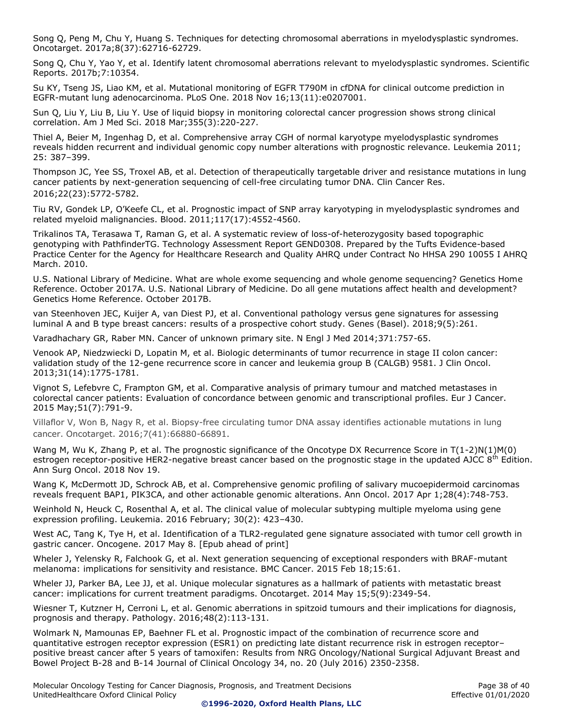Song Q, Peng M, Chu Y, Huang S. Techniques for detecting chromosomal aberrations in myelodysplastic syndromes. Oncotarget. 2017a;8(37):62716-62729.

Song Q, Chu Y, Yao Y, et al. Identify latent chromosomal aberrations relevant to myelodysplastic syndromes. Scientific Reports. 2017b;7:10354.

Su KY, Tseng JS, Liao KM, et al. Mutational monitoring of EGFR T790M in cfDNA for clinical outcome prediction in EGFR-mutant lung adenocarcinoma. PLoS One. 2018 Nov 16;13(11):e0207001.

Sun Q, Liu Y, Liu B, Liu Y. Use of liquid biopsy in monitoring colorectal cancer progression shows strong clinical correlation. Am J Med Sci. 2018 Mar;355(3):220-227.

Thiel A, Beier M, Ingenhag D, et al. Comprehensive array CGH of normal karyotype myelodysplastic syndromes reveals hidden recurrent and individual genomic copy number alterations with prognostic relevance. Leukemia 2011; 25: 387–399.

Thompson JC, Yee SS, Troxel AB, et al. Detection of therapeutically targetable driver and resistance mutations in lung cancer patients by next-generation sequencing of cell-free circulating tumor DNA. Clin Cancer Res. 2016;22(23):5772-5782.

Tiu RV, Gondek LP, O'Keefe CL, et al. Prognostic impact of SNP array karyotyping in myelodysplastic syndromes and related myeloid malignancies. Blood. 2011;117(17):4552-4560.

Trikalinos TA, Terasawa T, Raman G, et al. A systematic review of loss-of-heterozygosity based topographic genotyping with PathfinderTG. Technology Assessment Report GEND0308. Prepared by the Tufts Evidence-based Practice Center for the Agency for Healthcare Research and Quality AHRQ under Contract No HHSA 290 10055 I AHRQ March. 2010.

U.S. National Library of Medicine. What are whole exome sequencing and whole genome sequencing? Genetics Home Reference. October 2017A. U.S. National Library of Medicine. Do all gene mutations affect health and development? Genetics Home Reference. October 2017B.

van Steenhoven JEC, Kuijer A, van Diest PJ, et al. Conventional pathology versus gene signatures for assessing luminal A and B type breast cancers: results of a prospective cohort study. Genes (Basel). 2018;9(5):261.

Varadhachary GR, Raber MN. Cancer of unknown primary site. N Engl J Med 2014;371:757-65.

Venook AP, Niedzwiecki D, Lopatin M, et al. Biologic determinants of tumor recurrence in stage II colon cancer: validation study of the 12-gene recurrence score in cancer and leukemia group B (CALGB) 9581. J Clin Oncol. 2013;31(14):1775-1781.

Vignot S, Lefebvre C, Frampton GM, et al. Comparative analysis of primary tumour and matched metastases in colorectal cancer patients: Evaluation of concordance between genomic and transcriptional profiles. Eur J Cancer. 2015 May;51(7):791-9.

Villaflor V, Won B, Nagy R, et al. Biopsy-free circulating tumor DNA assay identifies actionable mutations in lung cancer. Oncotarget. 2016;7(41):66880-66891.

Wang M, Wu K, Zhang P, et al. The prognostic significance of the Oncotype DX Recurrence Score in T(1-2)N(1)M(0) estrogen receptor-positive HER2-negative breast cancer based on the prognostic stage in the updated AJCC  $8^{th}$  Edition. Ann Surg Oncol. 2018 Nov 19.

Wang K, McDermott JD, Schrock AB, et al. Comprehensive genomic profiling of salivary mucoepidermoid carcinomas reveals frequent BAP1, PIK3CA, and other actionable genomic alterations. Ann Oncol. 2017 Apr 1;28(4):748-753.

Weinhold N, Heuck C, Rosenthal A, et al. The clinical value of molecular subtyping multiple myeloma using gene expression profiling. Leukemia. 2016 February; 30(2): 423–430.

West AC, Tang K, Tye H, et al. Identification of a TLR2-regulated gene signature associated with tumor cell growth in gastric cancer. Oncogene. 2017 May 8. [Epub ahead of print]

Wheler J, Yelensky R, Falchook G, et al. Next generation sequencing of exceptional responders with BRAF-mutant melanoma: implications for sensitivity and resistance. BMC Cancer. 2015 Feb 18;15:61.

Wheler JJ, Parker BA, Lee JJ, et al. Unique molecular signatures as a hallmark of patients with metastatic breast cancer: implications for current treatment paradigms. Oncotarget. 2014 May 15;5(9):2349-54.

Wiesner T, Kutzner H, Cerroni L, et al. Genomic aberrations in spitzoid tumours and their implications for diagnosis, prognosis and therapy. Pathology. 2016;48(2):113-131.

Wolmark N, Mamounas EP, Baehner FL et al. Prognostic impact of the combination of recurrence score and quantitative estrogen receptor expression (ESR1) on predicting late distant recurrence risk in estrogen receptor– positive breast cancer after 5 years of tamoxifen: Results from NRG Oncology/National Surgical Adjuvant Breast and Bowel Project B-28 and B-14 Journal of Clinical Oncology 34, no. 20 (July 2016) 2350-2358.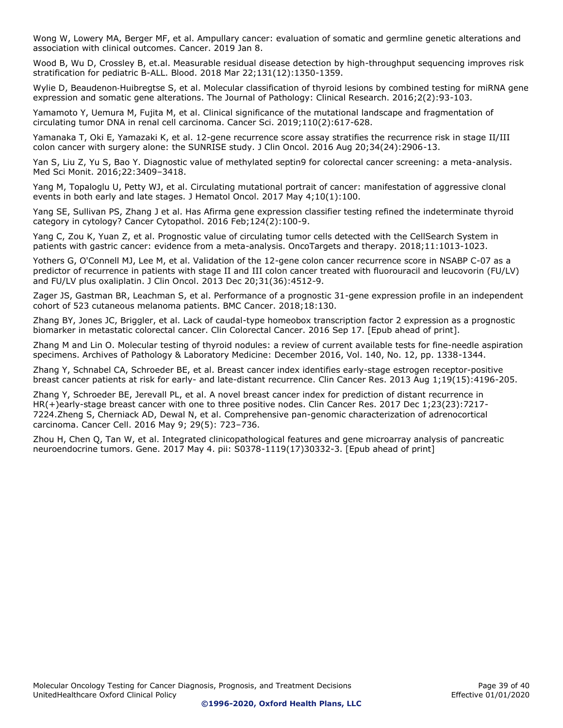Wong W, Lowery MA, Berger MF, et al. Ampullary cancer: evaluation of somatic and germline genetic alterations and association with clinical outcomes. Cancer. 2019 Jan 8.

Wood B, Wu D, Crossley B, et.al. Measurable residual disease detection by high-throughput sequencing improves risk stratification for pediatric B-ALL. Blood. 2018 Mar 22;131(12):1350-1359.

Wylie D, Beaudenon-Huibregtse S, et al. Molecular classification of thyroid lesions by combined testing for miRNA gene expression and somatic gene alterations. The Journal of Pathology: Clinical Research. 2016;2(2):93-103.

Yamamoto Y, Uemura M, Fujita M, et al. Clinical significance of the mutational landscape and fragmentation of circulating tumor DNA in renal cell carcinoma. Cancer Sci. 2019;110(2):617-628.

Yamanaka T, Oki E, Yamazaki K, et al. 12-gene recurrence score assay stratifies the recurrence risk in stage II/III colon cancer with surgery alone: the SUNRISE study. J Clin Oncol. 2016 Aug 20;34(24):2906-13.

Yan S, Liu Z, Yu S, Bao Y. Diagnostic value of methylated septin9 for colorectal cancer screening: a meta-analysis. Med Sci Monit. 2016;22:3409–3418.

[Yang M,](https://www.ncbi.nlm.nih.gov/pubmed/?term=Yang%20M%5BAuthor%5D&cauthor=true&cauthor_uid=28472989) [Topaloglu U,](https://www.ncbi.nlm.nih.gov/pubmed/?term=Topaloglu%20U%5BAuthor%5D&cauthor=true&cauthor_uid=28472989) [Petty WJ,](https://www.ncbi.nlm.nih.gov/pubmed/?term=Petty%20WJ%5BAuthor%5D&cauthor=true&cauthor_uid=28472989) et al. Circulating mutational portrait of cancer: manifestation of aggressive clonal events in both early and late stages. [J Hematol Oncol.](https://www.ncbi.nlm.nih.gov/pubmed/28472989) 2017 May 4;10(1):100.

Yang SE, Sullivan PS, Zhang J et al. Has Afirma gene expression classifier testing refined the indeterminate thyroid category in cytology? Cancer Cytopathol. 2016 Feb;124(2):100-9.

Yang C, Zou K, Yuan Z, et al. Prognostic value of circulating tumor cells detected with the CellSearch System in patients with gastric cancer: evidence from a meta-analysis. OncoTargets and therapy. 2018;11:1013-1023.

Yothers G, O'Connell MJ, Lee M, et al. Validation of the 12-gene colon cancer recurrence score in NSABP C-07 as a predictor of recurrence in patients with stage II and III colon cancer treated with fluorouracil and leucovorin (FU/LV) and FU/LV plus oxaliplatin. J Clin Oncol. 2013 Dec 20;31(36):4512-9.

Zager JS, Gastman BR, Leachman S, et al. Performance of a prognostic 31-gene expression profile in an independent cohort of 523 cutaneous melanoma patients. BMC Cancer. 2018;18:130.

Zhang BY, Jones JC, Briggler, et al. Lack of caudal-type homeobox transcription factor 2 expression as a prognostic biomarker in metastatic colorectal cancer. Clin Colorectal Cancer. 2016 Sep 17. [Epub ahead of print].

Zhang M and Lin O. Molecular testing of thyroid nodules: a review of current available tests for fine-needle aspiration specimens. Archives of Pathology & Laboratory Medicine: December 2016, Vol. 140, No. 12, pp. 1338-1344.

Zhang Y, Schnabel CA, Schroeder BE, et al. Breast cancer index identifies early-stage estrogen receptor-positive breast cancer patients at risk for early- and late-distant recurrence. Clin Cancer Res. 2013 Aug 1;19(15):4196-205.

Zhang Y, Schroeder BE, Jerevall PL, et al. A novel breast cancer index for prediction of distant recurrence in HR(+)early-stage breast cancer with one to three positive nodes. Clin Cancer Res. 2017 Dec 1;23(23):7217- 7224.Zheng S, Cherniack AD, Dewal N, et al. Comprehensive pan-genomic characterization of adrenocortical carcinoma. Cancer Cell. 2016 May 9; 29(5): 723–736.

Zhou H, Chen Q, Tan W, et al. Integrated clinicopathological features and gene microarray analysis of pancreatic neuroendocrine tumors. Gene. 2017 May 4. pii: S0378-1119(17)30332-3. [Epub ahead of print]